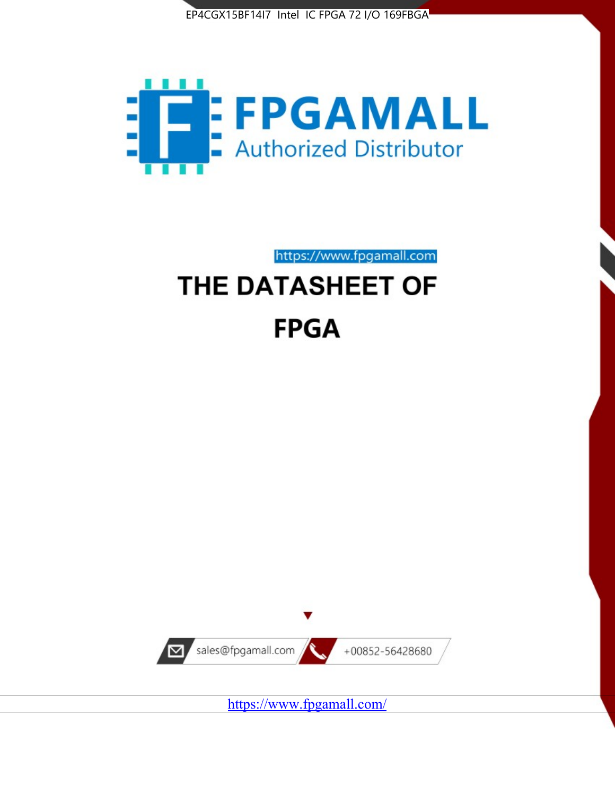



https://www.fpgamall.com

# THE DATASHEET OF **FPGA**



<https://www.fpgamall.com/>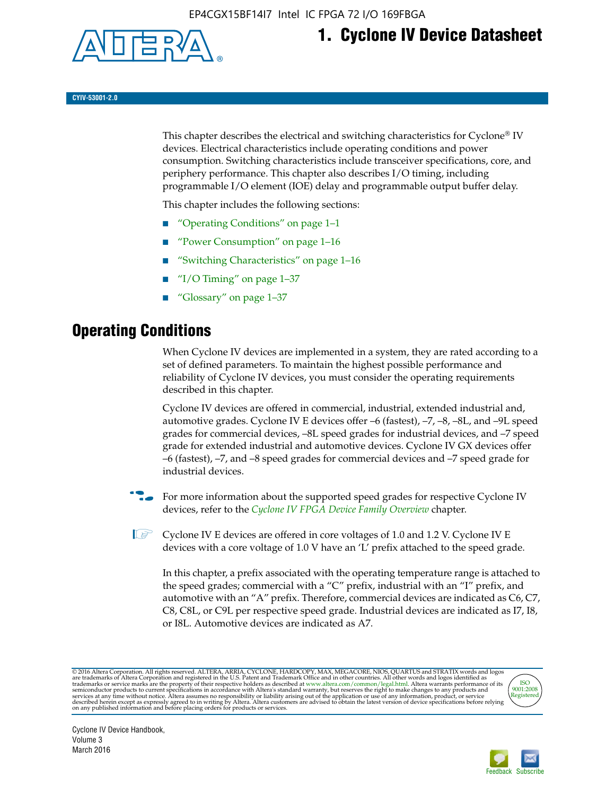

# **1. Cyclone IV Device Datasheet**

**CYIV-53001-2.0**

This chapter describes the electrical and switching characteristics for Cyclone<sup>®</sup> IV devices. Electrical characteristics include operating conditions and power consumption. Switching characteristics include transceiver specifications, core, and periphery performance. This chapter also describes I/O timing, including programmable I/O element (IOE) delay and programmable output buffer delay.

This chapter includes the following sections:

- "Operating Conditions" on page 1–1
- "Power Consumption" on page 1–16
- "Switching Characteristics" on page 1–16
- "I/O Timing" on page  $1-37$
- "Glossary" on page 1–37

# **Operating Conditions**

When Cyclone IV devices are implemented in a system, they are rated according to a set of defined parameters. To maintain the highest possible performance and reliability of Cyclone IV devices, you must consider the operating requirements described in this chapter.

Cyclone IV devices are offered in commercial, industrial, extended industrial and, automotive grades. Cyclone IV E devices offer –6 (fastest), –7, –8, –8L, and –9L speed grades for commercial devices, –8L speed grades for industrial devices, and –7 speed grade for extended industrial and automotive devices. Cyclone IV GX devices offer –6 (fastest), –7, and –8 speed grades for commercial devices and –7 speed grade for industrial devices.

**For more information about the supported speed grades for respective Cyclone IV** devices, refer to the *[Cyclone IV FPGA Device Family Overview](http://www.altera.com/literature/hb/cyclone-iv/cyiv-51001.pdf)* chapter.

 $\mathbb{I} \rightarrow \mathbb{C}$  Cyclone IV E devices are offered in core voltages of 1.0 and 1.2 V. Cyclone IV E devices with a core voltage of 1.0 V have an 'L' prefix attached to the speed grade.

In this chapter, a prefix associated with the operating temperature range is attached to the speed grades; commercial with a "C" prefix, industrial with an "I" prefix, and automotive with an "A" prefix. Therefore, commercial devices are indicated as C6, C7, C8, C8L, or C9L per respective speed grade. Industrial devices are indicated as I7, I8, or I8L. Automotive devices are indicated as A7.

@2016 Altera Corporation. All rights reserved. ALTERA, ARRIA, CYCLONE, HARDCOPY, MAX, MEGACORE, NIOS, QUARTUS and STRATIX words and logos are trademarks of Altera Corporation and registered in the U.S. Patent and Trademark



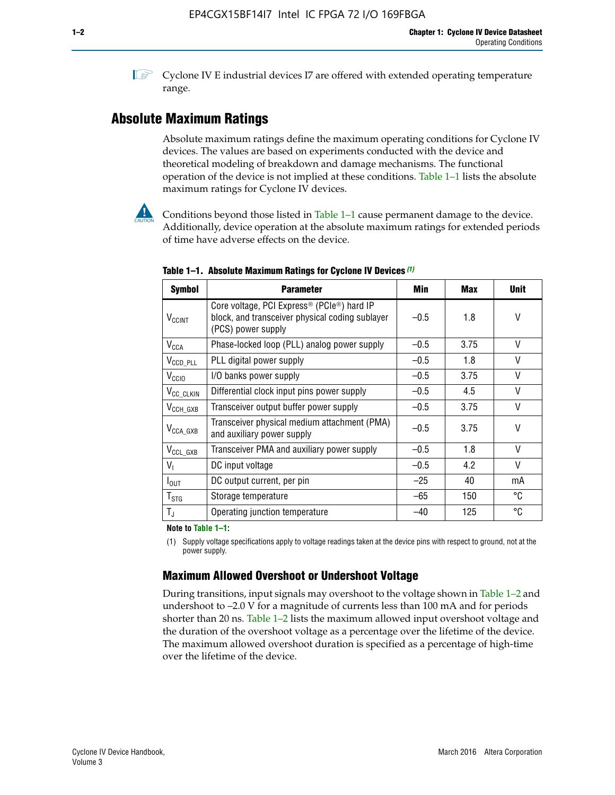**1 Cyclone IV E industrial devices I7 are offered with extended operating temperature** range.

### **Absolute Maximum Ratings**

Absolute maximum ratings define the maximum operating conditions for Cyclone IV devices. The values are based on experiments conducted with the device and theoretical modeling of breakdown and damage mechanisms. The functional operation of the device is not implied at these conditions. Table 1–1 lists the absolute maximum ratings for Cyclone IV devices.



Conditions beyond those listed in Table  $1-1$  cause permanent damage to the device. Additionally, device operation at the absolute maximum ratings for extended periods of time have adverse effects on the device.

| <b>Symbol</b>              | <b>Parameter</b>                                                                                                                             | Min    | <b>Max</b> | <b>Unit</b> |
|----------------------------|----------------------------------------------------------------------------------------------------------------------------------------------|--------|------------|-------------|
| <b>V<sub>CCINT</sub></b>   | Core voltage, PCI Express <sup>®</sup> (PCIe <sup>®</sup> ) hard IP<br>block, and transceiver physical coding sublayer<br>(PCS) power supply | $-0.5$ | 1.8        | V           |
| $V_{CCA}$                  | Phase-locked loop (PLL) analog power supply                                                                                                  | $-0.5$ | 3.75       | $\vee$      |
| $V_{\text{CCD\_PLL}}$      | PLL digital power supply                                                                                                                     | $-0.5$ | 1.8        | V           |
| V <sub>CCIO</sub>          | I/O banks power supply                                                                                                                       | $-0.5$ | 3.75       | V           |
| V <sub>CC_CLKIN</sub>      | Differential clock input pins power supply                                                                                                   | $-0.5$ | 4.5        | V           |
| $V_{\text{CCH_GXB}}$       | Transceiver output buffer power supply                                                                                                       | $-0.5$ | 3.75       | V           |
| $V_{\text{CCA\_GXB}}$      | Transceiver physical medium attachment (PMA)<br>and auxiliary power supply                                                                   | $-0.5$ | 3.75       | V           |
| $V_{CCL_GXB}$              | Transceiver PMA and auxiliary power supply                                                                                                   | $-0.5$ | 1.8        | $\vee$      |
| $V_{I}$                    | DC input voltage                                                                                                                             | $-0.5$ | 4.2        | V           |
| $I_{\text{OUT}}$           | DC output current, per pin                                                                                                                   | $-25$  | 40         | mA          |
| ${\mathsf T}_{\text{STG}}$ | Storage temperature                                                                                                                          | $-65$  | 150        | °C          |
| $T_{\rm J}$                | Operating junction temperature                                                                                                               | $-40$  | 125        | °C          |

**Table 1–1. Absolute Maximum Ratings for Cyclone IV Devices** *(1)*

**Note to Table 1–1:**

(1) Supply voltage specifications apply to voltage readings taken at the device pins with respect to ground, not at the power supply.

### **Maximum Allowed Overshoot or Undershoot Voltage**

During transitions, input signals may overshoot to the voltage shown in Table 1–2 and undershoot to –2.0 V for a magnitude of currents less than 100 mA and for periods shorter than 20 ns. Table 1–2 lists the maximum allowed input overshoot voltage and the duration of the overshoot voltage as a percentage over the lifetime of the device. The maximum allowed overshoot duration is specified as a percentage of high-time over the lifetime of the device.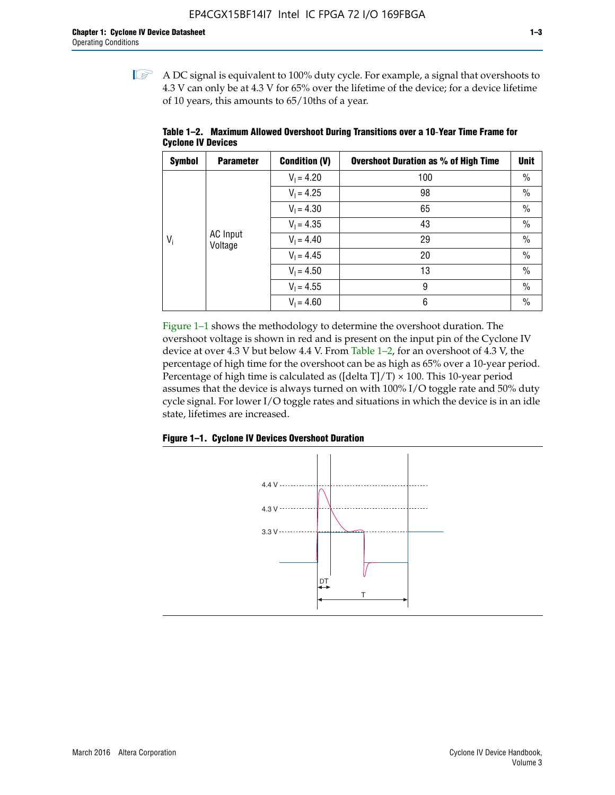$\mathbb{I}$  A DC signal is equivalent to 100% duty cycle. For example, a signal that overshoots to 4.3 V can only be at 4.3 V for 65% over the lifetime of the device; for a device lifetime of 10 years, this amounts to 65/10ths of a year.

| <b>Symbol</b> | <b>Parameter</b> | <b>Condition (V)</b> | <b>Overshoot Duration as % of High Time</b> | <b>Unit</b>   |              |    |
|---------------|------------------|----------------------|---------------------------------------------|---------------|--------------|----|
|               |                  | $V_1 = 4.20$         | 100                                         | $\%$          |              |    |
|               |                  | $V_1 = 4.25$         | 98                                          | $\%$          |              |    |
| $V_i$         |                  | $V_1 = 4.30$         | 65                                          | $\%$          |              |    |
|               |                  | $V_1 = 4.35$         | 43                                          | $\frac{0}{0}$ |              |    |
|               | Voltage          | <b>AC</b> Input      |                                             |               | $V_1 = 4.40$ | 29 |
|               |                  | $V_1 = 4.45$         | 20                                          | $\%$          |              |    |
|               |                  | $V_1 = 4.50$         | 13                                          | $\%$          |              |    |
|               |                  | $V_1 = 4.55$         | 9                                           | $\%$          |              |    |
|               |                  | $V_1 = 4.60$         | 6                                           | $\%$          |              |    |

**Table 1–2. Maximum Allowed Overshoot During Transitions over a 10**-**Year Time Frame for Cyclone IV Devices**

Figure 1–1 shows the methodology to determine the overshoot duration. The overshoot voltage is shown in red and is present on the input pin of the Cyclone IV device at over 4.3 V but below 4.4 V. From Table 1–2, for an overshoot of 4.3 V, the percentage of high time for the overshoot can be as high as 65% over a 10-year period. Percentage of high time is calculated as ([delta  $T$ ]/T)  $\times$  100. This 10-year period assumes that the device is always turned on with 100% I/O toggle rate and 50% duty cycle signal. For lower I/O toggle rates and situations in which the device is in an idle state, lifetimes are increased.



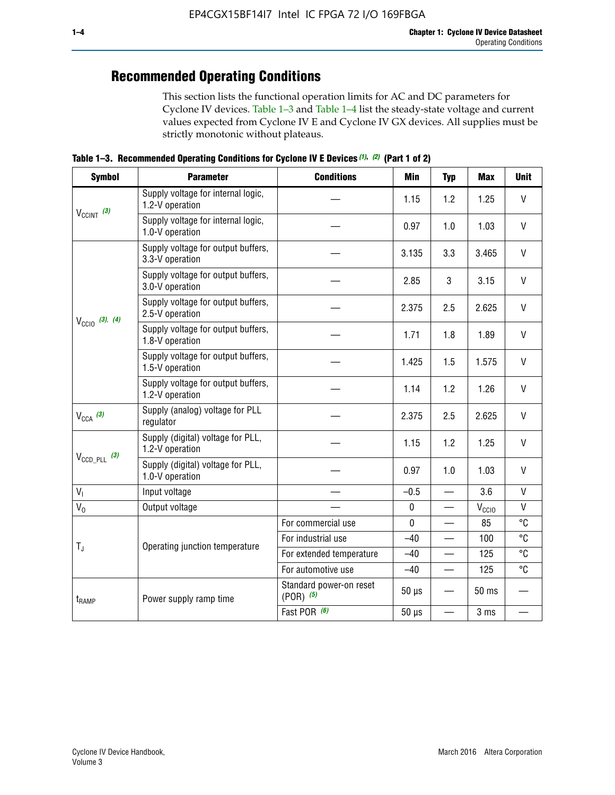# **Recommended Operating Conditions**

This section lists the functional operation limits for AC and DC parameters for Cyclone IV devices. Table 1–3 and Table 1–4 list the steady-state voltage and current values expected from Cyclone IV E and Cyclone IV GX devices. All supplies must be strictly monotonic without plateaus.

**Table 1–3. Recommended Operating Conditions for Cyclone IV E Devices** *(1)***,** *(2)* **(Part 1 of 2)**

| <b>Symbol</b>                               | <b>Parameter</b>                                      | <b>Conditions</b>                                                                                                                                                                                                                                                                                                                                                                                                                                                                                                                                          | <b>Min</b> | <b>Typ</b> | <b>Max</b> | <b>Unit</b>  |
|---------------------------------------------|-------------------------------------------------------|------------------------------------------------------------------------------------------------------------------------------------------------------------------------------------------------------------------------------------------------------------------------------------------------------------------------------------------------------------------------------------------------------------------------------------------------------------------------------------------------------------------------------------------------------------|------------|------------|------------|--------------|
|                                             | Supply voltage for internal logic,<br>1.2-V operation |                                                                                                                                                                                                                                                                                                                                                                                                                                                                                                                                                            | 1.15       | 1.2        | 1.25       | V            |
| $V_{CClNT}$ (3)                             | Supply voltage for internal logic,<br>1.0-V operation |                                                                                                                                                                                                                                                                                                                                                                                                                                                                                                                                                            | 0.97       | 1.0        | 1.03       | $\mathsf{V}$ |
|                                             | Supply voltage for output buffers,<br>3.3-V operation |                                                                                                                                                                                                                                                                                                                                                                                                                                                                                                                                                            | 3.135      | 3.3        | 3.465      | $\vee$       |
| $V_{\text{CCIO}}$ (3), (4)<br>$V_{CCA}$ (3) | Supply voltage for output buffers,<br>3.0-V operation |                                                                                                                                                                                                                                                                                                                                                                                                                                                                                                                                                            | 2.85       | 3          | 3.15       | V            |
|                                             | Supply voltage for output buffers,<br>2.5-V operation | 2.375<br>2.5<br>2.625<br>1.8<br>1.89<br>1.71<br>1.425<br>1.575<br>1.5<br>1.14<br>1.2<br>1.26<br>2.375<br>2.5<br>2.625<br>1.15<br>1.2<br>1.25<br>0.97<br>1.0<br>1.03<br>3.6<br>$-0.5$<br>$\equiv$<br>$\pmb{0}$<br>$V_{\rm CClO}$<br>$\mathbf 0$<br>85<br>For commercial use<br>For industrial use<br>$-40$<br>100<br>125<br>For extended temperature<br>$-40$<br>For automotive use<br>125<br>$-40$<br>$\qquad \qquad$<br>Standard power-on reset<br>$50 \mu s$<br>50 ms<br>$(POR)$ $(5)$<br>Fast POR (6)<br>$50 \mu s$<br>3 ms<br>$\overline{\phantom{0}}$ | $\vee$     |            |            |              |
|                                             | Supply voltage for output buffers,<br>1.8-V operation |                                                                                                                                                                                                                                                                                                                                                                                                                                                                                                                                                            |            |            |            | $\mathsf{V}$ |
|                                             | Supply voltage for output buffers,<br>1.5-V operation |                                                                                                                                                                                                                                                                                                                                                                                                                                                                                                                                                            |            |            |            | V            |
|                                             | Supply voltage for output buffers,<br>1.2-V operation |                                                                                                                                                                                                                                                                                                                                                                                                                                                                                                                                                            |            |            |            | V            |
|                                             | Supply (analog) voltage for PLL<br>regulator          |                                                                                                                                                                                                                                                                                                                                                                                                                                                                                                                                                            |            |            |            | $\vee$       |
|                                             | Supply (digital) voltage for PLL,<br>1.2-V operation  |                                                                                                                                                                                                                                                                                                                                                                                                                                                                                                                                                            |            |            |            | V            |
| $V_{\text{CCD\_PLL}}$ (3)                   | Supply (digital) voltage for PLL,<br>1.0-V operation  | Operating junction temperature                                                                                                                                                                                                                                                                                                                                                                                                                                                                                                                             |            |            | $\vee$     |              |
| $V_{I}$                                     | Input voltage                                         |                                                                                                                                                                                                                                                                                                                                                                                                                                                                                                                                                            |            |            |            | $\mathsf{V}$ |
| $V_0$                                       | Output voltage                                        |                                                                                                                                                                                                                                                                                                                                                                                                                                                                                                                                                            |            |            |            | V            |
|                                             |                                                       |                                                                                                                                                                                                                                                                                                                                                                                                                                                                                                                                                            |            |            |            | °C           |
|                                             |                                                       |                                                                                                                                                                                                                                                                                                                                                                                                                                                                                                                                                            |            |            |            | °C           |
| $T_{\rm J}$                                 |                                                       |                                                                                                                                                                                                                                                                                                                                                                                                                                                                                                                                                            |            |            |            | °C           |
|                                             |                                                       |                                                                                                                                                                                                                                                                                                                                                                                                                                                                                                                                                            |            |            |            | °C           |
| $t_{\rm{RAMP}}$                             | Power supply ramp time                                |                                                                                                                                                                                                                                                                                                                                                                                                                                                                                                                                                            |            |            |            |              |
|                                             |                                                       |                                                                                                                                                                                                                                                                                                                                                                                                                                                                                                                                                            |            |            |            |              |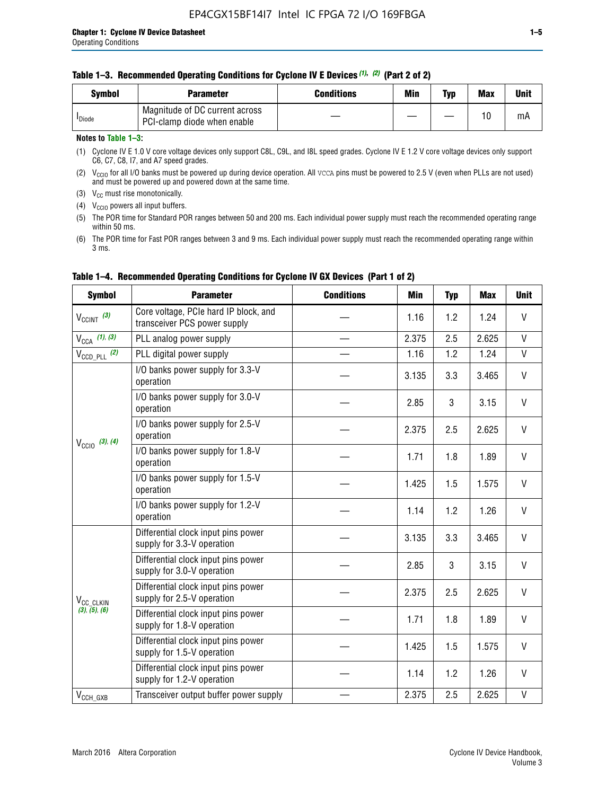| <b>Symbol</b>      | <b>Parameter</b>                                              | <b>Conditions</b> | Min | Typ | <b>Max</b> | Unit |
|--------------------|---------------------------------------------------------------|-------------------|-----|-----|------------|------|
| <sup>I</sup> Diode | Magnitude of DC current across<br>PCI-clamp diode when enable |                   |     | —   | 10         | mA   |

### **Notes to Table 1–3:**

(1) Cyclone IV E 1.0 V core voltage devices only support C8L, C9L, and I8L speed grades. Cyclone IV E 1.2 V core voltage devices only support C6, C7, C8, I7, and A7 speed grades.

(2)  $V_{CCIO}$  for all I/O banks must be powered up during device operation. All vcca pins must be powered to 2.5 V (even when PLLs are not used) and must be powered up and powered down at the same time.

(3)  $V_{CC}$  must rise monotonically.

(4)  $V_{\text{CCIO}}$  powers all input buffers.

(5) The POR time for Standard POR ranges between 50 and 200 ms. Each individual power supply must reach the recommended operating range within 50 ms.

(6) The POR time for Fast POR ranges between 3 and 9 ms. Each individual power supply must reach the recommended operating range within 3 ms.

| <b>Symbol</b>              | <b>Parameter</b>                                                      | <b>Conditions</b> | Min   | <b>Typ</b> | <b>Max</b> | <b>Unit</b>  |
|----------------------------|-----------------------------------------------------------------------|-------------------|-------|------------|------------|--------------|
| $V_{CClNT}$ (3)            | Core voltage, PCIe hard IP block, and<br>transceiver PCS power supply |                   | 1.16  | 1.2        | 1.24       | V            |
| $V_{CCA}$ (1), (3)         | PLL analog power supply                                               |                   | 2.375 | 2.5        | 2.625      | $\mathsf{V}$ |
| $V_{\text{CCD\_PLL}}$ (2)  | PLL digital power supply                                              |                   | 1.16  | 1.2        | 1.24       | $\mathsf{V}$ |
|                            | I/O banks power supply for 3.3-V<br>operation                         |                   | 3.135 | 3.3        | 3.465      | $\mathsf{V}$ |
| $V_{\text{CC10}}$ (3), (4) | I/O banks power supply for 3.0-V<br>operation                         |                   | 2.85  | 3          | 3.15       | V            |
|                            | I/O banks power supply for 2.5-V<br>operation                         |                   | 2.375 | 2.5        | 2.625      | V            |
|                            | I/O banks power supply for 1.8-V<br>operation                         |                   | 1.71  | 1.8        | 1.89       | V            |
|                            | I/O banks power supply for 1.5-V<br>operation                         |                   | 1.425 | 1.5        | 1.575      | V            |
|                            | I/O banks power supply for 1.2-V<br>operation                         |                   | 1.14  | 1.2        | 1.26       | $\vee$       |
|                            | Differential clock input pins power<br>supply for 3.3-V operation     |                   | 3.135 | 3.3        | 3.465      | V            |
|                            | Differential clock input pins power<br>supply for 3.0-V operation     |                   | 2.85  | 3          | 3.15       | $\mathsf{V}$ |
| V <sub>CC_CLKIN</sub>      | Differential clock input pins power<br>supply for 2.5-V operation     |                   | 2.375 | 2.5        | 2.625      | V            |
| (3), (5), (6)              | Differential clock input pins power<br>supply for 1.8-V operation     |                   | 1.71  | 1.8        | 1.89       | V            |
|                            | Differential clock input pins power<br>supply for 1.5-V operation     |                   | 1.425 | 1.5        | 1.575      | V            |
|                            | Differential clock input pins power<br>supply for 1.2-V operation     |                   | 1.14  | 1.2        | 1.26       | V            |
| $V_{CCH\_GXB}$             | Transceiver output buffer power supply                                |                   | 2.375 | 2.5        | 2.625      | $\mathsf{V}$ |

### **Table 1–4. Recommended Operating Conditions for Cyclone IV GX Devices (Part 1 of 2)**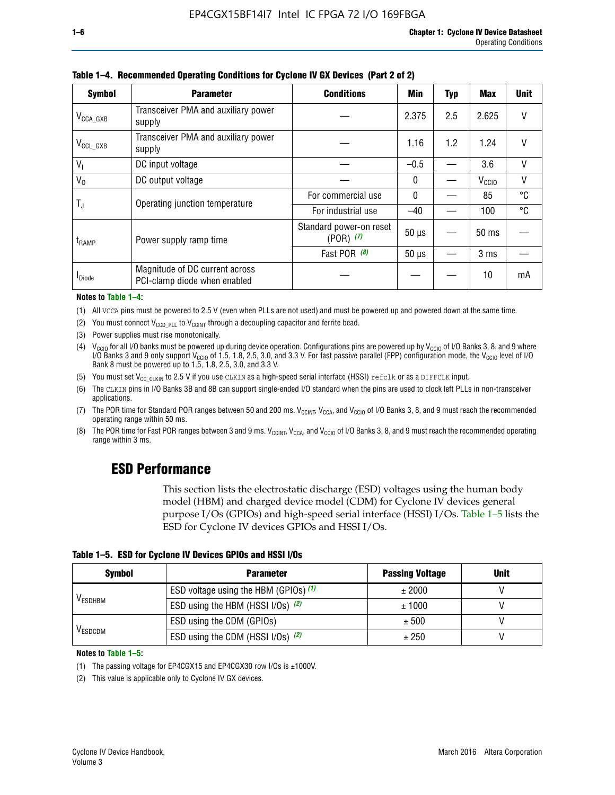| <b>Symbol</b>         | <b>Parameter</b>                                               | <b>Conditions</b>                        | Min          | <b>Typ</b> | Max               | <b>Unit</b> |
|-----------------------|----------------------------------------------------------------|------------------------------------------|--------------|------------|-------------------|-------------|
| $V_{\text{CCA\_GXB}}$ | Transceiver PMA and auxiliary power<br>supply                  |                                          | 2.375        | 2.5        | 2.625             | V           |
| $V_{\rm CCL\_GXB}$    | Transceiver PMA and auxiliary power<br>supply                  |                                          | 1.16         | 1.2        | 1.24              | V           |
| $V_{1}$               | DC input voltage                                               |                                          | $-0.5$       |            | 3.6               | V           |
| $V_0$                 | DC output voltage                                              |                                          | $\mathbf{0}$ |            | V <sub>CCIO</sub> | V           |
|                       | Operating junction temperature                                 | For commercial use                       | $\mathbf{0}$ |            | 85                | °C          |
| T,                    |                                                                | For industrial use                       | $-40$        |            | 100               | °C          |
| $t_{\rm{RAMP}}$       | Power supply ramp time                                         | Standard power-on reset<br>$(POR)$ $(7)$ | $50 \mu s$   |            | $50$ ms           |             |
|                       |                                                                | Fast POR (8)                             | $50 \mu s$   |            | 3 <sub>ms</sub>   |             |
| <b>I</b> Diode        | Magnitude of DC current across<br>PCI-clamp diode when enabled |                                          |              |            | 10                | mA          |

**Table 1–4. Recommended Operating Conditions for Cyclone IV GX Devices (Part 2 of 2)**

#### **Notes to Table 1–4:**

- (1) All VCCA pins must be powered to 2.5 V (even when PLLs are not used) and must be powered up and powered down at the same time.
- (2) You must connect  $V_{CCD-PLL}$  to  $V_{CCINT}$  through a decoupling capacitor and ferrite bead.
- (3) Power supplies must rise monotonically.
- (4)  $V_{\text{CCIO}}$  for all I/O banks must be powered up during device operation. Configurations pins are powered up by V<sub>CCIO</sub> of I/O Banks 3, 8, and 9 where I/O Banks 3 and 9 only support V<sub>CCIO</sub> of 1.5, 1.8, 2.5, 3.0, and 3.3 V. For fast passive parallel (FPP) configuration mode, the V<sub>CCIO</sub> level of I/O<br>Bank 8 must be powered up to 1.5, 1.8, 2.5, 3.0, and 3.3 V.
- (5) You must set  $V_{CC_CCLKIN}$  to 2.5 V if you use CLKIN as a high-speed serial interface (HSSI) refclk or as a DIFFCLK input.
- (6) The CLKIN pins in I/O Banks 3B and 8B can support single-ended I/O standard when the pins are used to clock left PLLs in non-transceiver applications.
- (7) The POR time for Standard POR ranges between 50 and 200 ms.  $V_{\text{CCIA}}$ ,  $V_{\text{CCIA}}$ , and  $V_{\text{CCIO}}$  of I/O Banks 3, 8, and 9 must reach the recommended operating range within 50 ms.
- (8) The POR time for Fast POR ranges between 3 and 9 ms.  $V_{\text{CCH},T}$ ,  $V_{\text{CCA}}$ , and  $V_{\text{CCI}}$  of I/O Banks 3, 8, and 9 must reach the recommended operating range within 3 ms.

### **ESD Performance**

This section lists the electrostatic discharge (ESD) voltages using the human body model (HBM) and charged device model (CDM) for Cyclone IV devices general purpose I/Os (GPIOs) and high-speed serial interface (HSSI) I/Os. Table 1–5 lists the ESD for Cyclone IV devices GPIOs and HSSI I/Os.

|  |  |  |  | Table 1–5. ESD for Cyclone IV Devices GPIOs and HSSI I/Os |  |
|--|--|--|--|-----------------------------------------------------------|--|
|--|--|--|--|-----------------------------------------------------------|--|

| <b>Symbol</b>  | <b>Parameter</b>                      | <b>Passing Voltage</b> | <b>Unit</b> |
|----------------|---------------------------------------|------------------------|-------------|
|                | ESD voltage using the HBM (GPIOs) (1) | ± 2000                 |             |
| <b>VESDHBM</b> | ESD using the HBM (HSSI I/Os) (2)     | ± 1000                 |             |
|                | ESD using the CDM (GPIOs)             | ± 500                  |             |
| <b>VESDCDM</b> | ESD using the CDM (HSSI I/Os) (2)     | ± 250                  |             |

#### **Notes to Table 1–5:**

(1) The passing voltage for EP4CGX15 and EP4CGX30 row I/Os is ±1000V.

(2) This value is applicable only to Cyclone IV GX devices.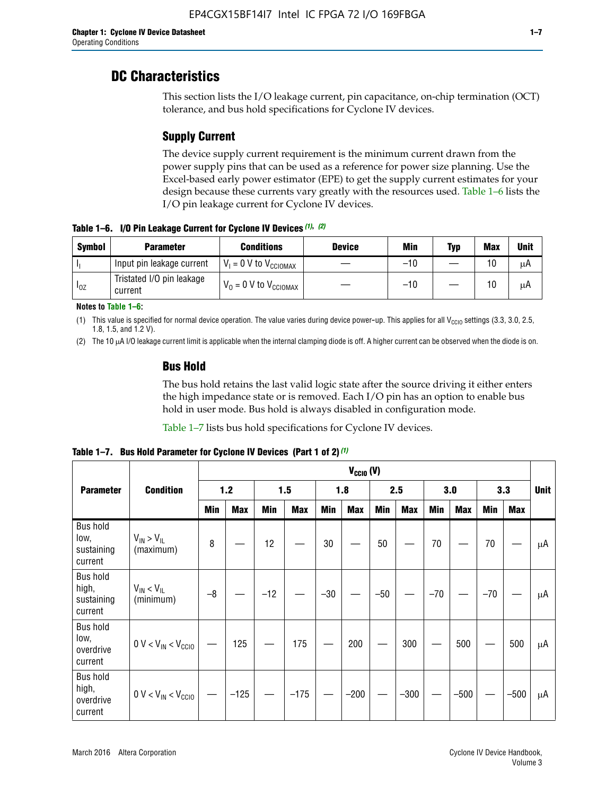### **DC Characteristics**

This section lists the I/O leakage current, pin capacitance, on-chip termination (OCT) tolerance, and bus hold specifications for Cyclone IV devices.

### **Supply Current**

The device supply current requirement is the minimum current drawn from the power supply pins that can be used as a reference for power size planning. Use the Excel-based early power estimator (EPE) to get the supply current estimates for your design because these currents vary greatly with the resources used. Table 1–6 lists the I/O pin leakage current for Cyclone IV devices.

**Table 1–6. I/O Pin Leakage Current for Cyclone IV Devices** *(1)***,** *(2)*

| <b>Symbol</b> | <b>Parameter</b>                     | <b>Conditions</b>            | <b>Device</b> | Min   | Typ | <b>Max</b> | <b>Unit</b> |
|---------------|--------------------------------------|------------------------------|---------------|-------|-----|------------|-------------|
|               | Input pin leakage current            | $V_1 = 0$ V to $V_{CGIOMAX}$ |               | $-10$ |     | 10         | μA          |
| $I_{0Z}$      | Tristated I/O pin leakage<br>current | $V_0 = 0 V to V_{CCIOMAX}$   |               | $-10$ |     | 10         | μA          |

**Notes to Table 1–6:**

(1) This value is specified for normal device operation. The value varies during device power-up. This applies for all V<sub>CCIO</sub> settings (3.3, 3.0, 2.5, 1.8, 1.5, and 1.2 V).

(2) The 10 µA I/O leakage current limit is applicable when the internal clamping diode is off. A higher current can be observed when the diode is on.

### **Bus Hold**

The bus hold retains the last valid logic state after the source driving it either enters the high impedance state or is removed. Each I/O pin has an option to enable bus hold in user mode. Bus hold is always disabled in configuration mode.

Table 1–7 lists bus hold specifications for Cyclone IV devices.

|                                                   |                                  |            | $V_{CClO}$ (V) |       |            |            |            |            |            |       |            |       |            |             |
|---------------------------------------------------|----------------------------------|------------|----------------|-------|------------|------------|------------|------------|------------|-------|------------|-------|------------|-------------|
| <b>Parameter</b>                                  | <b>Condition</b>                 | 1.2        |                | 1.5   |            | 1.8        |            | 2.5        |            | 3.0   |            | 3.3   |            | <b>Unit</b> |
|                                                   |                                  | <b>Min</b> | <b>Max</b>     | Min   | <b>Max</b> | <b>Min</b> | <b>Max</b> | <b>Min</b> | <b>Max</b> | Min   | <b>Max</b> | Min   | <b>Max</b> |             |
| <b>Bus hold</b><br>low,<br>sustaining<br>current  | $V_{IN}$ > $V_{IL}$<br>(maximum) | 8          |                | 12    |            | $30\,$     |            | 50         |            | 70    |            | 70    |            | μA          |
| <b>Bus hold</b><br>high,<br>sustaining<br>current | $V_{IN}$ < $V_{IL}$<br>(minimum) | $-8$       |                | $-12$ |            | $-30$      |            | $-50$      |            | $-70$ |            | $-70$ |            | μA          |
| <b>Bus hold</b><br>low,<br>overdrive<br>current   | $0 V < V_{IN} < V_{CG10}$        |            | 125            |       | 175        |            | 200        |            | 300        |       | 500        |       | 500        | μA          |
| <b>Bus hold</b><br>high,<br>overdrive<br>current  | $0 V < V_{IN} < V_{CG10}$        |            | $-125$         |       | $-175$     |            | $-200$     |            | $-300$     |       | $-500$     |       | $-500$     | μA          |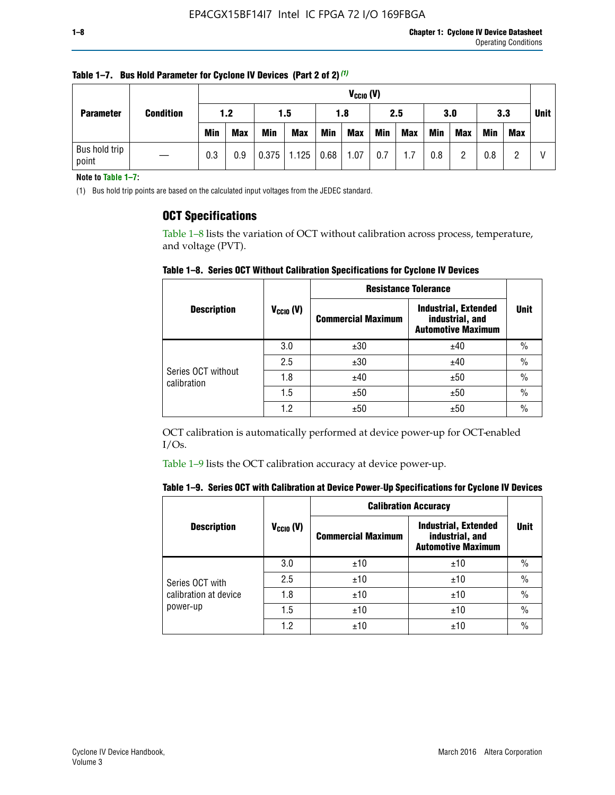| <b>Parameter</b>       | <b>Condition</b> |            | $V_{CClO}$ (V) |            |            |      |            |     |     |     |            |            |     |   |
|------------------------|------------------|------------|----------------|------------|------------|------|------------|-----|-----|-----|------------|------------|-----|---|
|                        |                  | 1.2        |                |            | 1.5        |      | 1.8        |     | 2.5 |     | 3.0        |            | 3.3 |   |
|                        |                  | <b>Min</b> | Max            | <b>Min</b> | <b>Max</b> | Min  | <b>Max</b> | Min | Max | Min | <b>Max</b> | <b>Min</b> | Max |   |
| Bus hold trip<br>point |                  | 0.3        | 0.9            | 0.375      | 1.125      | 0.68 | 1.07       | 0.7 | 1.7 | 0.8 | ŋ          | 0.8        |     | V |

**Table 1–7. Bus Hold Parameter for Cyclone IV Devices (Part 2 of 2)** *(1)*

**Note to Table 1–7:**

(1) Bus hold trip points are based on the calculated input voltages from the JEDEC standard.

### **OCT Specifications**

Table 1–8 lists the variation of OCT without calibration across process, temperature, and voltage (PVT).

**Table 1–8. Series OCT Without Calibration Specifications for Cyclone IV Devices**

|                                   |                       | <b>Resistance Tolerance</b> |                                                                             |               |
|-----------------------------------|-----------------------|-----------------------------|-----------------------------------------------------------------------------|---------------|
| <b>Description</b>                | $V_{\text{CCIO}}$ (V) | <b>Commercial Maximum</b>   | <b>Industrial, Extended</b><br>industrial, and<br><b>Automotive Maximum</b> | <b>Unit</b>   |
|                                   | 3.0                   | ±30                         | ±40                                                                         | $\frac{0}{0}$ |
|                                   | 2.5                   | ±30                         | ±40                                                                         | $\frac{0}{0}$ |
| Series OCT without<br>calibration | 1.8                   | ±40                         | ±50                                                                         | $\frac{0}{0}$ |
|                                   | 1.5                   | ±50                         | ±50                                                                         | $\frac{0}{0}$ |
|                                   | 1.2                   | ±50                         | ±50                                                                         | $\frac{0}{0}$ |

OCT calibration is automatically performed at device power-up for OCT-enabled I/Os.

Table 1–9 lists the OCT calibration accuracy at device power-up.

|  | Table 1–9.  Series OCT with Calibration at Device Power-Up Specifications for Cyclone IV Devices |  |  |  |
|--|--------------------------------------------------------------------------------------------------|--|--|--|
|--|--------------------------------------------------------------------------------------------------|--|--|--|

|                       |                | <b>Calibration Accuracy</b> |                                                                             |               |
|-----------------------|----------------|-----------------------------|-----------------------------------------------------------------------------|---------------|
| <b>Description</b>    | $V_{CGI0} (V)$ | <b>Commercial Maximum</b>   | <b>Industrial, Extended</b><br>industrial, and<br><b>Automotive Maximum</b> | Unit          |
|                       | 3.0            | ±10                         | ±10                                                                         | $\%$          |
| Series OCT with       | 2.5            | ±10                         | ±10                                                                         | $\%$          |
| calibration at device | 1.8            | ±10                         | ±10                                                                         | $\frac{0}{0}$ |
| power-up              | 1.5            | ±10                         | ±10                                                                         | $\frac{0}{0}$ |
|                       | 1.2            | ±10                         | ±10                                                                         | $\frac{0}{0}$ |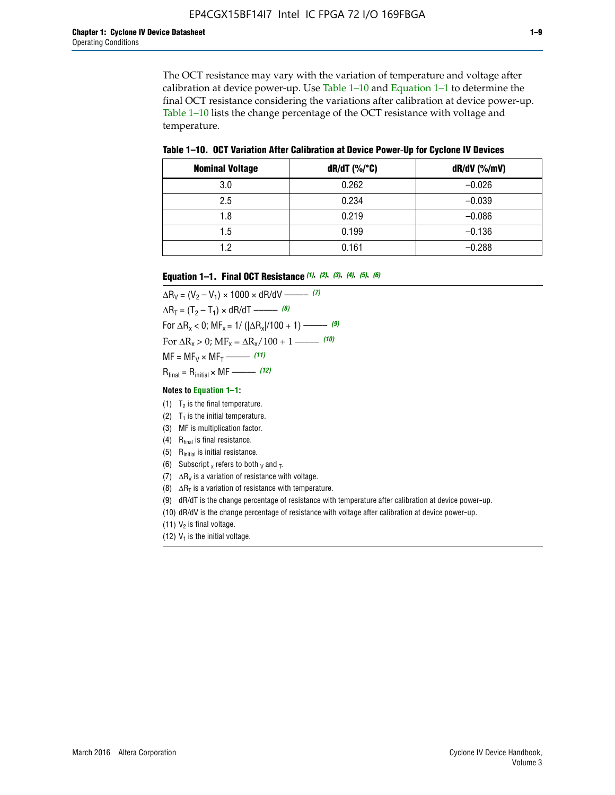The OCT resistance may vary with the variation of temperature and voltage after calibration at device power-up. Use Table 1–10 and Equation 1–1 to determine the final OCT resistance considering the variations after calibration at device power-up. Table 1–10 lists the change percentage of the OCT resistance with voltage and temperature.

**Table 1–10. OCT Variation After Calibration at Device Power**-**Up for Cyclone IV Devices**

| <b>Nominal Voltage</b> | dR/dT (%/°C) | $dR/dV$ (%/mV) |
|------------------------|--------------|----------------|
| 3.0                    | 0.262        | $-0.026$       |
| 2.5                    | 0.234        | $-0.039$       |
| 1.8                    | 0.219        | $-0.086$       |
| 1.5                    | 0.199        | $-0.136$       |
| 1.2                    | 0.161        | $-0.288$       |

#### **Equation 1–1. Final OCT Resistance** *(1)***,** *(2)***,** *(3)***,** *(4)***,** *(5)***,** *(6)*

 $\Delta R_V = (V_2 - V_1) \times 1000 \times dR/dV$  ––––––––––––(7)  $\Delta R_T = (T_2 - T_1) \times dR/dT$  ––––––– (8) For  $\Delta R_x < 0$ ; MF<sub>x</sub> = 1/ ( $|\Delta R_x|/100 + 1$ ) –––––– (9) For  $\Delta R_x > 0$ ;  $\text{MF}_x = \Delta R_x / 100 + 1$  ——– (10)  $MF = MF_V \times MF_T$  –––––––––––(11) Rfinal = Rinitial × MF ––––– *(12)*

#### **Notes to Equation 1–1:**

- (1)  $T_2$  is the final temperature.
- (2)  $T_1$  is the initial temperature.
- (3) MF is multiplication factor.
- (4)  $R<sub>final</sub>$  is final resistance.
- (5) Rinitial is initial resistance.
- (6) Subscript x refers to both  $\sqrt{v}$  and  $\sqrt{v}$ .
- (7)  $\Delta R_V$  is a variation of resistance with voltage.
- (8)  $\Delta R_T$  is a variation of resistance with temperature.
- (9) dR/dT is the change percentage of resistance with temperature after calibration at device power-up.
- (10) dR/dV is the change percentage of resistance with voltage after calibration at device power-up.
- (11)  $V_2$  is final voltage.
- (12)  $V_1$  is the initial voltage.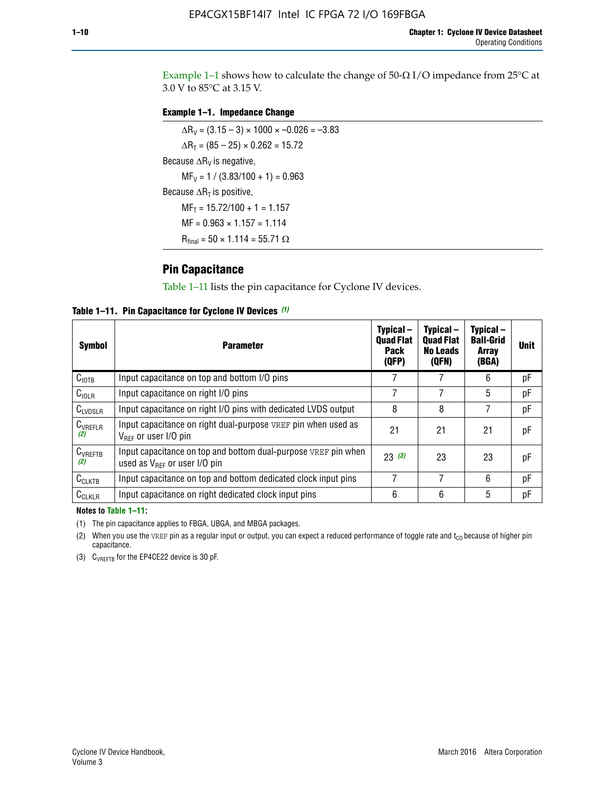Example 1-1 shows how to calculate the change of  $50$ - $\Omega$  I/O impedance from 25°C at 3.0 V to 85°C at 3.15 V.

### **Example 1–1. Impedance Change**

 $\Delta R_V = (3.15 - 3) \times 1000 \times -0.026 = -3.83$  $\Delta R_T = (85 - 25) \times 0.262 = 15.72$ Because  $\Delta R_V$  is negative,  $MF_V = 1 / (3.83/100 + 1) = 0.963$ Because  $\Delta R_T$  is positive,  $MF_T = 15.72/100 + 1 = 1.157$  $MF = 0.963 \times 1.157 = 1.114$  $R_{final} = 50 \times 1.114 = 55.71 \Omega$ 

### **Pin Capacitance**

Table 1–11 lists the pin capacitance for Cyclone IV devices.

**Table 1–11. Pin Capacitance for Cyclone IV Devices** *(1)*

| <b>Symbol</b>       | <b>Parameter</b>                                                                                    | Typical-<br><b>Quad Flat</b><br><b>Pack</b><br>(QFP) | Typical-<br><b>Quad Flat</b><br><b>No Leads</b><br>(QFN) | Typical-<br><b>Ball-Grid</b><br><b>Array</b><br>(BGA) | <b>Unit</b> |
|---------------------|-----------------------------------------------------------------------------------------------------|------------------------------------------------------|----------------------------------------------------------|-------------------------------------------------------|-------------|
| C <sub>IOTB</sub>   | Input capacitance on top and bottom I/O pins                                                        |                                                      |                                                          | 6                                                     | рF          |
| $C_{IOLR}$          | Input capacitance on right I/O pins                                                                 |                                                      |                                                          | 5                                                     | pF          |
| $C_{LVDSLR}$        | Input capacitance on right I/O pins with dedicated LVDS output                                      | 8                                                    | 8                                                        | 7                                                     | рF          |
| $C_{VREFLR}$<br>(2) | Input capacitance on right dual-purpose VREF pin when used as<br>$V_{BFF}$ or user I/O pin          | 21                                                   | 21                                                       | 21                                                    | pF          |
| $C_{VREFTB}$<br>(2) | Input capacitance on top and bottom dual-purpose VREF pin when<br>used as $V_{BFF}$ or user I/O pin | 23(3)                                                | 23                                                       | 23                                                    | рF          |
| $C_{CLKTB}$         | Input capacitance on top and bottom dedicated clock input pins                                      |                                                      | 7                                                        | 6                                                     | рF          |
| $C_{CLKLR}$         | Input capacitance on right dedicated clock input pins                                               | 6                                                    | 6                                                        | 5                                                     | рF          |

#### **Notes to Table 1–11:**

(1) The pin capacitance applies to FBGA, UBGA, and MBGA packages.

(2) When you use the VREF pin as a regular input or output, you can expect a reduced performance of toggle rate and  $t_{\rm CO}$  because of higher pin capacitance.

(3) CVREFTB for the EP4CE22 device is 30 pF.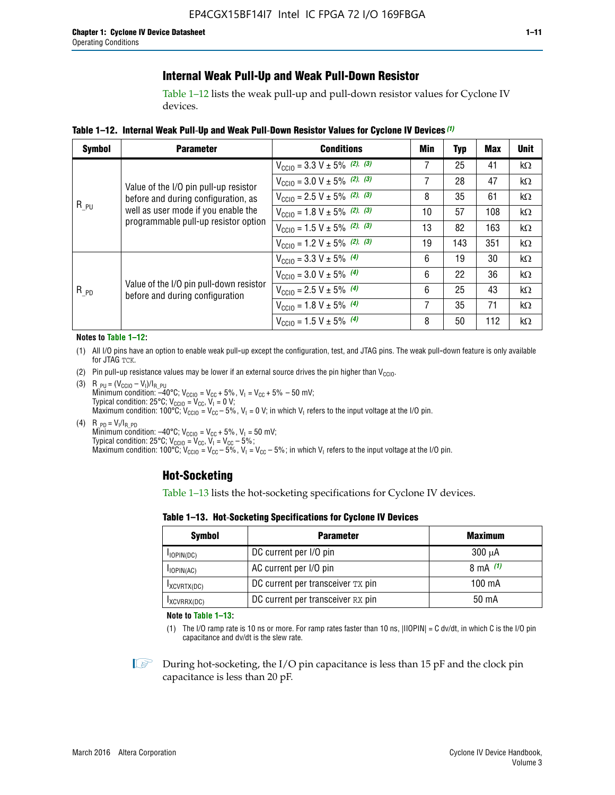### **Internal Weak Pull-Up and Weak Pull-Down Resistor**

Table 1–12 lists the weak pull-up and pull-down resistor values for Cyclone IV devices.

**Table 1–12. Internal Weak Pull**-**Up and Weak Pull**-**Down Resistor Values for Cyclone IV Devices** *(1)*

| <b>Symbol</b> | <b>Parameter</b>                                                            | <b>Conditions</b>                                  | Min | Typ | <b>Max</b> | <b>Unit</b> |
|---------------|-----------------------------------------------------------------------------|----------------------------------------------------|-----|-----|------------|-------------|
|               |                                                                             | $V_{\text{CC10}} = 3.3 \text{ V} \pm 5\%$ (2), (3) |     | 25  | 41         | kΩ          |
|               | Value of the I/O pin pull-up resistor                                       | $V_{\text{CC10}} = 3.0 \text{ V} \pm 5\%$ (2), (3) | 7   | 28  | 47         | $k\Omega$   |
|               | before and during configuration, as                                         | $V_{\text{CC10}} = 2.5 V \pm 5\%$ (2), (3)         | 8   | 35  | 61         | kΩ          |
| $R_{PU}$      | well as user mode if you enable the<br>programmable pull-up resistor option | $V_{\text{CC10}} = 1.8 V \pm 5\%$ (2), (3)         | 10  | 57  | 108        | kΩ          |
|               |                                                                             | $V_{\text{CC10}} = 1.5 V \pm 5\%$ (2), (3)         | 13  | 82  | 163        | kΩ          |
|               |                                                                             | $V_{\text{CC10}} = 1.2 \text{ V} \pm 5\%$ (2), (3) | 19  | 143 | 351        | kΩ          |
|               |                                                                             | $V_{\text{CC10}} = 3.3 V \pm 5\%$ (4)              | 6   | 19  | 30         | kΩ          |
|               |                                                                             | $V_{\text{CC10}} = 3.0 V \pm 5\%$ (4)              | 6   | 22  | 36         | kΩ          |
| $R_{PD}$      | Value of the I/O pin pull-down resistor<br>before and during configuration  | $V_{\text{CC10}} = 2.5 V \pm 5\%$ (4)              | 6   | 25  | 43         | kΩ          |
|               |                                                                             | $V_{\text{CC10}} = 1.8 \text{ V} \pm 5\%$ (4)      | 7   | 35  | 71         | kΩ          |
|               |                                                                             | $V_{\text{CC10}} = 1.5 V \pm 5\%$ (4)              | 8   | 50  | 112        | kΩ          |

#### **Notes to Table 1–12:**

- (1) All I/O pins have an option to enable weak pull-up except the configuration, test, and JTAG pins. The weak pull-down feature is only available for JTAG TCK.
- (2) Pin pull-up resistance values may be lower if an external source drives the pin higher than  $V_{\text{CCIO}}$ .
- (3)  $R_{PU} = (V_{CC10} V_1)/I_{R_PU}$ Minimum condition: –40°C; V<sub>CCIO</sub> = V<sub>CC</sub> + 5%, V<sub>I</sub> = V<sub>CC</sub> + 5% – 50 mV; Typical condition: 25°C; V<sub>CCIO</sub> = V<sub>CC</sub>, V<sub>I</sub> = 0 V; Maximum condition: 100°C;  $V_{\text{CCIO}} = V_{\text{CC}} - 5\%$ ,  $V_1 = 0$  V; in which V<sub>I</sub> refers to the input voltage at the I/O pin.
- (4)  $R_{PD} = V_I/I_{R_PD}$ Minimum condition:  $-40^{\circ}$ C; V<sub>CCIO</sub> = V<sub>CC</sub> + 5%, V<sub>I</sub> = 50 mV; Typical condition: 25°C;  $V_{\text{CCIO}} = V_{\text{CC}}$ ,  $V_{\text{I}} = V_{\text{CC}} - 5\%$ ; Maximum condition: 100°C; V<sub>CClO</sub> = V<sub>CC</sub> – 5%, V<sub>I</sub> = V<sub>CC</sub> – 5%; in which V<sub>I</sub> refers to the input voltage at the I/O pin.

### **Hot-Socketing**

Table 1–13 lists the hot-socketing specifications for Cyclone IV devices.

**Table 1–13. Hot**-**Socketing Specifications for Cyclone IV Devices**

| <b>Symbol</b> | <b>Parameter</b>                  | <b>Maximum</b> |
|---------------|-----------------------------------|----------------|
| $I$ IOPIN(DC) | DC current per I/O pin            | $300 \mu A$    |
| $I$ IOPIN(AC) | AC current per I/O pin            | 8 mA $(1)$     |
| IXCVRTX(DC)   | DC current per transceiver TX pin | 100 mA         |
| IXCVRRX(DC)   | DC current per transceiver RX pin | 50 mA          |

**Note to Table 1–13:**

(1) The I/O ramp rate is 10 ns or more. For ramp rates faster than 10 ns, |IIOPIN| = C dv/dt, in which C is the I/O pin capacitance and dv/dt is the slew rate.

 $\mathbb{I} \rightarrow \mathbb{I}$  During hot-socketing, the I/O pin capacitance is less than 15 pF and the clock pin capacitance is less than 20 pF.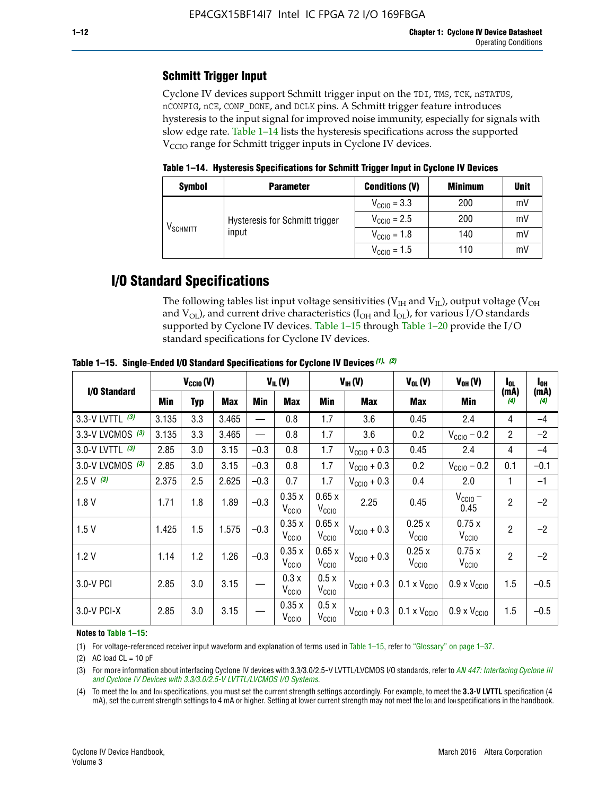### **Schmitt Trigger Input**

Cyclone IV devices support Schmitt trigger input on the TDI, TMS, TCK, nSTATUS, nCONFIG, nCE, CONF\_DONE, and DCLK pins. A Schmitt trigger feature introduces hysteresis to the input signal for improved noise immunity, especially for signals with slow edge rate. Table 1–14 lists the hysteresis specifications across the supported  $V<sub>CCIO</sub>$  range for Schmitt trigger inputs in Cyclone IV devices.

**Table 1–14. Hysteresis Specifications for Schmitt Trigger Input in Cyclone IV Devices**

| <b>Symbol</b>        | <b>Parameter</b>               | <b>Conditions (V)</b>   | <b>Minimum</b> | <b>Unit</b> |
|----------------------|--------------------------------|-------------------------|----------------|-------------|
| V <sub>SCHMITT</sub> |                                | $V_{\text{CCIO}} = 3.3$ | 200            | mV          |
|                      | Hysteresis for Schmitt trigger | $V_{\text{CGI0}} = 2.5$ | 200            | mV          |
|                      | input                          | $V_{\text{CCIO}} = 1.8$ | 140            | mV          |
|                      |                                | $V_{\text{CCIO}} = 1.5$ | 110            | mV          |

# **I/O Standard Specifications**

The following tables list input voltage sensitivities ( $V<sub>IH</sub>$  and  $V<sub>II</sub>$ ), output voltage ( $V<sub>OH</sub>$ and  $V_{OL}$ ), and current drive characteristics ( $I_{OH}$  and  $I_{OL}$ ), for various I/O standards supported by Cyclone IV devices. Table 1–15 through Table 1–20 provide the I/O standard specifications for Cyclone IV devices.

|                    | $V_{CClO}(V)$ |     |       | $V_{IL}(V)$ |                            | $V_{IH} (V)$               | $V_{OL}(V)$             | $V_{OH} (V)$                                    | l <sub>ol</sub>              | $I_{0H}$       |                          |
|--------------------|---------------|-----|-------|-------------|----------------------------|----------------------------|-------------------------|-------------------------------------------------|------------------------------|----------------|--------------------------|
| I/O Standard       | <b>Min</b>    | Typ | Max   | Min         | Max                        | Min                        | <b>Max</b>              | Max                                             | Min                          | (mA)<br>(4)    | (mA)<br>$\left(4\right)$ |
| 3.3-V LVTTL (3)    | 3.135         | 3.3 | 3.465 |             | 0.8                        | 1.7                        | 3.6                     | 0.45                                            | 2.4                          | 4              | $-4$                     |
| 3.3-V LVCMOS $(3)$ | 3.135         | 3.3 | 3.465 |             | 0.8                        | 1.7                        | 3.6                     | 0.2                                             | $V_{\text{CC10}} - 0.2$      | $\overline{2}$ | $-2$                     |
| 3.0-V LVTTL (3)    | 2.85          | 3.0 | 3.15  | $-0.3$      | 0.8                        | 1.7                        | $V_{\text{CC10}} + 0.3$ | 0.45                                            | 2.4                          | 4              | $-4$                     |
| 3.0-V LVCMOS (3)   | 2.85          | 3.0 | 3.15  | $-0.3$      | 0.8                        | 1.7                        | $V_{\text{CC10}} + 0.3$ | 0.2                                             | $V_{\text{CC10}} - 0.2$      | 0.1            | $-0.1$                   |
| $2.5 V$ (3)        | 2.375         | 2.5 | 2.625 | $-0.3$      | 0.7                        | 1.7                        | $V_{\text{CGI0}} + 0.3$ | 0.4                                             | 2.0                          | 1              | $-1$                     |
| 1.8V               | 1.71          | 1.8 | 1.89  | $-0.3$      | 0.35x<br>V <sub>CCIO</sub> | 0.65x<br>V <sub>CCIO</sub> | 2.25                    | 0.45                                            | $V_{CGIO}$ –<br>0.45         | $\overline{2}$ | $-2$                     |
| 1.5V               | 1.425         | 1.5 | 1.575 | $-0.3$      | 0.35x<br>V <sub>CCIO</sub> | 0.65x<br>V <sub>CCIO</sub> | $V_{\text{CC10}} + 0.3$ | 0.25x<br>V <sub>CCIO</sub>                      | 0.75x<br>V <sub>CCIO</sub>   | $\overline{2}$ | $-2$                     |
| 1.2V               | 1.14          | 1.2 | 1.26  | $-0.3$      | 0.35x<br>V <sub>CCIO</sub> | 0.65x<br>V <sub>CCIO</sub> | $V_{\text{CC10}} + 0.3$ | 0.25x<br>V <sub>CCIO</sub>                      | 0.75x<br>V <sub>CCIO</sub>   | $\overline{2}$ | $-2$                     |
| 3.0-V PCI          | 2.85          | 3.0 | 3.15  |             | 0.3x<br>V <sub>CCIO</sub>  | 0.5x<br>V <sub>CCIO</sub>  | $V_{\text{CCI0}} + 0.3$ | $0.1 \times V_{\text{CC10}}$                    | $0.9 \times V_{\text{CC10}}$ | 1.5            | $-0.5$                   |
| $3.0 - V$ PCI-X    | 2.85          | 3.0 | 3.15  |             | 0.35x<br>V <sub>CCIO</sub> | 0.5x<br>V <sub>CCIO</sub>  |                         | $V_{\text{CC10}} + 0.3$ 0.1 x $V_{\text{CC10}}$ | $0.9 \times V_{\text{CC10}}$ | 1.5            | $-0.5$                   |

**Table 1–15. Single**-**Ended I/O Standard Specifications for Cyclone IV Devices** *(1)***,** *(2)*

#### **Notes to Table 1–15:**

(1) For voltage-referenced receiver input waveform and explanation of terms used in Table 1–15, refer to "Glossary" on page 1–37.

(2) AC load  $CL = 10$  pF

(3) For more information about interfacing Cyclone IV devices with 3.3/3.0/2.5-V LVTTL/LVCMOS I/O standards, refer to *[AN 447: Interfacing Cyclone III](http://www.altera.com/literature/an/an447.pdf)  [and Cyclone IV Devices with 3.3/3.0/2.5-V LVTTL/LVCMOS I/O Systems](http://www.altera.com/literature/an/an447.pdf)*.

(4) To meet the IOL and IOH specifications, you must set the current strength settings accordingly. For example, to meet the **3.3-V LVTTL** specification (4 mA), set the current strength settings to 4 mA or higher. Setting at lower current strength may not meet the lou and lon specifications in the handbook.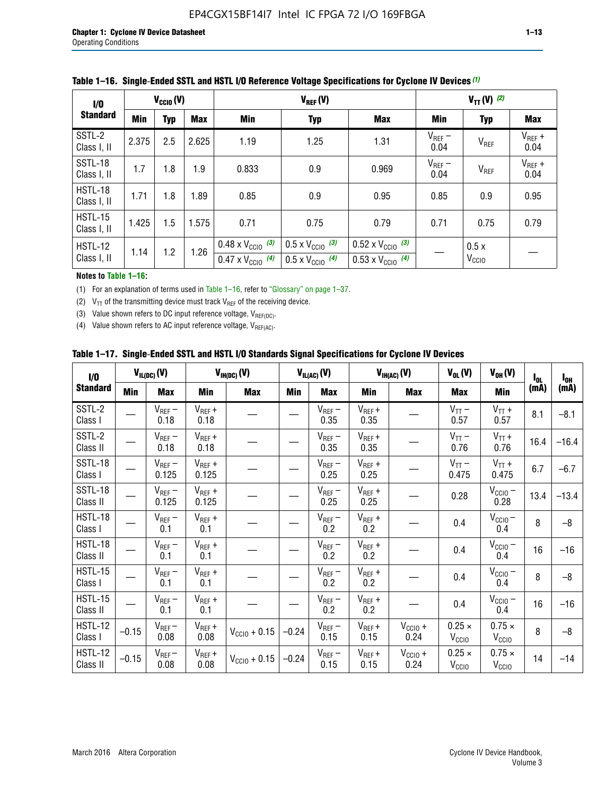| 1/0<br><b>Standard</b>        | $V_{\text{CCIO}}(V)$ |     |            |                                                                        | $V_{REF}(V)$                                                         | $V_{TT} (V)$ (2)                                                       |                     |                           |                     |
|-------------------------------|----------------------|-----|------------|------------------------------------------------------------------------|----------------------------------------------------------------------|------------------------------------------------------------------------|---------------------|---------------------------|---------------------|
|                               | Min                  | Typ | <b>Max</b> | Min                                                                    | <b>Typ</b>                                                           | <b>Max</b>                                                             | Min                 | <b>Typ</b>                | <b>Max</b>          |
| SSTL-2<br>Class I, II         | 2.375                | 2.5 | 2.625      | 1.19                                                                   | 1.25                                                                 | 1.31                                                                   | $V_{REF}$ –<br>0.04 | V <sub>REF</sub>          | $V_{REF}$ +<br>0.04 |
| SSTL-18<br>Class I, II        | 1.7                  | 1.8 | 1.9        | 0.833                                                                  | 0.9                                                                  | 0.969                                                                  | $V_{REF}$ –<br>0.04 | V <sub>REF</sub>          | $V_{REF}$ +<br>0.04 |
| HSTL-18<br>Class I, II        | 1.71                 | 1.8 | 1.89       | 0.85                                                                   | 0.9                                                                  | 0.95                                                                   | 0.85                | 0.9                       | 0.95                |
| <b>HSTL-15</b><br>Class I, II | 1.425                | 1.5 | 1.575      | 0.71                                                                   | 0.79<br>0.75                                                         |                                                                        | 0.71                | 0.75                      | 0.79                |
| HSTL-12<br>Class I, II        | 1.14                 | 1.2 | 1.26       | $0.48 \times V_{\text{CC10}}$ (3)<br>$0.47 \times V_{\text{CC10}}$ (4) | $0.5 \times V_{\text{CC10}}$ (3)<br>$0.5 \times V_{\text{CC10}}$ (4) | $0.52 \times V_{\text{CC10}}$ (3)<br>$0.53 \times V_{\text{CC10}}$ (4) |                     | 0.5x<br>V <sub>CCIO</sub> |                     |

### **Table 1–16. Single**-**Ended SSTL and HSTL I/O Reference Voltage Specifications for Cyclone IV Devices** *(1)*

#### **Notes to Table 1–16:**

(1) For an explanation of terms used in Table 1–16, refer to "Glossary" on page 1–37.

(2)  $V_{TT}$  of the transmitting device must track  $V_{REF}$  of the receiving device.

(3) Value shown refers to DC input reference voltage,  $V_{REF(DC)}$ .

(4) Value shown refers to AC input reference voltage,  $V_{REF(AC)}$ .

|  |  |  |  |  | Table 1–17.  Single-Ended SSTL and HSTL I/O Standards Signal Specifications for Cyclone IV Devices |
|--|--|--|--|--|----------------------------------------------------------------------------------------------------|
|--|--|--|--|--|----------------------------------------------------------------------------------------------------|

| I/O                        |            | $V_{IL(DC)}(V)$      |                      | $V_{IH(DC)}(V)$   | $V_{IL(AC)}(V)$ |                     | $V_{IH(AC)}(V)$     |                      | $V_{OL}(V)$                        | $V_{OH} (V)$                       | $I_{0L}$ | $I_{0H}$ |
|----------------------------|------------|----------------------|----------------------|-------------------|-----------------|---------------------|---------------------|----------------------|------------------------------------|------------------------------------|----------|----------|
| <b>Standard</b>            | <b>Min</b> | Max                  | Min                  | <b>Max</b>        | Min             | Max                 | Min                 | <b>Max</b>           | <b>Max</b>                         | Min                                | (mA)     | (mA)     |
| SSTL-2<br>Class I          |            | $V_{REF}$ –<br>0.18  | $V_{REF} +$<br>0.18  |                   |                 | $V_{REF}-$<br>0.35  | $V_{REF} +$<br>0.35 |                      | $V_{TT}$ –<br>0.57                 | $V_{TT}$ +<br>0.57                 | 8.1      | $-8.1$   |
| SSTL-2<br>Class II         |            | $V_{REF}$ –<br>0.18  | $V_{REF} +$<br>0.18  |                   |                 | $V_{REF}$ –<br>0.35 | $V_{REF} +$<br>0.35 |                      | $V_{TT}$ –<br>0.76                 | $V_{TT}$ +<br>0.76                 | 16.4     | $-16.4$  |
| <b>SSTL-18</b><br>Class I  |            | $V_{REF}$ –<br>0.125 | $V_{REF}$ +<br>0.125 |                   |                 | $V_{REF}$ –<br>0.25 | $V_{REF}$ +<br>0.25 |                      | $V_{TT}$ –<br>0.475                | $V_{TT}$ +<br>0.475                | 6.7      | $-6.7$   |
| <b>SSTL-18</b><br>Class II |            | $V_{REF}$ –<br>0.125 | $V_{REF}$ +<br>0.125 |                   |                 | $V_{REF}$ –<br>0.25 | $V_{REF}$ +<br>0.25 |                      | 0.28                               | $V_{CC10}$ –<br>0.28               | 13.4     | $-13.4$  |
| HSTL-18<br>Class I         |            | $V_{REF}$ –<br>0.1   | $V_{REF}$ +<br>0.1   |                   |                 | $V_{REF}$ –<br>0.2  | $V_{REF}$ +<br>0.2  |                      | 0.4                                | $V_{CCIO}$ –<br>0.4                | 8        | $-8$     |
| HSTL-18<br>Class II        |            | $V_{REF}$ –<br>0.1   | $V_{REF}$ +<br>0.1   |                   |                 | $V_{REF}$ –<br>0.2  | $V_{REF}$ +<br>0.2  |                      | 0.4                                | $V_{CC10}$ –<br>0.4                | 16       | $-16$    |
| HSTL-15<br>Class I         |            | $V_{REF}$ –<br>0.1   | $V_{REF}$ +<br>0.1   |                   |                 | $V_{REF}$ –<br>0.2  | $V_{REF}$ +<br>0.2  |                      | 0.4                                | $V_{\text{CC10}} -$<br>0.4         | 8        | $-8$     |
| HSTL-15<br>Class II        |            | $V_{REF}$ –<br>0.1   | $V_{REF} +$<br>0.1   |                   |                 | $V_{REF}$ –<br>0.2  | $V_{REF} +$<br>0.2  |                      | 0.4                                | $V_{CC10}$ –<br>0.4                | 16       | $-16$    |
| <b>HSTL-12</b><br>Class I  | $-0.15$    | $V_{REF}-$<br>0.08   | $V_{REF} +$<br>0.08  | $V_{CGI0} + 0.15$ | $-0.24$         | $V_{REF}$ –<br>0.15 | $V_{REF} +$<br>0.15 | $V_{CC10}$ +<br>0.24 | $0.25 \times$<br>V <sub>CCIO</sub> | $0.75 \times$<br>V <sub>CCIO</sub> | 8        | $-8$     |
| <b>HSTL-12</b><br>Class II | $-0.15$    | $V_{REF}$ –<br>0.08  | $V_{REF} +$<br>0.08  | $V_{CGI0} + 0.15$ | $-0.24$         | $V_{REF}$ –<br>0.15 | $V_{REF} +$<br>0.15 | $V_{CC10}$ +<br>0.24 | $0.25 \times$<br>V <sub>CCIO</sub> | $0.75 \times$<br>V <sub>CCIO</sub> | 14       | $-14$    |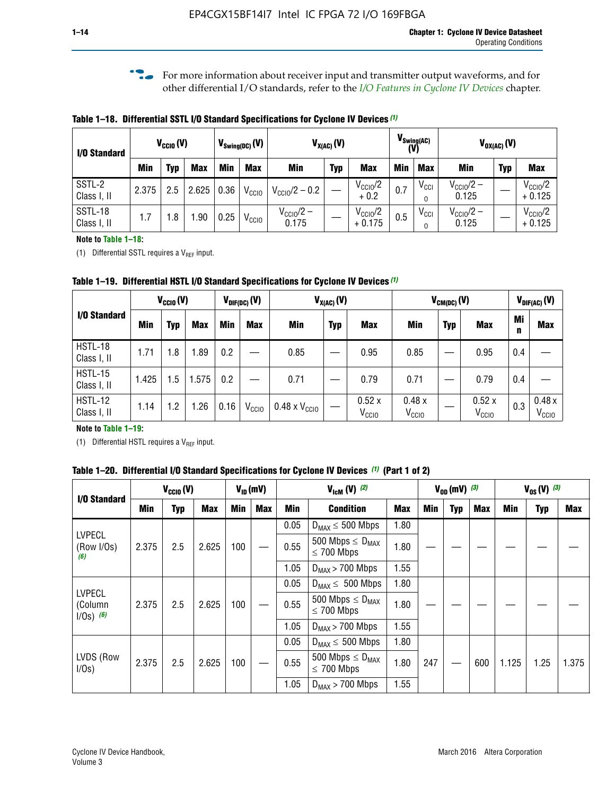**f For more information about receiver input and transmitter output waveforms, and for** other differential I/O standards, refer to the *[I/O Features in Cyclone IV Devices](http://www.altera.com/literature/hb/cyclone-iv/cyiv-51006.pdf)* chapter*.*

**Table 1–18. Differential SSTL I/O Standard Specifications for Cyclone IV Devices** *(1)*

| I/O Standard           |       | $V_{CCl0}(V)$ |            |      | $V_{\text{Swing(DC)}}(V)$<br>$V_{X(AC)}(V)$ |                                |            |                                 |            | $V_{\text{Swing(AC)}}$<br>(V) |                                | $V_{OX(AC)}(V)$ |                                 |
|------------------------|-------|---------------|------------|------|---------------------------------------------|--------------------------------|------------|---------------------------------|------------|-------------------------------|--------------------------------|-----------------|---------------------------------|
|                        | Min   | Typ           | <b>Max</b> | Min  | <b>Max</b>                                  | <b>Min</b>                     | <b>Typ</b> | <b>Max</b>                      | <b>Min</b> | <b>Max</b>                    | Min                            | <b>Typ</b>      | <b>Max</b>                      |
| SSTL-2<br>Class I, II  | 2.375 | 2.5           | 2.625      | 0.36 | V <sub>CCIO</sub>                           | $V_{\text{CC10}}/2 - 0.2$      |            | $V_{\text{CC1O}}/2$<br>$+0.2$   | 0.7        | $V_{\rm CCI}$                 | $V_{\text{CC10}}/2 -$<br>0.125 |                 | $V_{\text{CC10}}/2$<br>$+0.125$ |
| SSTL-18<br>Class I, II | 1.7   | .8            | .90        | 0.25 | V <sub>CCIO</sub>                           | $V_{\text{CC10}}/2 -$<br>0.175 |            | $V_{\text{CC10}}/2$<br>$+0.175$ | 0.5        | $V_{\rm CCI}$                 | $V_{\text{CC10}}/2 -$<br>0.125 |                 | $V_{\text{CC10}}/2$<br>$+0.125$ |

#### **Note to Table 1–18:**

(1) Differential SSTL requires a  $V_{REF}$  input.

**Table 1–19. Differential HSTL I/O Standard Specifications for Cyclone IV Devices** *(1)*

|                               | $V_{CClO}(V)$ |     |            | $V_{CM(DC)}(V)$<br>$V_{X(AC)}(V)$<br>$V_{\text{DIF(DC)}}(V)$ |                   |                               |            |                            | $V_{\text{DIF(AC)}}(V)$    |            |                            |         |                            |
|-------------------------------|---------------|-----|------------|--------------------------------------------------------------|-------------------|-------------------------------|------------|----------------------------|----------------------------|------------|----------------------------|---------|----------------------------|
| I/O Standard                  | Min           | Typ | <b>Max</b> | Min                                                          | <b>Max</b>        | Min                           | <b>Typ</b> | <b>Max</b>                 | Min                        | <b>Typ</b> | <b>Max</b>                 | Mi<br>n | <b>Max</b>                 |
| HSTL-18<br>Class I, II        | 1.71          | 1.8 | .89        | 0.2                                                          |                   | 0.85                          |            | 0.95                       | 0.85                       |            | 0.95                       | 0.4     |                            |
| <b>HSTL-15</b><br>Class I, II | 1.425         | 1.5 | .575       | $0.2\,$                                                      |                   | 0.71                          |            | 0.79                       | 0.71                       |            | 0.79                       | 0.4     |                            |
| <b>HSTL-12</b><br>Class I, II | 1.14          | 1.2 | 1.26       | 0.16                                                         | V <sub>CCIO</sub> | $0.48 \times V_{\text{CC10}}$ |            | 0.52x<br>V <sub>CCIO</sub> | 0.48x<br>V <sub>CCIO</sub> |            | 0.52x<br>V <sub>CCIO</sub> | 0.3     | 0.48x<br>V <sub>CCIO</sub> |

### **Note to Table 1–19:**

(1) Differential HSTL requires a  $V_{REF}$  input.

**Table 1–20. Differential I/O Standard Specifications for Cyclone IV Devices** *(1)* **(Part 1 of 2)**

| I/O Standard                            |       | $V_{CCl0} (V)$ |            |            | $V_{ID}$ (mV)           |      | $V_{\text{lcm}}(V)^{(2)}$                  |            | $V_{0D}$ (mV) $(3)$ |     |     |       | $V_{0S} (V)^{(3)}$ |       |
|-----------------------------------------|-------|----------------|------------|------------|-------------------------|------|--------------------------------------------|------------|---------------------|-----|-----|-------|--------------------|-------|
|                                         | Min   | Typ            | <b>Max</b> | <b>Min</b> | Max                     | Min  | <b>Condition</b>                           | <b>Max</b> | Min                 | Typ | Max | Min   | <b>Typ</b>         | Max   |
|                                         |       |                |            |            |                         | 0.05 | $D_{MAX} \leq 500$ Mbps                    | 1.80       |                     |     |     |       |                    |       |
| <b>LVPECL</b><br>(Row I/Os)<br>(6)      | 2.375 | 2.5            | 2.625      | 100        | 0.55<br>$\leq$ 700 Mbps |      | 500 Mbps $\leq D_{MAX}$                    | 1.80       |                     |     |     |       |                    |       |
|                                         |       |                |            |            |                         | 1.05 | $D_{MAX}$ > 700 Mbps                       | 1.55       |                     |     |     |       |                    |       |
|                                         |       |                |            |            |                         | 0.05 | $D_{MAX} \leq 500$ Mbps                    | 1.80       |                     |     |     |       |                    |       |
| <b>LVPECL</b><br>(Column<br>$1/Os)$ (6) | 2.375 | 2.5            | 2.625      | 100        | 0.55<br>$\leq$ 700 Mbps |      | 500 Mbps $\leq D_{MAX}$                    | 1.80       |                     |     |     |       |                    |       |
|                                         |       |                |            |            |                         | 1.05 | $D_{MAX}$ > 700 Mbps                       | 1.55       |                     |     |     |       |                    |       |
|                                         |       |                |            |            |                         | 0.05 | $D_{MAX} \leq 500$ Mbps                    | 1.80       |                     |     |     |       |                    |       |
| LVDS (Row<br>I/Os)                      | 2.375 | 2.5            | 2.625      | 100        |                         | 0.55 | 500 Mbps $\leq D_{MAX}$<br>$\leq 700$ Mbps | 1.80       | 247                 |     | 600 | 1.125 | 1.25               | 1.375 |
|                                         |       |                |            |            |                         | 1.05 | $D_{MAX}$ > 700 Mbps                       | 1.55       |                     |     |     |       |                    |       |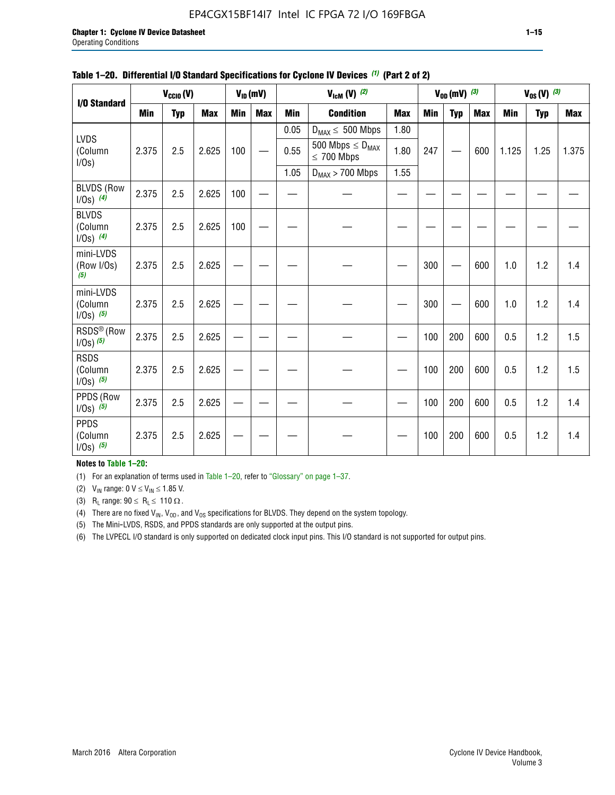### EP4CGX15BF14I7 Intel IC FPGA 72 I/O 169FBGA

| I/O Standard                             |       | $V_{CClO}(V)$ |            |            | $V_{ID}(mV)$ |            | $V_{\text{lcm}}(V)^{(2)}$                  |            |     | $V_{OD}$ (mV) $(3)$ |            |            | $V_{0S} (V)$ (3) |       |
|------------------------------------------|-------|---------------|------------|------------|--------------|------------|--------------------------------------------|------------|-----|---------------------|------------|------------|------------------|-------|
|                                          | Min   | <b>Typ</b>    | <b>Max</b> | <b>Min</b> | <b>Max</b>   | <b>Min</b> | <b>Condition</b>                           | <b>Max</b> | Min | <b>Typ</b>          | <b>Max</b> | <b>Min</b> | <b>Typ</b>       | Max   |
|                                          |       |               |            |            |              | 0.05       | $D_{MAX} \leq 500$ Mbps                    | 1.80       |     |                     |            |            |                  |       |
| <b>LVDS</b><br>(Column<br>$I/Os$ )       | 2.375 | 2.5           | 2.625      | 100        |              | 0.55       | 500 Mbps $\leq D_{MAX}$<br>$\leq 700$ Mbps | 1.80       | 247 |                     | 600        | 1.125      | 1.25             | 1.375 |
|                                          |       |               |            |            |              | 1.05       | $D_{MAX}$ > 700 Mbps                       | 1.55       |     |                     |            |            |                  |       |
| <b>BLVDS (Row</b><br>$1/0s)$ (4)         | 2.375 | 2.5           | 2.625      | 100        |              |            |                                            |            |     |                     |            |            |                  |       |
| <b>BLVDS</b><br>(Column<br>$1/0s)$ (4)   | 2.375 | 2.5           | 2.625      | 100        |              |            |                                            |            |     |                     |            |            |                  |       |
| mini-LVDS<br>(Row I/Os)<br>(5)           | 2.375 | 2.5           | 2.625      |            |              |            |                                            |            | 300 |                     | 600        | 1.0        | 1.2              | 1.4   |
| mini-LVDS<br>(Column<br>$1/0s)$ $(5)$    | 2.375 | 2.5           | 2.625      |            |              |            |                                            |            | 300 |                     | 600        | 1.0        | 1.2              | 1.4   |
| RSDS <sup>®</sup> (Row<br>$1/0s$ ) $(5)$ | 2.375 | 2.5           | 2.625      |            |              |            |                                            |            | 100 | 200                 | 600        | 0.5        | 1.2              | 1.5   |
| <b>RSDS</b><br>(Column<br>$1/Os)$ (5)    | 2.375 | 2.5           | 2.625      |            |              |            |                                            |            | 100 | 200                 | 600        | 0.5        | 1.2              | 1.5   |
| PPDS (Row<br>$1/0s)$ (5)                 | 2.375 | 2.5           | 2.625      |            |              |            |                                            |            | 100 | 200                 | 600        | 0.5        | 1.2              | 1.4   |
| <b>PPDS</b><br>(Column<br>$1/Os)$ (5)    | 2.375 | 2.5           | 2.625      |            |              |            |                                            |            | 100 | 200                 | 600        | 0.5        | 1.2              | 1.4   |

### **Table 1–20. Differential I/O Standard Specifications for Cyclone IV Devices** *(1)* **(Part 2 of 2)**

### **Notes to Table 1–20:**

(1) For an explanation of terms used in Table 1–20, refer to "Glossary" on page 1–37.

(2)  $V_{IN}$  range: 0  $V \le V_{IN} \le 1.85$  V.

(3) R<sub>L</sub> range:  $90 \le R_L \le 110 \Omega$ .

(4) There are no fixed  $V_{IN}$ ,  $V_{OD}$ , and  $V_{OS}$  specifications for BLVDS. They depend on the system topology.

(5) The Mini-LVDS, RSDS, and PPDS standards are only supported at the output pins.

(6) The LVPECL I/O standard is only supported on dedicated clock input pins. This I/O standard is not supported for output pins.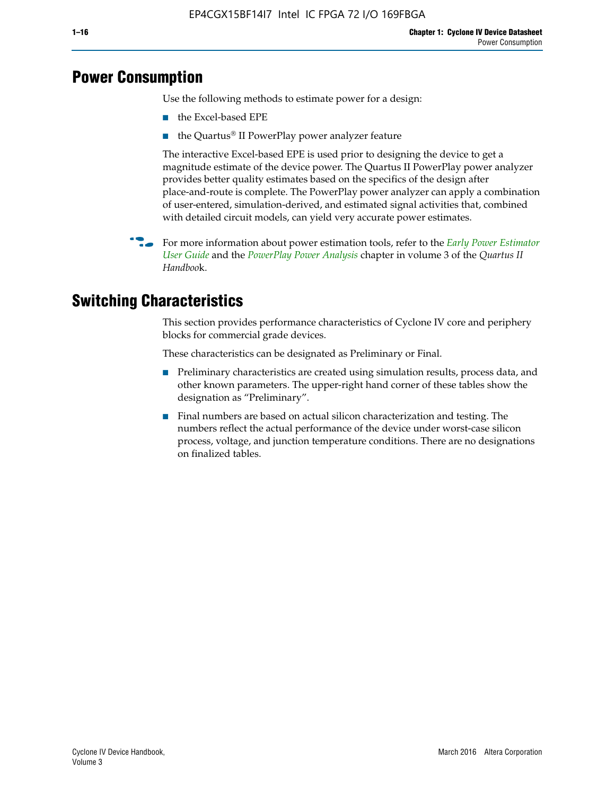# **Power Consumption**

Use the following methods to estimate power for a design:

- the Excel-based EPE
- the Quartus® II PowerPlay power analyzer feature

The interactive Excel-based EPE is used prior to designing the device to get a magnitude estimate of the device power. The Quartus II PowerPlay power analyzer provides better quality estimates based on the specifics of the design after place-and-route is complete. The PowerPlay power analyzer can apply a combination of user-entered, simulation-derived, and estimated signal activities that, combined with detailed circuit models, can yield very accurate power estimates.

**For more information about power estimation tools, refer to the** *Early Power Estimator* **<b>For a** *[User Guide](http://www.altera.com/literature/ug/ug_epe.pdf
)* and the *[PowerPlay Power Analysis](http://www.altera.com/literature/hb/qts/qts_qii53013.pdf)* chapter in volume 3 of the *Quartus II Handboo*k.

# **Switching Characteristics**

This section provides performance characteristics of Cyclone IV core and periphery blocks for commercial grade devices.

These characteristics can be designated as Preliminary or Final.

- Preliminary characteristics are created using simulation results, process data, and other known parameters. The upper-right hand corner of these tables show the designation as "Preliminary".
- Final numbers are based on actual silicon characterization and testing. The numbers reflect the actual performance of the device under worst-case silicon process, voltage, and junction temperature conditions. There are no designations on finalized tables.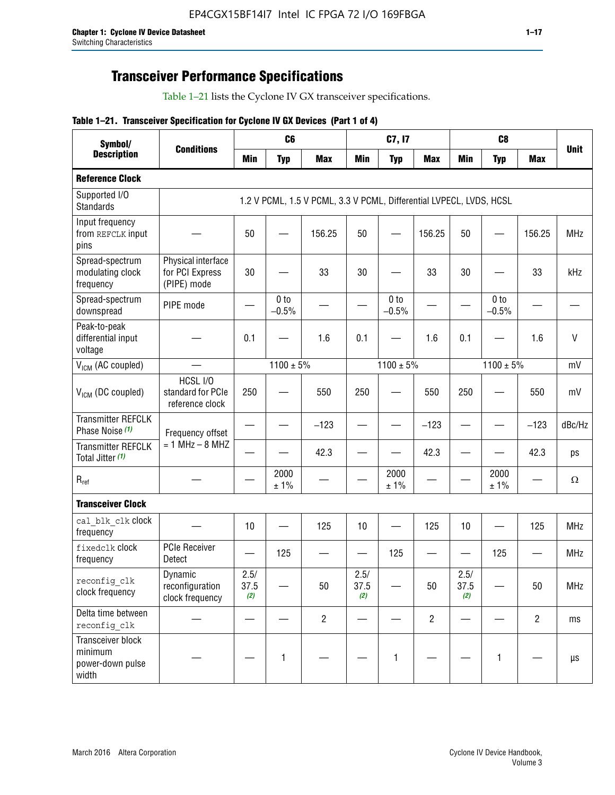# **Transceiver Performance Specifications**

Table 1–21 lists the Cyclone IV GX transceiver specifications.

### **Table 1–21. Transceiver Specification for Cyclone IV GX Devices (Part 1 of 4)**

| Symbol/                                                   |                                                      |                     | C <sub>6</sub>             |                                                                     |                     | C7, I7                     |                                |                     | C <sub>8</sub>             |                |              |
|-----------------------------------------------------------|------------------------------------------------------|---------------------|----------------------------|---------------------------------------------------------------------|---------------------|----------------------------|--------------------------------|---------------------|----------------------------|----------------|--------------|
| <b>Description</b>                                        | <b>Conditions</b>                                    | <b>Min</b>          | <b>Typ</b>                 | <b>Max</b>                                                          | <b>Min</b>          | <b>Typ</b>                 | <b>Max</b>                     | <b>Min</b>          | <b>Typ</b>                 | <b>Max</b>     | <b>Unit</b>  |
| <b>Reference Clock</b>                                    |                                                      |                     |                            |                                                                     |                     |                            |                                |                     |                            |                |              |
| Supported I/O<br><b>Standards</b>                         |                                                      |                     |                            | 1.2 V PCML, 1.5 V PCML, 3.3 V PCML, Differential LVPECL, LVDS, HCSL |                     |                            |                                |                     |                            |                |              |
| Input frequency<br>from REFCLK input<br>pins              |                                                      | 50                  |                            | 156.25                                                              | 50                  |                            | 156.25                         | 50                  | —                          | 156.25         | <b>MHz</b>   |
| Spread-spectrum<br>modulating clock<br>frequency          | Physical interface<br>for PCI Express<br>(PIPE) mode | 30                  |                            | 33                                                                  | 30                  |                            | 33                             | 30                  |                            | 33             | kHz          |
| Spread-spectrum<br>downspread                             | PIPE mode                                            |                     | 0 <sub>to</sub><br>$-0.5%$ |                                                                     |                     | 0 <sub>to</sub><br>$-0.5%$ |                                |                     | 0 <sub>to</sub><br>$-0.5%$ |                |              |
| Peak-to-peak<br>differential input<br>voltage             |                                                      | 0.1                 |                            | 1.6                                                                 | 0.1                 |                            | 1.6                            | 0.1                 |                            | 1.6            | $\mathsf{V}$ |
| V <sub>ICM</sub> (AC coupled)                             |                                                      |                     | $1100 \pm 5\%$             |                                                                     |                     | $1100 \pm 5\%$             |                                |                     | $1100 \pm 5\%$             |                | mV           |
| V <sub>ICM</sub> (DC coupled)                             | HCSL I/O<br>standard for PCIe<br>reference clock     | 250                 |                            | 550                                                                 | 250                 |                            | 550                            | 250                 |                            | 550            | mV           |
| <b>Transmitter REFCLK</b><br>Phase Noise (1)              | Frequency offset                                     |                     |                            | $-123$                                                              |                     |                            | $-123$                         |                     |                            | $-123$         | dBc/Hz       |
| <b>Transmitter REFCLK</b><br>Total Jitter (1)             | $= 1$ MHz $- 8$ MHZ                                  |                     |                            | 42.3                                                                |                     |                            | 42.3                           |                     |                            | 42.3           | ps           |
| $R_{ref}$                                                 |                                                      |                     | 2000<br>± 1%               |                                                                     |                     | 2000<br>± 1%               |                                |                     | 2000<br>± 1%               |                | $\Omega$     |
| <b>Transceiver Clock</b>                                  |                                                      |                     |                            |                                                                     |                     |                            |                                |                     |                            |                |              |
| cal blk clk clock<br>frequency                            |                                                      | 10                  |                            | 125                                                                 | 10                  |                            | 125                            | 10                  |                            | 125            | <b>MHz</b>   |
| fixedclk Clock<br>frequency                               | <b>PCIe Receiver</b><br>Detect                       |                     | 125                        |                                                                     |                     | 125                        | $\qquad \qquad \longleftarrow$ |                     | 125                        |                | <b>MHz</b>   |
| reconfig_clk<br>clock frequency                           | Dynamic<br>reconfiguration<br>clock frequency        | 2.5/<br>37.5<br>(2) |                            | 50                                                                  | 2.5/<br>37.5<br>(2) |                            | 50                             | 2.5/<br>37.5<br>(2) |                            | 50             | <b>MHz</b>   |
| Delta time between<br>reconfig clk                        |                                                      |                     |                            | $\overline{c}$                                                      |                     |                            | $\overline{c}$                 |                     |                            | $\overline{2}$ | ms           |
| Transceiver block<br>minimum<br>power-down pulse<br>width |                                                      |                     | 1                          |                                                                     |                     | 1                          |                                |                     | $\mathbf{1}$               |                | $\mu s$      |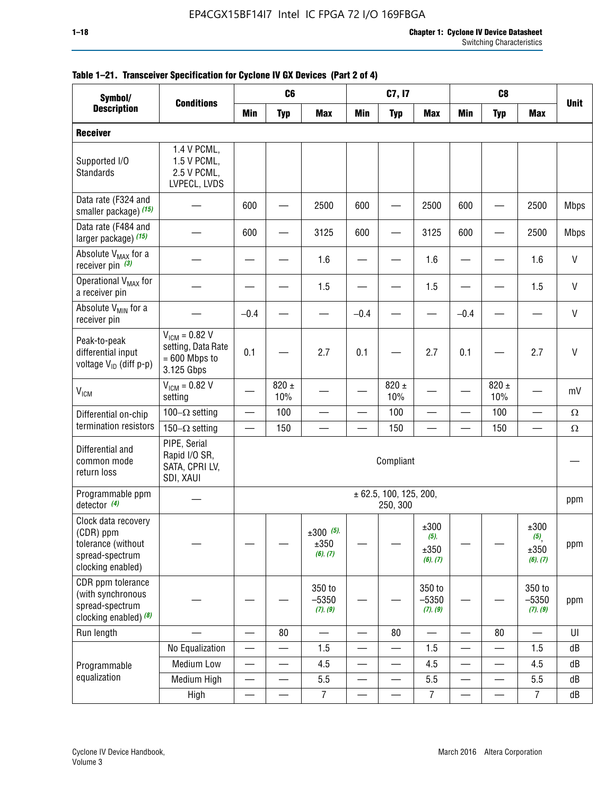| Symbol/                                                                                        |                                                                           |                          | C <sub>6</sub>           |                                 |                          | C7, I7                             |                                  |                          | C <sub>8</sub>           |                                  |              |
|------------------------------------------------------------------------------------------------|---------------------------------------------------------------------------|--------------------------|--------------------------|---------------------------------|--------------------------|------------------------------------|----------------------------------|--------------------------|--------------------------|----------------------------------|--------------|
| <b>Description</b>                                                                             | <b>Conditions</b>                                                         | <b>Min</b>               | <b>Typ</b>               | <b>Max</b>                      | <b>Min</b>               | <b>Typ</b>                         | <b>Max</b>                       | <b>Min</b>               | <b>Typ</b>               | <b>Max</b>                       | <b>Unit</b>  |
| <b>Receiver</b>                                                                                |                                                                           |                          |                          |                                 |                          |                                    |                                  |                          |                          |                                  |              |
| Supported I/O<br><b>Standards</b>                                                              | 1.4 V PCML,<br>1.5 V PCML,<br>2.5 V PCML,<br>LVPECL, LVDS                 |                          |                          |                                 |                          |                                    |                                  |                          |                          |                                  |              |
| Data rate (F324 and<br>smaller package) (15)                                                   |                                                                           | 600                      |                          | 2500                            | 600                      |                                    | 2500                             | 600                      |                          | 2500                             | <b>Mbps</b>  |
| Data rate (F484 and<br>larger package) (15)                                                    |                                                                           | 600                      |                          | 3125                            | 600                      |                                    | 3125                             | 600                      |                          | 2500                             | <b>Mbps</b>  |
| Absolute V <sub>MAX</sub> for a<br>receiver pin $(3)$                                          |                                                                           |                          |                          | 1.6                             |                          |                                    | 1.6                              |                          |                          | 1.6                              | V            |
| Operational V <sub>MAX</sub> for<br>a receiver pin                                             |                                                                           |                          |                          | 1.5                             |                          |                                    | 1.5                              |                          |                          | 1.5                              | $\mathsf{V}$ |
| Absolute V <sub>MIN</sub> for a<br>receiver pin                                                |                                                                           | $-0.4$                   |                          |                                 | $-0.4$                   |                                    |                                  | $-0.4$                   |                          |                                  | V            |
| Peak-to-peak<br>differential input<br>voltage V <sub>ID</sub> (diff p-p)                       | $V_{ICM} = 0.82 V$<br>setting, Data Rate<br>$= 600$ Mbps to<br>3.125 Gbps | 0.1                      |                          | 2.7                             | 0.1                      |                                    | 2.7                              | 0.1                      |                          | 2.7                              | V            |
| <b>V<sub>ICM</sub></b>                                                                         | $V_{IGM} = 0.82 V$<br>setting                                             |                          | $820 \pm$<br>10%         |                                 |                          | 820 $\pm$<br>10%                   |                                  |                          | $820 \pm$<br>10%         |                                  | mV           |
| Differential on-chip                                                                           | 100 $-\Omega$ setting                                                     |                          | 100                      |                                 |                          | 100                                |                                  |                          | 100                      |                                  | $\Omega$     |
| termination resistors                                                                          | 150 $-\Omega$ setting                                                     |                          | 150                      |                                 |                          | 150                                |                                  |                          | 150                      |                                  | Ω            |
| Differential and<br>common mode<br>return loss                                                 | PIPE, Serial<br>Rapid I/O SR,<br>SATA, CPRI LV,<br>SDI, XAUI              |                          |                          |                                 |                          | Compliant                          |                                  |                          |                          |                                  |              |
| Programmable ppm<br>detector $(4)$                                                             |                                                                           |                          |                          |                                 |                          | ± 62.5, 100, 125, 200,<br>250, 300 |                                  |                          |                          |                                  | ppm          |
| Clock data recovery<br>(CDR) ppm<br>tolerance (without<br>spread-spectrum<br>clocking enabled) |                                                                           |                          |                          | $±300$ (5),<br>±350<br>(6), (7) |                          |                                    | ±300<br>(5),<br>±350<br>(6), (7) |                          |                          | ±300<br>(5),<br>±350<br>(6), (7) | ppm          |
| CDR ppm tolerance<br>(with synchronous<br>spread-spectrum<br>clocking enabled) (8)             |                                                                           |                          |                          | 350 to<br>$-5350$<br>(7), (9)   |                          |                                    | 350 to<br>$-5350$<br>(7), (9)    |                          |                          | 350 to<br>$-5350$<br>(7), (9)    | ppm          |
| Run length                                                                                     |                                                                           |                          | 80                       |                                 |                          | 80                                 |                                  |                          | 80                       |                                  | U            |
|                                                                                                | No Equalization                                                           | —                        |                          | 1.5                             | $\overline{\phantom{0}}$ | $\overline{\phantom{0}}$           | 1.5                              | $\overline{\phantom{0}}$ | $\overline{\phantom{0}}$ | 1.5                              | dB           |
| Programmable                                                                                   | <b>Medium Low</b>                                                         | —                        | —                        | 4.5                             |                          | —                                  | 4.5                              | —                        | $\overline{\phantom{0}}$ | 4.5                              | dB           |
| equalization                                                                                   | Medium High                                                               | $\overline{\phantom{0}}$ | $\overline{\phantom{0}}$ | 5.5                             |                          |                                    | 5.5                              | —                        | $\overline{\phantom{0}}$ | 5.5                              | dB           |
|                                                                                                | High                                                                      | —                        | —                        | $\overline{7}$                  | —                        |                                    | $\overline{7}$                   | —                        |                          | $\overline{7}$                   | dB           |

### **Table 1–21. Transceiver Specification for Cyclone IV GX Devices (Part 2 of 4)**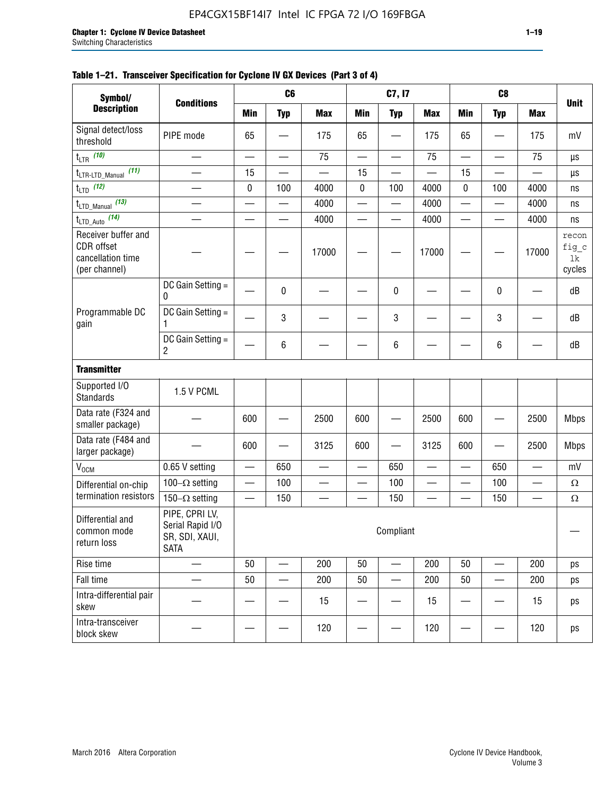| Symbol/                                                                 |                                                                     |                          | C6                       |                                |                          | C7, I7                   |                          |                          | C <sub>8</sub>           |                        |                                |
|-------------------------------------------------------------------------|---------------------------------------------------------------------|--------------------------|--------------------------|--------------------------------|--------------------------|--------------------------|--------------------------|--------------------------|--------------------------|------------------------|--------------------------------|
| <b>Description</b>                                                      | <b>Conditions</b>                                                   | <b>Min</b>               | <b>Typ</b>               | <b>Max</b>                     | <b>Min</b>               | <b>Typ</b>               | <b>Max</b>               | <b>Min</b>               | <b>Typ</b>               | <b>Max</b>             | <b>Unit</b>                    |
| Signal detect/loss<br>threshold                                         | PIPE mode                                                           | 65                       |                          | 175                            | 65                       |                          | 175                      | 65                       |                          | 175                    | mV                             |
| $t_{LTR}$ (10)                                                          |                                                                     |                          |                          | 75                             | $\overline{\phantom{0}}$ | —                        | 75                       | $\overline{\phantom{0}}$ |                          | 75                     | μs                             |
| (11)<br>$t_{\text{LTR-LTD\_Manual}}$                                    |                                                                     | 15                       |                          |                                | 15                       |                          |                          | 15                       |                          |                        | μs                             |
| $t_{LTD}$ (12)                                                          |                                                                     | 0                        | 100                      | 4000                           | $\pmb{0}$                | 100                      | 4000                     | 0                        | 100                      | 4000                   | ns                             |
| $t_{\text{LTD\_Manual}}$ (13)                                           |                                                                     |                          |                          | 4000                           |                          | $\overline{\phantom{0}}$ | 4000                     | $\overline{\phantom{0}}$ |                          | 4000                   | ns                             |
| $t_{\text{LTD\_Auto}}$ (14)                                             |                                                                     | $\overline{\phantom{0}}$ | $\overline{\phantom{0}}$ | 4000                           | $\overline{\phantom{0}}$ | $\overline{\phantom{0}}$ | 4000                     |                          | $\overline{\phantom{0}}$ | 4000                   | ns                             |
| Receiver buffer and<br>CDR offset<br>cancellation time<br>(per channel) |                                                                     |                          |                          | 17000                          |                          |                          | 17000                    |                          |                          | 17000                  | recon<br>fig_c<br>lk<br>cycles |
|                                                                         | DC Gain Setting =<br>0                                              |                          | 0                        |                                |                          | 0                        |                          |                          | 0                        |                        | dB                             |
| Programmable DC<br>gain                                                 | DC Gain Setting =<br>1                                              |                          | 3                        |                                |                          | 3                        |                          |                          | 3                        |                        | dB                             |
|                                                                         | DC Gain Setting =<br>2                                              |                          | 6                        |                                |                          | 6                        |                          |                          | 6                        |                        | dB                             |
| <b>Transmitter</b>                                                      |                                                                     |                          |                          |                                |                          |                          |                          |                          |                          |                        |                                |
| Supported I/O<br><b>Standards</b>                                       | 1.5 V PCML                                                          |                          |                          |                                |                          |                          |                          |                          |                          |                        |                                |
| Data rate (F324 and<br>smaller package)                                 |                                                                     | 600                      |                          | 2500                           | 600                      |                          | 2500                     | 600                      |                          | 2500                   | <b>Mbps</b>                    |
| Data rate (F484 and<br>larger package)                                  |                                                                     | 600                      |                          | 3125                           | 600                      |                          | 3125                     | 600                      |                          | 2500                   | <b>Mbps</b>                    |
| V <sub>OCM</sub>                                                        | 0.65 V setting                                                      |                          | 650                      |                                |                          | 650                      |                          |                          | 650                      |                        | mV                             |
| Differential on-chip                                                    | 100 $-\Omega$ setting                                               | $\overline{\phantom{0}}$ | 100                      | $\qquad \qquad \longleftarrow$ | $\overline{\phantom{0}}$ | 100                      | $\overline{\phantom{0}}$ |                          | 100                      | $\qquad \qquad \qquad$ | $\Omega$                       |
| termination resistors                                                   | 150 $-\Omega$ setting                                               | $\overline{\phantom{0}}$ | 150                      |                                |                          | 150                      |                          | $\overline{\phantom{0}}$ | 150                      |                        | $\Omega$                       |
| Differential and<br>common mode<br>return loss                          | PIPE, CPRI LV,<br>Serial Rapid I/O<br>SR, SDI, XAUI,<br><b>SATA</b> |                          |                          |                                |                          | Compliant                |                          |                          |                          |                        |                                |
| Rise time                                                               |                                                                     | 50                       |                          | 200                            | 50                       |                          | 200                      | 50                       |                          | 200                    | ps                             |
| Fall time                                                               |                                                                     | 50                       |                          | 200                            | 50                       |                          | 200                      | 50                       |                          | 200                    | ps                             |
| Intra-differential pair<br>skew                                         |                                                                     |                          |                          | 15                             |                          |                          | 15                       |                          |                          | 15                     | ps                             |
| Intra-transceiver<br>block skew                                         |                                                                     |                          |                          | 120                            |                          |                          | 120                      |                          |                          | 120                    | ps                             |

### **Table 1–21. Transceiver Specification for Cyclone IV GX Devices (Part 3 of 4)**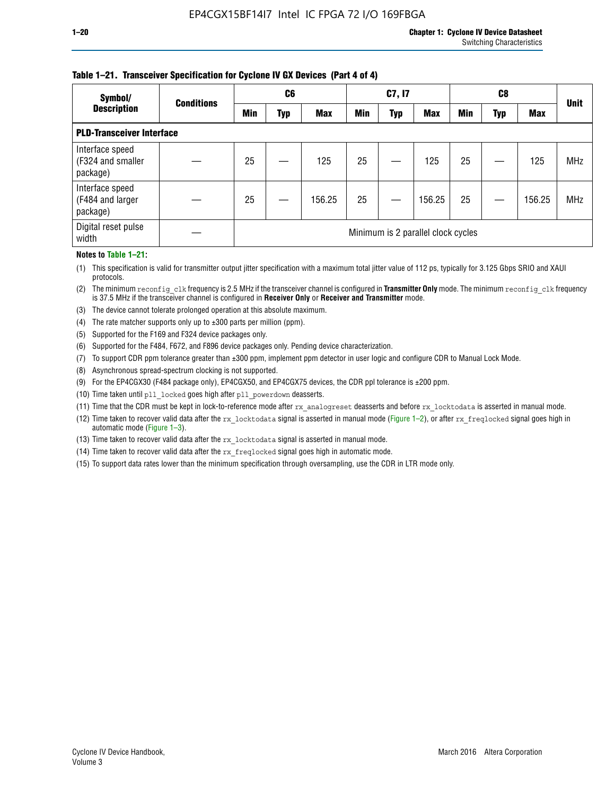### **Table 1–21. Transceiver Specification for Cyclone IV GX Devices (Part 4 of 4)**

| Symbol/                                          | <b>Conditions</b>                  | C <sub>6</sub> |     |            | C7, I7     |     |            |            |            |            |             |
|--------------------------------------------------|------------------------------------|----------------|-----|------------|------------|-----|------------|------------|------------|------------|-------------|
| <b>Description</b>                               |                                    | <b>Min</b>     | Typ | <b>Max</b> | <b>Min</b> | Typ | <b>Max</b> | <b>Min</b> | <b>Typ</b> | <b>Max</b> | <b>Unit</b> |
| <b>PLD-Transceiver Interface</b>                 |                                    |                |     |            |            |     |            |            |            |            |             |
| Interface speed<br>(F324 and smaller<br>package) |                                    | 25             |     | 125        | 25         |     | 125        | 25         |            | 125        | <b>MHz</b>  |
| Interface speed<br>(F484 and larger<br>package)  |                                    | 25             |     | 156.25     | 25         |     | 156.25     | 25         |            | 156.25     | <b>MHz</b>  |
| Digital reset pulse<br>width                     | Minimum is 2 parallel clock cycles |                |     |            |            |     |            |            |            |            |             |

#### **Notes to Table 1–21:**

(1) This specification is valid for transmitter output jitter specification with a maximum total jitter value of 112 ps, typically for 3.125 Gbps SRIO and XAUI protocols.

(2) The minimum reconfig\_clk frequency is 2.5 MHz if the transceiver channel is configured in **Transmitter Only** mode. The minimum reconfig\_clk frequency is 37.5 MHz if the transceiver channel is configured in **Receiver Only** or **Receiver and Transmitter** mode.

(3) The device cannot tolerate prolonged operation at this absolute maximum.

- (4) The rate matcher supports only up to  $\pm 300$  parts per million (ppm).
- (5) Supported for the F169 and F324 device packages only.
- (6) Supported for the F484, F672, and F896 device packages only. Pending device characterization.
- (7) To support CDR ppm tolerance greater than ±300 ppm, implement ppm detector in user logic and configure CDR to Manual Lock Mode.
- (8) Asynchronous spread-spectrum clocking is not supported.
- (9) For the EP4CGX30 (F484 package only), EP4CGX50, and EP4CGX75 devices, the CDR ppl tolerance is ±200 ppm.
- (10) Time taken until pll\_locked goes high after pll\_powerdown deasserts.
- (11) Time that the CDR must be kept in lock-to-reference mode after rx analogreset deasserts and before rx locktodata is asserted in manual mode.

(12) Time taken to recover valid data after the rx locktodata signal is asserted in manual mode (Figure 1–2), or after rx freqlocked signal goes high in automatic mode (Figure 1–3).

(13) Time taken to recover valid data after the rx locktodata signal is asserted in manual mode.

- (14) Time taken to recover valid data after the rx\_freqlocked signal goes high in automatic mode.
- (15) To support data rates lower than the minimum specification through oversampling, use the CDR in LTR mode only.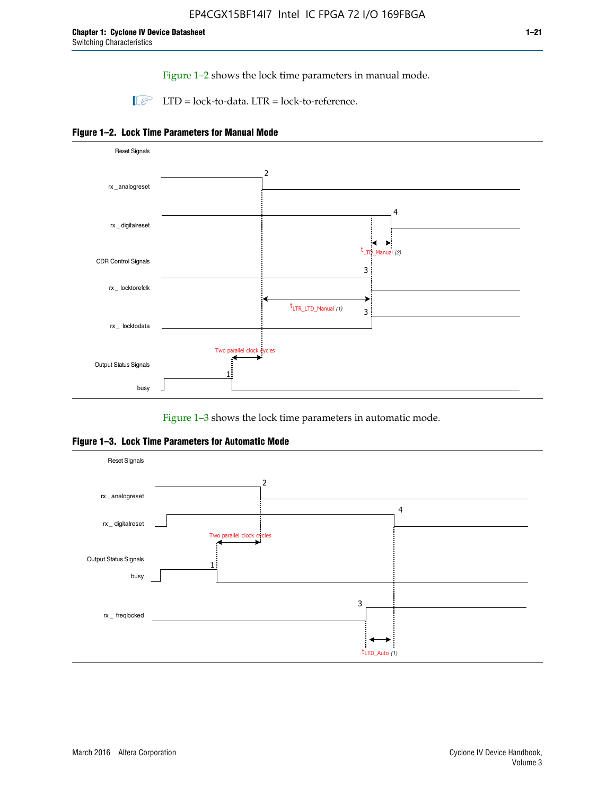Figure 1–2 shows the lock time parameters in manual mode.

 $\Box$  LTD = lock-to-data. LTR = lock-to-reference.





Figure 1–3 shows the lock time parameters in automatic mode.

**Figure 1–3. Lock Time Parameters for Automatic Mode**

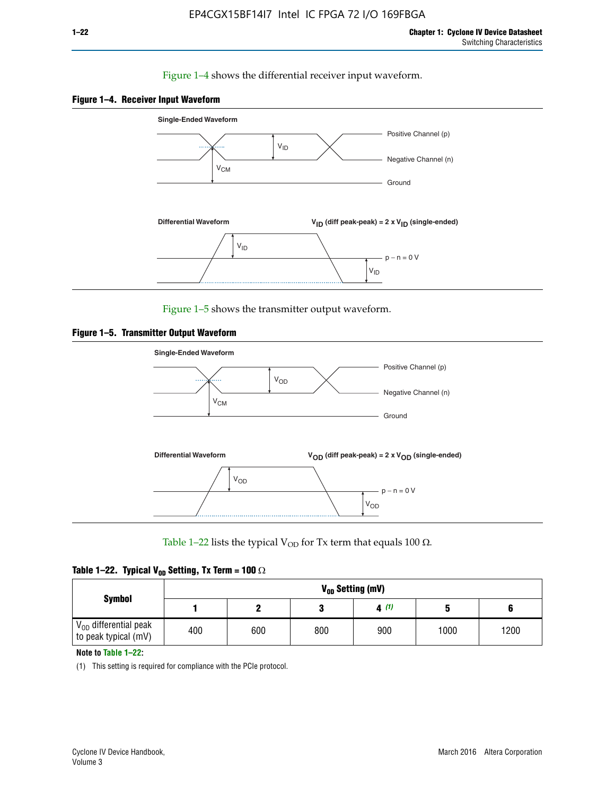### Figure 1–4 shows the differential receiver input waveform.





Figure 1–5 shows the transmitter output waveform.





Table 1–22 lists the typical V<sub>OD</sub> for Tx term that equals 100  $\Omega$ .

| Table 1–22. Typical V <sub>0D</sub> Setting, Tx Term = 100 $\Omega$ |  |  |  |  |  |  |  |
|---------------------------------------------------------------------|--|--|--|--|--|--|--|
|---------------------------------------------------------------------|--|--|--|--|--|--|--|

| <b>Symbol</b><br>$\rm V_{OD}$ differential peak | V <sub>on</sub> Setting (mV) |     |     |      |      |      |  |  |  |  |  |  |
|-------------------------------------------------|------------------------------|-----|-----|------|------|------|--|--|--|--|--|--|
|                                                 |                              |     |     | 4(1) |      |      |  |  |  |  |  |  |
| to peak typical (mV)                            | 400                          | 600 | 800 | 900  | 1000 | 1200 |  |  |  |  |  |  |

**Note to Table 1–22:**

(1) This setting is required for compliance with the PCIe protocol.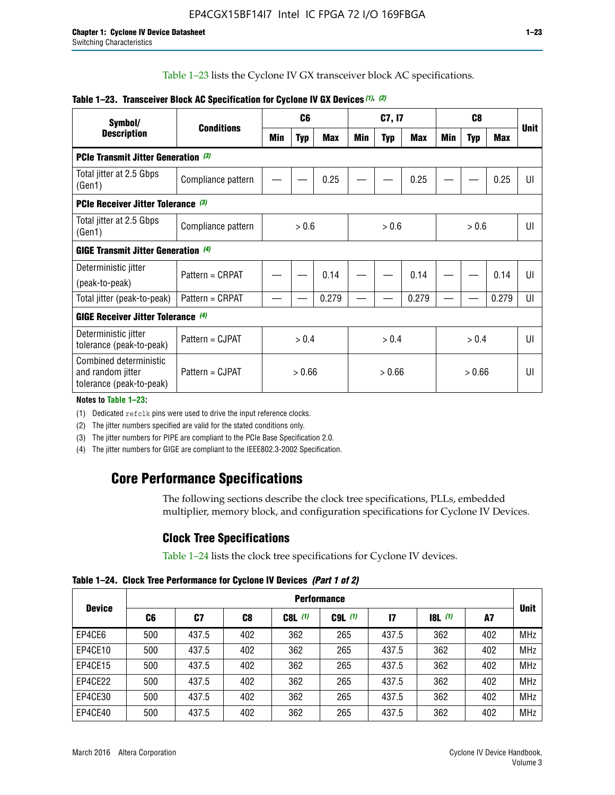Table 1–23 lists the Cyclone IV GX transceiver block AC specifications.

| Symbol/                                                                 |                                           |        | C <sub>6</sub> |            |       | C7, I7     |            | C <sub>8</sub> |            |            |             |
|-------------------------------------------------------------------------|-------------------------------------------|--------|----------------|------------|-------|------------|------------|----------------|------------|------------|-------------|
| <b>Description</b>                                                      | <b>Conditions</b>                         | Min    | <b>Typ</b>     | <b>Max</b> | Min   | <b>Typ</b> | <b>Max</b> | Min            | <b>Typ</b> | <b>Max</b> | <b>Unit</b> |
| <b>PCIe Transmit Jitter Generation (3)</b>                              |                                           |        |                |            |       |            |            |                |            |            |             |
| Total jitter at 2.5 Gbps<br>(Gen1)                                      | Compliance pattern                        |        |                | 0.25       |       |            | 0.25       |                |            | 0.25       | UI          |
|                                                                         | <b>PCIe Receiver Jitter Tolerance (3)</b> |        |                |            |       |            |            |                |            |            |             |
| Total jitter at 2.5 Gbps<br>(Gen1)                                      | Compliance pattern                        | > 0.6  |                |            | > 0.6 |            |            |                | > 0.6      |            | UI          |
| <b>GIGE Transmit Jitter Generation (4)</b>                              |                                           |        |                |            |       |            |            |                |            |            |             |
| Deterministic jitter                                                    | Pattern = CRPAT                           |        |                | 0.14       |       |            | 0.14       |                |            | 0.14       | UI          |
| (peak-to-peak)                                                          |                                           |        |                |            |       |            |            |                |            |            |             |
| Total jitter (peak-to-peak)                                             | Pattern = CRPAT                           |        |                | 0.279      |       |            | 0.279      |                |            | 0.279      | UI          |
| <b>GIGE Receiver Jitter Tolerance (4)</b>                               |                                           |        |                |            |       |            |            |                |            |            |             |
| Deterministic jitter<br>tolerance (peak-to-peak)                        | Pattern = CJPAT                           |        | > 0.4          |            |       | > 0.4      |            |                | > 0.4      |            | UI          |
| Combined deterministic<br>and random jitter<br>tolerance (peak-to-peak) | Pattern = CJPAT                           | > 0.66 |                | > 0.66     |       |            |            | UI             |            |            |             |

### **Table 1–23. Transceiver Block AC Specification for Cyclone IV GX Devices** *(1)***,** *(2)*

**Notes to Table 1–23:**

(1) Dedicated refclk pins were used to drive the input reference clocks.

(2) The jitter numbers specified are valid for the stated conditions only.

(3) The jitter numbers for PIPE are compliant to the PCIe Base Specification 2.0.

(4) The jitter numbers for GIGE are compliant to the IEEE802.3-2002 Specification.

# **Core Performance Specifications**

The following sections describe the clock tree specifications, PLLs, embedded multiplier, memory block, and configuration specifications for Cyclone IV Devices.

### **Clock Tree Specifications**

Table 1–24 lists the clock tree specifications for Cyclone IV devices.

**Table 1–24. Clock Tree Performance for Cyclone IV Devices** *(Part 1 of 2)*

| <b>Device</b> | <b>Performance</b> |       |                |           |             |              |                  |     |             |  |  |  |  |
|---------------|--------------------|-------|----------------|-----------|-------------|--------------|------------------|-----|-------------|--|--|--|--|
|               | C6                 | C7    | C <sub>8</sub> | $C8L$ (1) | $C9L$ $(1)$ | $\mathbf{I}$ | <b>18L</b> $(1)$ | A7  | <b>Unit</b> |  |  |  |  |
| EP4CE6        | 500                | 437.5 | 402            | 362       | 265         | 437.5        | 362              | 402 | <b>MHz</b>  |  |  |  |  |
| EP4CE10       | 500                | 437.5 | 402            | 362       | 265         | 437.5        | 362              | 402 | <b>MHz</b>  |  |  |  |  |
| EP4CE15       | 500                | 437.5 | 402            | 362       | 265         | 437.5        | 362              | 402 | <b>MHz</b>  |  |  |  |  |
| EP4CE22       | 500                | 437.5 | 402            | 362       | 265         | 437.5        | 362              | 402 | <b>MHz</b>  |  |  |  |  |
| EP4CE30       | 500                | 437.5 | 402            | 362       | 265         | 437.5        | 362              | 402 | <b>MHz</b>  |  |  |  |  |
| EP4CE40       | 500                | 437.5 | 402            | 362       | 265         | 437.5        | 362              | 402 | <b>MHz</b>  |  |  |  |  |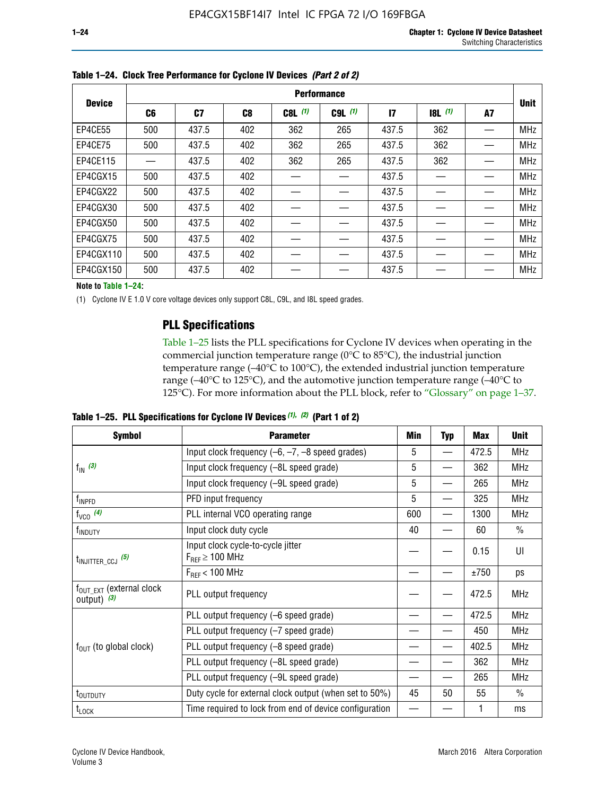|               | <b>Performance</b> |       |     |             |             |                 |       |    |             |  |  |  |  |  |
|---------------|--------------------|-------|-----|-------------|-------------|-----------------|-------|----|-------------|--|--|--|--|--|
| <b>Device</b> | C <sub>6</sub>     | C7    | C8  | $C8L$ $(1)$ | $C9L$ $(1)$ | $\overline{17}$ | 8L(1) | A7 | <b>Unit</b> |  |  |  |  |  |
| EP4CE55       | 500                | 437.5 | 402 | 362         | 265         | 437.5           | 362   |    | <b>MHz</b>  |  |  |  |  |  |
| EP4CE75       | 500                | 437.5 | 402 | 362         | 265         | 437.5           | 362   |    | <b>MHz</b>  |  |  |  |  |  |
| EP4CE115      |                    | 437.5 | 402 | 362         | 265         | 437.5           | 362   |    | <b>MHz</b>  |  |  |  |  |  |
| EP4CGX15      | 500                | 437.5 | 402 |             |             | 437.5           |       |    | <b>MHz</b>  |  |  |  |  |  |
| EP4CGX22      | 500                | 437.5 | 402 |             |             | 437.5           |       |    | <b>MHz</b>  |  |  |  |  |  |
| EP4CGX30      | 500                | 437.5 | 402 |             |             | 437.5           |       |    | <b>MHz</b>  |  |  |  |  |  |
| EP4CGX50      | 500                | 437.5 | 402 |             |             | 437.5           |       |    | <b>MHz</b>  |  |  |  |  |  |
| EP4CGX75      | 500                | 437.5 | 402 |             |             | 437.5           |       |    | <b>MHz</b>  |  |  |  |  |  |
| EP4CGX110     | 500                | 437.5 | 402 |             |             | 437.5           |       |    | <b>MHz</b>  |  |  |  |  |  |
| EP4CGX150     | 500                | 437.5 | 402 |             |             | 437.5           |       |    | <b>MHz</b>  |  |  |  |  |  |

**Table 1–24. Clock Tree Performance for Cyclone IV Devices** *(Part 2 of 2)*

**Note to Table 1–24:**

(1) Cyclone IV E 1.0 V core voltage devices only support C8L, C9L, and I8L speed grades.

### **PLL Specifications**

Table 1–25 lists the PLL specifications for Cyclone IV devices when operating in the commercial junction temperature range (0°C to 85°C), the industrial junction temperature range (–40°C to 100°C), the extended industrial junction temperature range (–40°C to 125°C), and the automotive junction temperature range (–40°C to 125°C). For more information about the PLL block, refer to "Glossary" on page 1–37.

**Table 1–25. PLL Specifications for Cyclone IV Devices** *(1), (2)* **(Part 1 of 2)**

| <b>Symbol</b>                                          | <b>Parameter</b>                                            | Min | <b>Typ</b>               | <b>Max</b> | <b>Unit</b>   |
|--------------------------------------------------------|-------------------------------------------------------------|-----|--------------------------|------------|---------------|
|                                                        | Input clock frequency $(-6, -7, -8)$ speed grades)          | 5   | $\overline{\phantom{0}}$ | 472.5      | <b>MHz</b>    |
| $f_{\text{IN}}(3)$                                     | Input clock frequency (-8L speed grade)                     | 5   |                          | 362        | <b>MHz</b>    |
|                                                        | Input clock frequency (-9L speed grade)                     | 5   |                          | 265        | <b>MHz</b>    |
| f <sub>INPFD</sub>                                     | PFD input frequency                                         | 5   |                          | 325        | <b>MHz</b>    |
| $f_{VCO}$ (4)                                          | PLL internal VCO operating range                            | 600 |                          | 1300       | <b>MHz</b>    |
| f <sub>INDUTY</sub>                                    | Input clock duty cycle                                      | 40  |                          | 60         | $\frac{0}{0}$ |
| $t_{\text{INJITTER\_CCJ}}$ (5)                         | Input clock cycle-to-cycle jitter<br>$F_{REF} \geq 100$ MHz |     |                          | 0.15       | UI            |
|                                                        | $F_{RFF}$ < 100 MHz                                         |     |                          | ±750       | ps            |
| $f_{\text{OUT\_EXT}}$ (external clock<br>output) $(3)$ | PLL output frequency                                        |     |                          | 472.5      | <b>MHz</b>    |
|                                                        | PLL output frequency (-6 speed grade)                       |     |                          | 472.5      | <b>MHz</b>    |
|                                                        | PLL output frequency (-7 speed grade)                       |     |                          | 450        | <b>MHz</b>    |
| $f_{OUT}$ (to global clock)                            | PLL output frequency (-8 speed grade)                       |     |                          | 402.5      | <b>MHz</b>    |
|                                                        | PLL output frequency (-8L speed grade)                      |     |                          | 362        | <b>MHz</b>    |
|                                                        | PLL output frequency (-9L speed grade)                      |     |                          | 265        | <b>MHz</b>    |
| t <sub>outputy</sub>                                   | Duty cycle for external clock output (when set to 50%)      | 45  | 50                       | 55         | $\frac{0}{0}$ |
| $t_{\text{LOCK}}$                                      | Time required to lock from end of device configuration      |     |                          |            | ms            |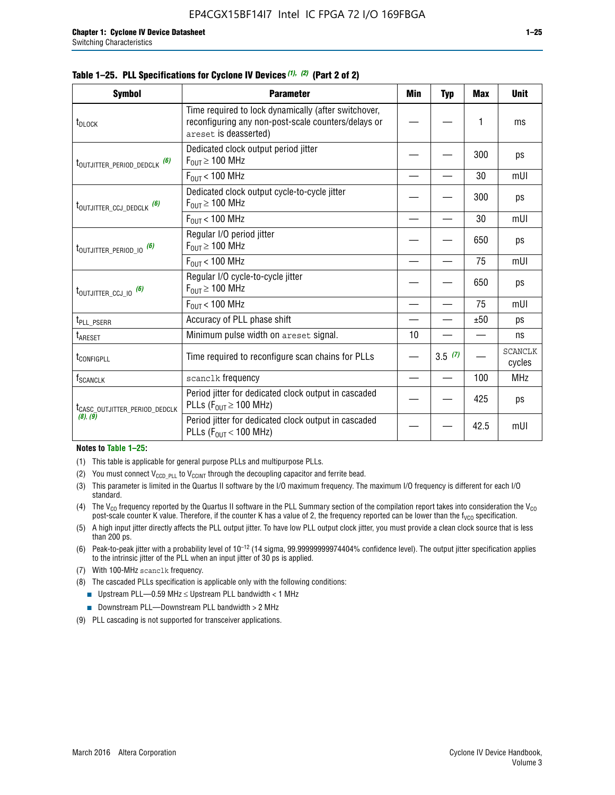| <b>Symbol</b>                             | <b>Parameter</b>                                                                                                                     | Min | <b>Typ</b> | Max  | <b>Unit</b>              |
|-------------------------------------------|--------------------------------------------------------------------------------------------------------------------------------------|-----|------------|------|--------------------------|
| t <sub>DLOCK</sub>                        | Time required to lock dynamically (after switchover,<br>reconfiguring any non-post-scale counters/delays or<br>areset is deasserted) |     |            | 1    | ms                       |
| t <sub>outjitter_period_dedclk</sub> (6)  | Dedicated clock output period jitter<br>$F_{OIII} \geq 100$ MHz                                                                      |     |            | 300  | ps                       |
|                                           | $F_{\text{OUT}}$ < 100 MHz                                                                                                           |     |            | 30   | mUI                      |
| t <sub>outjitter_ccj_dedclk</sub> (6)     | Dedicated clock output cycle-to-cycle jitter<br>$F_{OUT} \ge 100$ MHz                                                                |     |            | 300  | ps                       |
|                                           | $F_{\text{OUT}}$ < 100 MHz                                                                                                           |     |            | 30   | mUI                      |
| t <sub>outjitter_period_io</sub> (6)      | Regular I/O period jitter<br>$F_{OUT} \geq 100$ MHz                                                                                  |     |            | 650  | ps                       |
|                                           | $F_{OUT}$ < 100 MHz                                                                                                                  |     |            | 75   | mUI                      |
| $t_{\text{OUTJITTER\_CCJ\_IO}}$ (6)       | Regular I/O cycle-to-cycle jitter<br>$F_{OUT} \geq 100$ MHz                                                                          |     |            | 650  | ps                       |
|                                           | $F_{\text{OUT}}$ < 100 MHz                                                                                                           |     |            | 75   | mUI                      |
| t <sub>PLL_PSERR</sub>                    | Accuracy of PLL phase shift                                                                                                          |     |            | ±50  | ps                       |
| t <sub>ARESET</sub>                       | Minimum pulse width on areset signal.                                                                                                | 10  |            |      | ns                       |
| t <sub>configpll</sub>                    | Time required to reconfigure scan chains for PLLs                                                                                    |     | 3.5(7)     |      | <b>SCANCLK</b><br>cycles |
| f <sub>SCANCLK</sub>                      | scanclk frequency                                                                                                                    |     |            | 100  | <b>MHz</b>               |
| t <sub>CASC_OUTJITTER_PERIOD_DEDCLK</sub> | Period jitter for dedicated clock output in cascaded<br>PLLs ( $F_{OUT} \ge 100$ MHz)                                                |     |            | 425  | ps                       |
| (8), (9)                                  | Period jitter for dedicated clock output in cascaded<br>PLLs ( $F_{OUT}$ < 100 MHz)                                                  |     |            | 42.5 | mUI                      |

#### **Table 1–25. PLL Specifications for Cyclone IV Devices** *(1), (2)* **(Part 2 of 2)**

#### **Notes to Table 1–25:**

- (1) This table is applicable for general purpose PLLs and multipurpose PLLs.
- (2) You must connect  $V_{CCD-PLL}$  to  $V_{CCINT}$  through the decoupling capacitor and ferrite bead.
- (3) This parameter is limited in the Quartus II software by the I/O maximum frequency. The maximum I/O frequency is different for each I/O standard.
- (4) The V<sub>CO</sub> frequency reported by the Quartus II software in the PLL Summary section of the compilation report takes into consideration the V<sub>CO</sub> post-scale counter K value. Therefore, if the counter K has a value of 2, the frequency reported can be lower than the f<sub>VCO</sub> specification.
- (5) A high input jitter directly affects the PLL output jitter. To have low PLL output clock jitter, you must provide a clean clock source that is less than 200 ps.
- (6) Peak-to-peak jitter with a probability level of 10–12 (14 sigma, 99.99999999974404% confidence level). The output jitter specification applies to the intrinsic jitter of the PLL when an input jitter of 30 ps is applied.
- (7) With 100-MHz scanclk frequency.
- (8) The cascaded PLLs specification is applicable only with the following conditions:
	- Upstream PLL—0.59 MHz  $≤$  Upstream PLL bandwidth  $<$  1 MHz
	- Downstream PLL—Downstream PLL bandwidth > 2 MHz
- (9) PLL cascading is not supported for transceiver applications.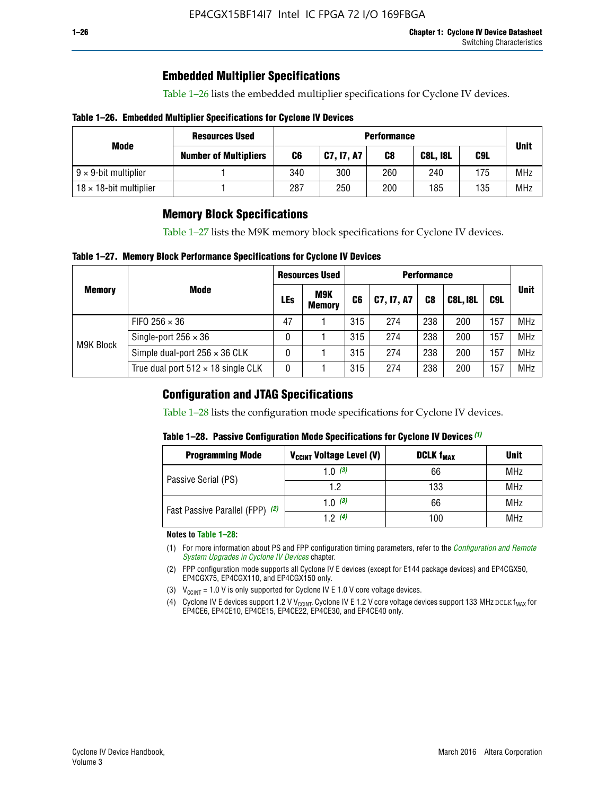### **Embedded Multiplier Specifications**

Table 1–26 lists the embedded multiplier specifications for Cyclone IV devices.

### **Table 1–26. Embedded Multiplier Specifications for Cyclone IV Devices**

|                                | <b>Resources Used</b>        |     | <b>Performance</b> |     |                 |     |             |  |  |  |  |  |
|--------------------------------|------------------------------|-----|--------------------|-----|-----------------|-----|-------------|--|--|--|--|--|
| Mode                           | <b>Number of Multipliers</b> | C6  | <b>C7, 17, A7</b>  | C8  | <b>C8L, I8L</b> | C9L | <b>Unit</b> |  |  |  |  |  |
| $9 \times 9$ -bit multiplier   |                              | 340 | 300                | 260 | 240             | 175 | <b>MHz</b>  |  |  |  |  |  |
| $18 \times 18$ -bit multiplier |                              | 287 | 250                | 200 | 185             | 135 | <b>MHz</b>  |  |  |  |  |  |

### **Memory Block Specifications**

Table 1–27 lists the M9K memory block specifications for Cyclone IV devices.

### **Table 1–27. Memory Block Performance Specifications for Cyclone IV Devices**

|               |                                           |     | <b>Resources Used</b>       |                |            |                |                 |     |             |
|---------------|-------------------------------------------|-----|-----------------------------|----------------|------------|----------------|-----------------|-----|-------------|
| <b>Memory</b> | <b>Mode</b>                               | LEs | <b>M9K</b><br><b>Memory</b> | C <sub>6</sub> | C7, I7, A7 | C <sub>8</sub> | <b>C8L, I8L</b> | C9L | <b>Unit</b> |
|               | FIFO 256 $\times$ 36                      | 47  |                             | 315            | 274        | 238            | 200             | 157 | <b>MHz</b>  |
| M9K Block     | Single-port $256 \times 36$               | 0   |                             | 315            | 274        | 238            | 200             | 157 | <b>MHz</b>  |
|               | Simple dual-port $256 \times 36$ CLK      | 0   |                             | 315            | 274        | 238            | 200             | 157 | <b>MHz</b>  |
|               | True dual port $512 \times 18$ single CLK | 0   |                             | 315            | 274        | 238            | 200             | 157 | <b>MHz</b>  |

### **Configuration and JTAG Specifications**

Table 1–28 lists the configuration mode specifications for Cyclone IV devices.

### **Table 1–28. Passive Configuration Mode Specifications for Cyclone IV Devices** *(1)*

| <b>Programming Mode</b>         | V <sub>CCINT</sub> Voltage Level (V) | <b>DCLK f<sub>MAX</sub></b> | <b>Unit</b> |
|---------------------------------|--------------------------------------|-----------------------------|-------------|
| Passive Serial (PS)             | 1.0 $(3)$                            | 66                          | MHz         |
|                                 | 1.2                                  | 133                         | MHz         |
| Fast Passive Parallel (FPP) (2) | 1.0 $(3)$                            | 66                          | <b>MHz</b>  |
|                                 | 12(4)                                | 100                         | <b>MHz</b>  |

#### **Notes to Table 1–28:**

- (1) For more information about PS and FPP configuration timing parameters, refer to the *[Configuration and Remote](http://www.altera.com/literature/hb/cyclone-iv/cyiv-51008.pdf)  [System Upgrades in Cyclone IV Devices](http://www.altera.com/literature/hb/cyclone-iv/cyiv-51008.pdf)* chapter.
- (2) FPP configuration mode supports all Cyclone IV E devices (except for E144 package devices) and EP4CGX50, EP4CGX75, EP4CGX110, and EP4CGX150 only.
- (3)  $V_{CCMT}$  = 1.0 V is only supported for Cyclone IV E 1.0 V core voltage devices.
- (4) Cyclone IV E devices support 1.2 V V<sub>CCINT</sub>. Cyclone IV E 1.2 V core voltage devices support 133 MHz DCLK f<sub>MAX</sub> for EP4CE6, EP4CE10, EP4CE15, EP4CE22, EP4CE30, and EP4CE40 only.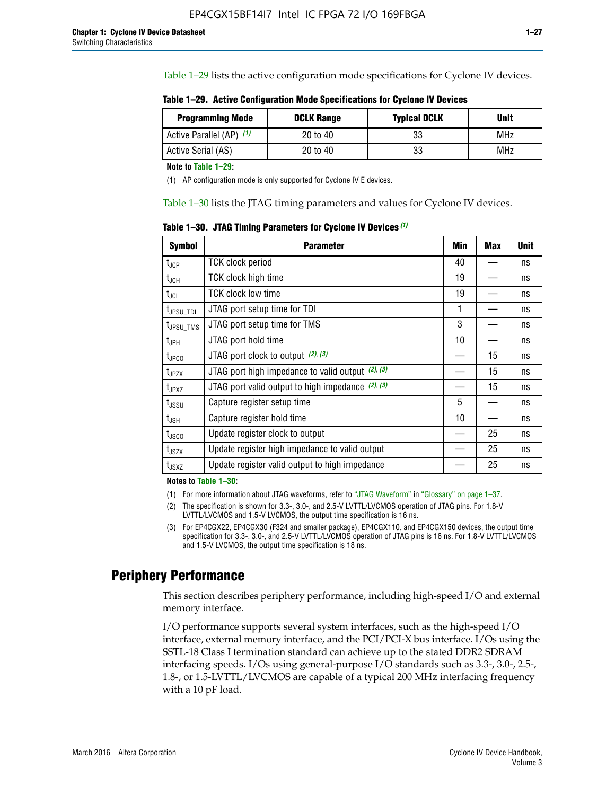Table 1–29 lists the active configuration mode specifications for Cyclone IV devices.

**Table 1–29. Active Configuration Mode Specifications for Cyclone IV Devices**

| <b>Programming Mode</b>  | <b>DCLK Range</b> | <b>Typical DCLK</b> | Unit |
|--------------------------|-------------------|---------------------|------|
| Active Parallel (AP) (1) | 20 to 40          | 33                  | MHz  |
| Active Serial (AS)       | 20 to 40          | 33                  | MHz  |

**Note to Table 1–29:**

(1) AP configuration mode is only supported for Cyclone IV E devices.

Table 1–30 lists the JTAG timing parameters and values for Cyclone IV devices.

**Table 1–30. JTAG Timing Parameters for Cyclone IV Devices** *(1)*

| Symbol                       | <b>Parameter</b>                                       | <b>Min</b> | <b>Max</b> | <b>Unit</b> |
|------------------------------|--------------------------------------------------------|------------|------------|-------------|
| t <sub>JCP</sub>             | <b>TCK clock period</b>                                | 40         |            | ns          |
| t <sub>JCH</sub>             | <b>TCK clock high time</b>                             | 19         |            | ns          |
| $t_{JCL}$                    | TCK clock low time                                     | 19         |            | ns          |
| t <sub>JPSU_TDI</sub>        | JTAG port setup time for TDI                           | 1          |            | ns          |
| t <sub>JPSU_TMS</sub>        | JTAG port setup time for TMS                           | 3          |            | ns          |
| t <sub>JPH</sub>             | JTAG port hold time                                    | 10         |            | ns          |
| t <sub>JPCO</sub>            | JTAG port clock to output $(2)$ , $(3)$                |            | 15         | ns          |
| t <sub>JPZX</sub>            | JTAG port high impedance to valid output $(2)$ , $(3)$ |            | 15         | ns          |
| t <sub>JPXZ</sub>            | JTAG port valid output to high impedance $(2)$ , $(3)$ |            | 15         | ns          |
| ${\rm t}_{\rm JSSU}$         | Capture register setup time                            | 5          |            | ns          |
| $\mathsf{t}_{\mathsf{JSH}}$  | Capture register hold time                             | 10         |            | ns          |
| $t_{\rm JSCO}$               | Update register clock to output                        |            | 25         | ns          |
| $t_{\footnotesize \rm JSZX}$ | Update register high impedance to valid output         |            | 25         | ns          |
| t <sub>JSXZ</sub>            | Update register valid output to high impedance         |            | 25         | ns          |

**Notes to Table 1–30:**

(1) For more information about JTAG waveforms, refer to "JTAG Waveform" in "Glossary" on page 1–37.

- (2) The specification is shown for 3.3-, 3.0-, and 2.5-V LVTTL/LVCMOS operation of JTAG pins. For 1.8-V LVTTL/LVCMOS and 1.5-V LVCMOS, the output time specification is 16 ns.
- (3) For EP4CGX22, EP4CGX30 (F324 and smaller package), EP4CGX110, and EP4CGX150 devices, the output time specification for 3.3-, 3.0-, and 2.5-V LVTTL/LVCMOS operation of JTAG pins is 16 ns. For 1.8-V LVTTL/LVCMOS and 1.5-V LVCMOS, the output time specification is 18 ns.

### **Periphery Performance**

This section describes periphery performance, including high-speed I/O and external memory interface.

I/O performance supports several system interfaces, such as the high-speed I/O interface, external memory interface, and the PCI/PCI-X bus interface. I/Os using the SSTL-18 Class I termination standard can achieve up to the stated DDR2 SDRAM interfacing speeds. I/Os using general-purpose I/O standards such as 3.3-, 3.0-, 2.5-, 1.8-, or 1.5-LVTTL/LVCMOS are capable of a typical 200 MHz interfacing frequency with a 10 pF load.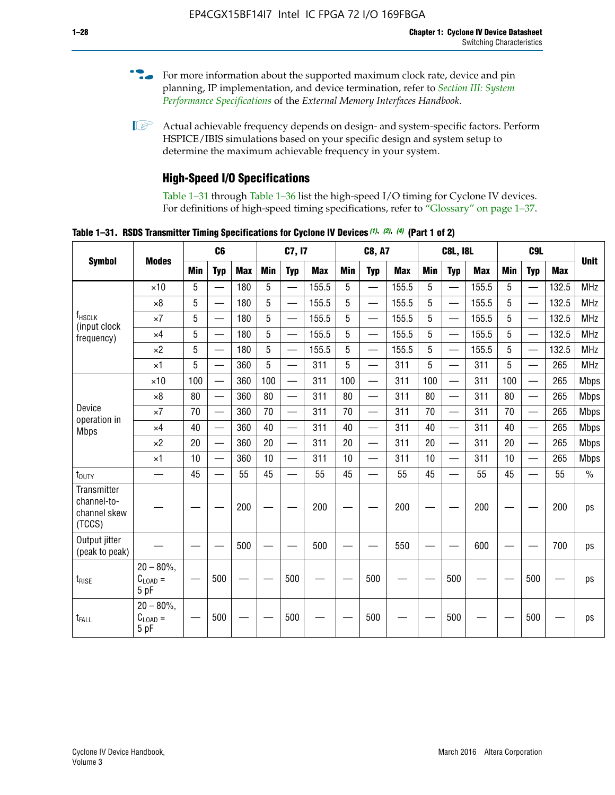- For more information about the supported maximum clock rate, device and pin planning, IP implementation, and device termination, refer to *[Section III: System](http://www.altera.com/literature/hb/external-memory/emi_intro_specs.pdf)  [Performance Specifications](http://www.altera.com/literature/hb/external-memory/emi_intro_specs.pdf)* of the *External Memory Interfaces Handbook*.
- **1 Actual achievable frequency depends on design- and system-specific factors. Perform** HSPICE/IBIS simulations based on your specific design and system setup to determine the maximum achievable frequency in your system.

### **High-Speed I/O Specifications**

Table 1–31 through Table 1–36 list the high-speed I/O timing for Cyclone IV devices. For definitions of high-speed timing specifications, refer to "Glossary" on page 1–37.

**Table 1–31. RSDS Transmitter Timing Specifications for Cyclone IV Devices** *(1)***,** *(2)***,** *(4)* **(Part 1 of 2)**

|                                                      |                                     |            | C <sub>6</sub>           |            | C7, I7     |                          |            | <b>C8, A7</b> |                          |            | <b>C8L, I8L</b> |                          |            | C <sub>9</sub> L |                          |            |             |
|------------------------------------------------------|-------------------------------------|------------|--------------------------|------------|------------|--------------------------|------------|---------------|--------------------------|------------|-----------------|--------------------------|------------|------------------|--------------------------|------------|-------------|
| <b>Symbol</b>                                        | <b>Modes</b>                        | <b>Min</b> | <b>Typ</b>               | <b>Max</b> | <b>Min</b> | <b>Typ</b>               | <b>Max</b> | <b>Min</b>    | <b>Typ</b>               | <b>Max</b> | <b>Min</b>      | <b>Typ</b>               | <b>Max</b> | Min              | <b>Typ</b>               | <b>Max</b> | <b>Unit</b> |
|                                                      | $\times$ 10                         | 5          | $\overline{\phantom{0}}$ | 180        | 5          | $\overline{\phantom{0}}$ | 155.5      | 5             | $\overline{\phantom{0}}$ | 155.5      | 5               | $\overline{\phantom{0}}$ | 155.5      | 5                |                          | 132.5      | <b>MHz</b>  |
|                                                      | $\times 8$                          | 5          |                          | 180        | 5          |                          | 155.5      | 5             | $\overline{\phantom{0}}$ | 155.5      | 5               |                          | 155.5      | 5                |                          | 132.5      | <b>MHz</b>  |
| f <sub>HSCLK</sub><br>(input clock                   | $\times 7$                          | 5          |                          | 180        | 5          |                          | 155.5      | 5             | $\overline{\phantom{0}}$ | 155.5      | 5               |                          | 155.5      | 5                |                          | 132.5      | <b>MHz</b>  |
| frequency)                                           | $\times$ 4                          | 5          | $\overline{\phantom{0}}$ | 180        | 5          |                          | 155.5      | 5             | $\overline{\phantom{0}}$ | 155.5      | 5               |                          | 155.5      | 5                |                          | 132.5      | <b>MHz</b>  |
|                                                      | $\times 2$                          | 5          | $\overline{\phantom{m}}$ | 180        | 5          | —                        | 155.5      | 5             | $\overline{\phantom{0}}$ | 155.5      | 5               | —                        | 155.5      | 5                | —                        | 132.5      | <b>MHz</b>  |
|                                                      | $\times$ 1                          | 5          |                          | 360        | 5          | $\overline{\phantom{0}}$ | 311        | 5             | $\qquad \qquad$          | 311        | 5               | —                        | 311        | 5                | —                        | 265        | <b>MHz</b>  |
|                                                      | $\times$ 10                         | 100        | $\overline{\phantom{0}}$ | 360        | 100        |                          | 311        | 100           | $\overline{\phantom{0}}$ | 311        | 100             | $\overline{\phantom{0}}$ | 311        | 100              |                          | 265        | <b>Mbps</b> |
|                                                      | $\times 8$                          | 80         | $\overline{\phantom{0}}$ | 360        | 80         |                          | 311        | 80            | $\overline{\phantom{0}}$ | 311        | 80              | $\overline{\phantom{0}}$ | 311        | 80               |                          | 265        | <b>Mbps</b> |
| Device<br>operation in                               | $\times 7$                          | 70         |                          | 360        | 70         | $\equiv$                 | 311        | 70            | $\overline{\phantom{0}}$ | 311        | 70              | $\overline{\phantom{0}}$ | 311        | 70               | $\equiv$                 | 265        | <b>Mbps</b> |
| <b>Mbps</b>                                          | $\times$ 4                          | 40         |                          | 360        | 40         |                          | 311        | 40            | $\overline{\phantom{0}}$ | 311        | 40              | $\overline{\phantom{0}}$ | 311        | 40               | $\overline{\phantom{0}}$ | 265        | <b>Mbps</b> |
|                                                      | $\times 2$                          | 20         |                          | 360        | 20         |                          | 311        | 20            |                          | 311        | 20              | $\overline{\phantom{0}}$ | 311        | 20               | $\overline{\phantom{0}}$ | 265        | <b>Mbps</b> |
|                                                      | $\times$ 1                          | 10         |                          | 360        | 10         |                          | 311        | 10            | $\overline{\phantom{0}}$ | 311        | 10              | $\overline{\phantom{0}}$ | 311        | 10               | $\overline{\phantom{0}}$ | 265        | <b>Mbps</b> |
| $t_{\text{DUTY}}$                                    | $\overline{\phantom{0}}$            | 45         | $\overline{\phantom{0}}$ | 55         | 45         |                          | 55         | 45            | $\overline{\phantom{0}}$ | 55         | 45              |                          | 55         | 45               |                          | 55         | $\%$        |
| Transmitter<br>channel-to-<br>channel skew<br>(TCCS) |                                     |            |                          | 200        |            |                          | 200        |               |                          | 200        |                 |                          | 200        |                  |                          | 200        | ps          |
| Output jitter<br>(peak to peak)                      |                                     |            |                          | 500        |            |                          | 500        |               |                          | 550        |                 |                          | 600        |                  |                          | 700        | ps          |
| $t_{\text{RISE}}$                                    | $20 - 80\%$<br>$C_{LOAD} =$<br>5 pF |            | 500                      |            |            | 500                      |            |               | 500                      |            |                 | 500                      |            |                  | 500                      |            | ps          |
| t <sub>FALL</sub>                                    | $20 - 80\%$<br>$C_{LOAD} =$<br>5 pF |            | 500                      |            |            | 500                      |            |               | 500                      |            |                 | 500                      |            |                  | 500                      |            | ps          |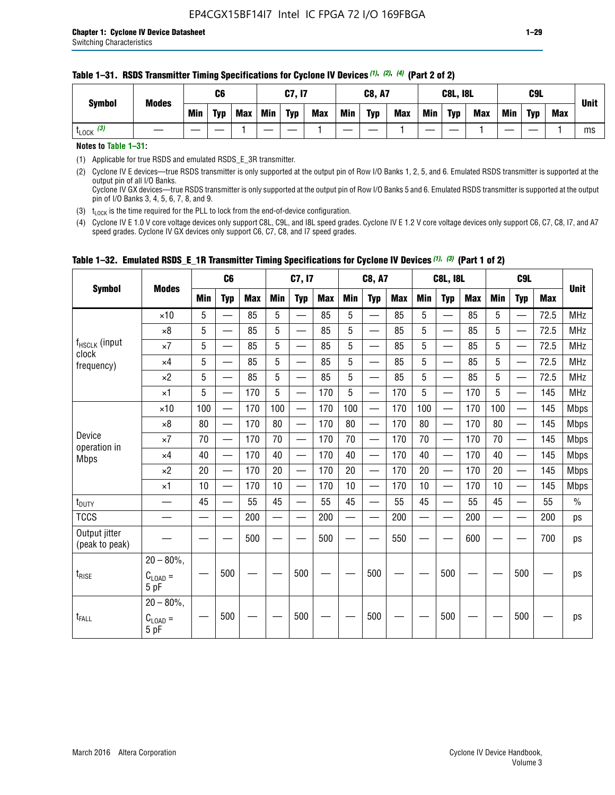| <b>Symbol</b><br><b>Modes</b> | C6  |            |            | C7, I7 |            |            | <b>C8, A7</b> |            |            |            | <b>C8L, I8L</b> |            | C <sub>9</sub> L |            |            | <b>Unit</b> |
|-------------------------------|-----|------------|------------|--------|------------|------------|---------------|------------|------------|------------|-----------------|------------|------------------|------------|------------|-------------|
|                               | Min | <b>Typ</b> | <b>Max</b> | Min    | <b>Typ</b> | <b>Max</b> | <b>Min</b>    | <b>Typ</b> | <b>Max</b> | <b>Min</b> | <b>Typ</b>      | <b>Max</b> | <b>Min</b>       | <b>Typ</b> | <b>Max</b> |             |
| $t_{\text{LOCK}}$ (3)         |     |            |            |        |            |            |               |            |            |            |                 |            |                  |            |            | ms          |

#### **Table 1–31. RSDS Transmitter Timing Specifications for Cyclone IV Devices** *(1)***,** *(2)***,** *(4)* **(Part 2 of 2)**

**Notes to Table 1–31:**

(1) Applicable for true RSDS and emulated RSDS\_E\_3R transmitter.

(2) Cyclone IV E devices—true RSDS transmitter is only supported at the output pin of Row I/O Banks 1, 2, 5, and 6. Emulated RSDS transmitter is supported at the output pin of all I/O Banks. Cyclone IV GX devices—true RSDS transmitter is only supported at the output pin of Row I/O Banks 5 and 6. Emulated RSDS transmitter is supported at the output

pin of I/O Banks 3, 4, 5, 6, 7, 8, and 9. (3)  $t_{\text{LOCK}}$  is the time required for the PLL to lock from the end-of-device configuration.

(4) Cyclone IV E 1.0 V core voltage devices only support C8L, C9L, and I8L speed grades. Cyclone IV E 1.2 V core voltage devices only support C6, C7, C8, I7, and A7 speed grades. Cyclone IV GX devices only support C6, C7, C8, and I7 speed grades.

|                                 |                                       |     | C <sub>6</sub>           |            |     | C7, I7                        |            |                          | <b>C8, A7</b>                             |     | <b>C8L, I8L</b> |                          |            | C <sub>9</sub> L |                                               |            |               |
|---------------------------------|---------------------------------------|-----|--------------------------|------------|-----|-------------------------------|------------|--------------------------|-------------------------------------------|-----|-----------------|--------------------------|------------|------------------|-----------------------------------------------|------------|---------------|
| <b>Symbol</b>                   | <b>Modes</b>                          | Min | <b>Typ</b>               | <b>Max</b> | Min | <b>Typ</b>                    | <b>Max</b> | Min                      | <b>Typ</b>                                | Max | Min             | <b>Typ</b>               | <b>Max</b> | Min              | <b>Typ</b>                                    | <b>Max</b> | <b>Unit</b>   |
|                                 | $\times$ 10                           | 5   |                          | 85         | 5   |                               | 85         | 5                        |                                           | 85  | 5               |                          | 85         | 5                |                                               | 72.5       | <b>MHz</b>    |
|                                 | $\times 8$                            | 5   | $\overline{\phantom{0}}$ | 85         | 5   | $\overline{\phantom{0}}$      | 85         | 5                        | $\overline{\phantom{0}}$                  | 85  | 5               | $\overline{\phantom{0}}$ | 85         | 5                | $\hspace{0.05cm}$                             | 72.5       | <b>MHz</b>    |
| f <sub>HSCLK</sub> (input       | $\times 7$                            | 5   | —                        | 85         | 5   | —                             | 85         | 5                        | $\equiv$                                  | 85  | 5               | —                        | 85         | 5                | $\overbrace{\phantom{aaaaa}}$                 | 72.5       | <b>MHz</b>    |
| clock<br>frequency)             | $\times$ 4                            | 5   | $\overline{\phantom{0}}$ | 85         | 5   | $\overline{\phantom{0}}$      | 85         | 5                        | $\overline{\phantom{0}}$                  | 85  | 5               | —                        | 85         | 5                | $\overline{\phantom{0}}$                      | 72.5       | <b>MHz</b>    |
|                                 | $\times 2$                            | 5   | —                        | 85         | 5   | $\overbrace{\phantom{aaaaa}}$ | 85         | 5                        | $\qquad \qquad \overline{\qquad \qquad }$ | 85  | 5               | —                        | 85         | 5                | $\qquad \qquad \overbrace{\qquad \qquad }^{}$ | 72.5       | <b>MHz</b>    |
|                                 | $\times$ 1                            | 5   | $\overline{\phantom{0}}$ | 170        | 5   | $\overline{\phantom{0}}$      | 170        | 5                        | $\equiv$                                  | 170 | 5               | —                        | 170        | 5                |                                               | 145        | <b>MHz</b>    |
|                                 | $\times$ 10                           | 100 | $\overline{\phantom{0}}$ | 170        | 100 | $\overline{\phantom{0}}$      | 170        | 100                      | $\overline{\phantom{0}}$                  | 170 | 100             | $\overline{\phantom{0}}$ | 170        | 100              |                                               | 145        | <b>Mbps</b>   |
|                                 | $\times 8$                            | 80  | $\overline{\phantom{0}}$ | 170        | 80  | $\overline{\phantom{0}}$      | 170        | 80                       | $\qquad \qquad \qquad$                    | 170 | 80              | $\overline{\phantom{0}}$ | 170        | 80               |                                               | 145        | <b>Mbps</b>   |
| Device                          | $\times 7$                            | 70  | $\overline{\phantom{0}}$ | 170        | 70  |                               | 170        | 70                       | $\qquad \qquad \qquad$                    | 170 | 70              | $\overline{\phantom{0}}$ | 170        | 70               |                                               | 145        | <b>Mbps</b>   |
| operation in<br><b>Mbps</b>     | $\times$ 4                            | 40  |                          | 170        | 40  | $\overline{\phantom{0}}$      | 170        | 40                       | $\overline{\phantom{m}}$                  | 170 | 40              | $\overline{\phantom{0}}$ | 170        | 40               |                                               | 145        | <b>Mbps</b>   |
|                                 | $\times 2$                            | 20  |                          | 170        | 20  | $\overline{\phantom{0}}$      | 170        | 20                       | $\overline{\phantom{0}}$                  | 170 | 20              | $\overline{\phantom{0}}$ | 170        | 20               | $\overline{\phantom{0}}$                      | 145        | <b>Mbps</b>   |
|                                 | $\times$ 1                            | 10  | $\overline{\phantom{0}}$ | 170        | 10  |                               | 170        | 10                       | $\overline{\phantom{0}}$                  | 170 | 10              | $\overline{\phantom{0}}$ | 170        | 10               |                                               | 145        | <b>Mbps</b>   |
| t <sub>DUTY</sub>               |                                       | 45  | $\equiv$                 | 55         | 45  | $\overline{\phantom{0}}$      | 55         | 45                       |                                           | 55  | 45              | $\overline{\phantom{0}}$ | 55         | 45               |                                               | 55         | $\frac{0}{0}$ |
| <b>TCCS</b>                     |                                       |     |                          | 200        |     |                               | 200        | $\overline{\phantom{0}}$ |                                           | 200 |                 | $\overline{\phantom{0}}$ | 200        |                  |                                               | 200        | ps            |
| Output jitter<br>(peak to peak) |                                       |     |                          | 500        |     |                               | 500        |                          |                                           | 550 |                 |                          | 600        |                  |                                               | 700        | ps            |
| $t_{\text{RISE}}$               | $20 - 80\%$ ,<br>$C_{LOAD} =$<br>5 pF |     | 500                      |            |     | 500                           |            |                          | 500                                       |     |                 | 500                      |            |                  | 500                                           |            | ps            |
| $t_{FALL}$                      | $20 - 80\%$ .<br>$C_{LOAD} =$<br>5 pF |     | 500                      |            |     | 500                           |            |                          | 500                                       |     |                 | 500                      |            |                  | 500                                           |            | ps            |

### **Table 1–32. Emulated RSDS\_E\_1R Transmitter Timing Specifications for Cyclone IV Devices** *(1), (3)* **(Part 1 of 2)**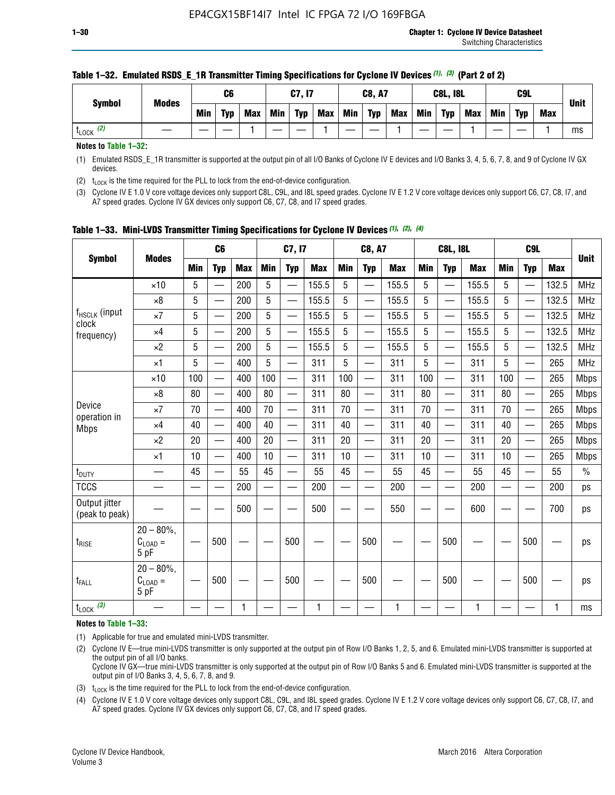| C6<br>C7, I7                                                                                                             | <b>C8, A7</b>            | <b>C8L, I8L</b>                 | C9L                             |             |
|--------------------------------------------------------------------------------------------------------------------------|--------------------------|---------------------------------|---------------------------------|-------------|
| <b>Modes</b><br><b>Symbol</b><br><b>Typ</b><br><b>Min</b><br><b>Max</b><br>Min<br><b>Min</b><br><b>Typ</b><br><b>Max</b> | <b>Typ</b><br><b>Max</b> | Min<br><b>Typ</b><br><b>Max</b> | Min<br><b>Typ</b><br><b>Max</b> | <b>Unit</b> |
| (2)<br>LOCK                                                                                                              |                          |                                 |                                 | ms          |

#### **Table 1–32. Emulated RSDS\_E\_1R Transmitter Timing Specifications for Cyclone IV Devices** *(1), (3)* **(Part 2 of 2)**

**Notes to Table 1–32:**

(1) Emulated RSDS\_E\_1R transmitter is supported at the output pin of all I/O Banks of Cyclone IV E devices and I/O Banks 3, 4, 5, 6, 7, 8, and 9 of Cyclone IV GX devices.

(2)  $t_{\text{LOCK}}$  is the time required for the PLL to lock from the end-of-device configuration.

(3) Cyclone IV E 1.0 V core voltage devices only support C8L, C9L, and I8L speed grades. Cyclone IV E 1.2 V core voltage devices only support C6, C7, C8, I7, and A7 speed grades. Cyclone IV GX devices only support C6, C7, C8, and I7 speed grades.

|                                 |                                           |     | C <sub>6</sub>           |            |                          | C7, I7                   |            |            | <b>C8, A7</b>            |              |            | <b>C8L, I8L</b>          |            |            | C <sub>9</sub> L         |            | <b>Unit</b> |
|---------------------------------|-------------------------------------------|-----|--------------------------|------------|--------------------------|--------------------------|------------|------------|--------------------------|--------------|------------|--------------------------|------------|------------|--------------------------|------------|-------------|
| <b>Symbol</b>                   | <b>Modes</b>                              | Min | <b>Typ</b>               | <b>Max</b> | <b>Min</b>               | <b>Typ</b>               | <b>Max</b> | <b>Min</b> | <b>Typ</b>               | <b>Max</b>   | <b>Min</b> | <b>Typ</b>               | <b>Max</b> | <b>Min</b> | <b>Typ</b>               | <b>Max</b> |             |
|                                 | $\times$ 10                               | 5   |                          | 200        | 5                        | —                        | 155.5      | 5          | $\overline{\phantom{0}}$ | 155.5        | 5          | $\overline{\phantom{0}}$ | 155.5      | 5          | $\overline{\phantom{0}}$ | 132.5      | <b>MHz</b>  |
|                                 | $\times 8$                                | 5   |                          | 200        | 5                        | $\overline{\phantom{0}}$ | 155.5      | 5          | —                        | 155.5        | 5          |                          | 155.5      | 5          |                          | 132.5      | <b>MHz</b>  |
| f <sub>HSCLK</sub> (input       | $\times 7$                                | 5   |                          | 200        | 5                        | ÷,                       | 155.5      | 5          | —                        | 155.5        | 5          |                          | 155.5      | 5          |                          | 132.5      | <b>MHz</b>  |
| clock<br>frequency)             | $\times$ 4                                | 5   | $\overline{\phantom{0}}$ | 200        | 5                        | —                        | 155.5      | 5          | $\overline{\phantom{0}}$ | 155.5        | 5          |                          | 155.5      | 5          | $\overline{\phantom{0}}$ | 132.5      | <b>MHz</b>  |
|                                 | $\times 2$                                | 5   | $\overline{\phantom{0}}$ | 200        | 5                        | $\overline{\phantom{0}}$ | 155.5      | 5          | $\overline{\phantom{0}}$ | 155.5        | 5          | $\overline{\phantom{0}}$ | 155.5      | 5          |                          | 132.5      | <b>MHz</b>  |
|                                 | $\times$ 1                                | 5   | $\overline{\phantom{0}}$ | 400        | 5                        |                          | 311        | 5          | —                        | 311          | 5          | $\overline{\phantom{0}}$ | 311        | 5          |                          | 265        | <b>MHz</b>  |
|                                 | $\times$ 10                               | 100 |                          | 400        | 100                      | $\overline{\phantom{0}}$ | 311        | 100        | $\overline{\phantom{0}}$ | 311          | 100        | $\overline{\phantom{0}}$ | 311        | 100        |                          | 265        | <b>Mbps</b> |
|                                 | $\times 8$                                | 80  | $\overline{\phantom{0}}$ | 400        | 80                       | $\overline{\phantom{0}}$ | 311        | 80         | $\overline{\phantom{0}}$ | 311          | 80         | $\overline{\phantom{0}}$ | 311        | 80         |                          | 265        | <b>Mbps</b> |
| Device                          | $\times 7$                                | 70  |                          | 400        | 70                       |                          | 311        | 70         | $\overline{\phantom{0}}$ | 311          | 70         |                          | 311        | 70         |                          | 265        | <b>Mbps</b> |
| operation in<br><b>Mbps</b>     | $\times 4$                                | 40  | $\overline{\phantom{0}}$ | 400        | 40                       |                          | 311        | 40         | $\overline{\phantom{0}}$ | 311          | 40         | —                        | 311        | 40         |                          | 265        | <b>Mbps</b> |
|                                 | $\times 2$                                | 20  |                          | 400        | 20                       | —                        | 311        | 20         | $\overline{\phantom{0}}$ | 311          | 20         | $\overline{\phantom{0}}$ | 311        | 20         |                          | 265        | <b>Mbps</b> |
|                                 | ×1                                        | 10  | $\overline{\phantom{0}}$ | 400        | 10                       |                          | 311        | 10         | $\overline{\phantom{0}}$ | 311          | 10         | —                        | 311        | 10         |                          | 265        | <b>Mbps</b> |
| t <sub>DUTY</sub>               |                                           | 45  |                          | 55         | 45                       | $\overline{\phantom{0}}$ | 55         | 45         | $\overline{\phantom{0}}$ | 55           | 45         | $\overline{\phantom{0}}$ | 55         | 45         |                          | 55         | $\%$        |
| <b>TCCS</b>                     |                                           |     |                          | 200        | $\overline{\phantom{0}}$ |                          | 200        |            |                          | 200          | —          |                          | 200        |            |                          | 200        | ps          |
| Output jitter<br>(peak to peak) |                                           |     |                          | 500        |                          |                          | 500        |            |                          | 550          |            |                          | 600        |            |                          | 700        | ps          |
| $t_{\sf RISE}$                  | $20 - 80\%$ ,<br>$C_{LOAD} =$<br>5 pF     |     | 500                      |            |                          | 500                      |            |            | 500                      |              |            | 500                      |            |            | 500                      |            | ps          |
| t <sub>FALL</sub>               | $20 - 80\%$<br>$\rm C_{LOAD}$ $=$<br>5 pF |     | 500                      |            |                          | 500                      |            |            | 500                      |              |            | 500                      |            |            | 500                      |            | ps          |
| $t_{\text{LOCK}}$ (3)           |                                           |     |                          | 1          |                          |                          | 1          |            |                          | $\mathbf{1}$ |            |                          | 1          |            |                          | 1          | ms          |

**Table 1–33. Mini-LVDS Transmitter Timing Specifications for Cyclone IV Devices** *(1)***,** *(2)***,** *(4)*

**Notes to Table 1–33:**

(1) Applicable for true and emulated mini-LVDS transmitter.

(2) Cyclone IV E—true mini-LVDS transmitter is only supported at the output pin of Row I/O Banks 1, 2, 5, and 6. Emulated mini-LVDS transmitter is supported at the output pin of all I/O banks.

Cyclone IV GX—true mini-LVDS transmitter is only supported at the output pin of Row I/O Banks 5 and 6. Emulated mini-LVDS transmitter is supported at the output pin of I/O Banks 3, 4, 5, 6, 7, 8, and 9.

(3)  $t_{\text{LOCK}}$  is the time required for the PLL to lock from the end-of-device configuration.

(4) Cyclone IV E 1.0 V core voltage devices only support C8L, C9L, and I8L speed grades. Cyclone IV E 1.2 V core voltage devices only support C6, C7, C8, I7, and A7 speed grades. Cyclone IV GX devices only support C6, C7, C8, and I7 speed grades.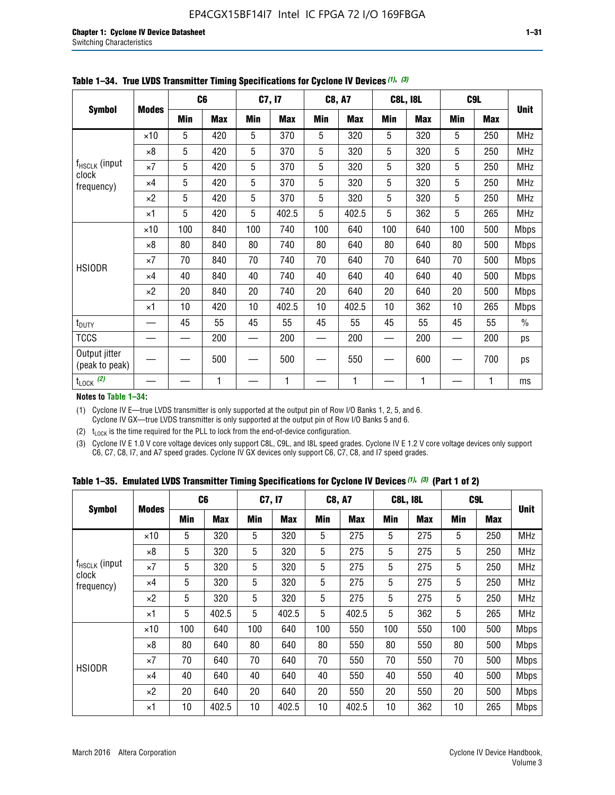|                                    |              |            | C6         |            | C7, I7     |            | <b>C8, A7</b> |     | <b>C8L, I8L</b> |            | C <sub>9</sub> L |               |
|------------------------------------|--------------|------------|------------|------------|------------|------------|---------------|-----|-----------------|------------|------------------|---------------|
| <b>Symbol</b>                      | <b>Modes</b> | <b>Min</b> | <b>Max</b> | <b>Min</b> | <b>Max</b> | <b>Min</b> | <b>Max</b>    | Min | <b>Max</b>      | <b>Min</b> | <b>Max</b>       | <b>Unit</b>   |
|                                    | $\times$ 10  | 5          | 420        | 5          | 370        | 5          | 320           | 5   | 320             | 5          | 250              | <b>MHz</b>    |
|                                    | $\times 8$   | 5          | 420        | 5          | 370        | 5          | 320           | 5   | 320             | 5          | 250              | <b>MHz</b>    |
| f <sub>HSCLK</sub> (input<br>clock | $\times 7$   | 5          | 420        | 5          | 370        | 5          | 320           | 5   | 320             | 5          | 250              | MHz           |
| frequency)                         | $\times 4$   | 5          | 420        | 5          | 370        | 5          | 320           | 5   | 320             | 5          | 250              | MHz           |
|                                    | $\times 2$   | 5          | 420        | 5          | 370        | 5          | 320           | 5   | 320             | 5          | 250              | MHz           |
|                                    | $\times$ 1   | 5          | 420        | 5          | 402.5      | 5          | 402.5         | 5   | 362             | 5          | 265              | <b>MHz</b>    |
|                                    | $\times$ 10  | 100        | 840        | 100        | 740        | 100        | 640           | 100 | 640             | 100        | 500              | Mbps          |
|                                    | ×8           | 80         | 840        | 80         | 740        | 80         | 640           | 80  | 640             | 80         | 500              | <b>Mbps</b>   |
| <b>HSIODR</b>                      | $\times 7$   | 70         | 840        | 70         | 740        | 70         | 640           | 70  | 640             | 70         | 500              | <b>Mbps</b>   |
|                                    | $\times 4$   | 40         | 840        | 40         | 740        | 40         | 640           | 40  | 640             | 40         | 500              | <b>Mbps</b>   |
|                                    | $\times 2$   | 20         | 840        | 20         | 740        | 20         | 640           | 20  | 640             | 20         | 500              | <b>Mbps</b>   |
|                                    | $\times$ 1   | 10         | 420        | 10         | 402.5      | 10         | 402.5         | 10  | 362             | 10         | 265              | <b>Mbps</b>   |
| t <sub>DUTY</sub>                  |              | 45         | 55         | 45         | 55         | 45         | 55            | 45  | 55              | 45         | 55               | $\frac{0}{0}$ |
| <b>TCCS</b>                        |              |            | 200        |            | 200        |            | 200           |     | 200             |            | 200              | ps            |
| Output jitter<br>(peak to peak)    |              |            | 500        |            | 500        |            | 550           |     | 600             |            | 700              | ps            |
| $t_{\text{LOCK}}$ (2)              |              |            | 1          |            | 1          |            | 1             |     | 1               |            | 1                | ms            |

**Table 1–34. True LVDS Transmitter Timing Specifications for Cyclone IV Devices** *(1)***,** *(3)*

**Notes to Table 1–34:**

(1) Cyclone IV E—true LVDS transmitter is only supported at the output pin of Row I/O Banks 1, 2, 5, and 6. Cyclone IV GX—true LVDS transmitter is only supported at the output pin of Row I/O Banks 5 and 6.

(2)  $t_{\text{LOCK}}$  is the time required for the PLL to lock from the end-of-device configuration.

(3) Cyclone IV E 1.0 V core voltage devices only support C8L, C9L, and I8L speed grades. Cyclone IV E 1.2 V core voltage devices only support C6, C7, C8, I7, and A7 speed grades. Cyclone IV GX devices only support C6, C7, C8, and I7 speed grades.

|  |  |  |  |  |  | Table 1–35. Emulated LVDS Transmitter Timing Specifications for Cyclone IV Devices <sup>(1),</sup> <sup>(3)</sup> (Part 1 of 2) |  |  |
|--|--|--|--|--|--|---------------------------------------------------------------------------------------------------------------------------------|--|--|
|--|--|--|--|--|--|---------------------------------------------------------------------------------------------------------------------------------|--|--|

|                             |              | C <sub>6</sub> |            | C7, I7     |            | <b>C8, A7</b> |            | <b>C8L, I8L</b> |            |            | C <sub>9</sub> L |             |
|-----------------------------|--------------|----------------|------------|------------|------------|---------------|------------|-----------------|------------|------------|------------------|-------------|
| <b>Symbol</b>               | <b>Modes</b> | Min            | <b>Max</b> | <b>Min</b> | <b>Max</b> | <b>Min</b>    | <b>Max</b> | <b>Min</b>      | <b>Max</b> | <b>Min</b> | <b>Max</b>       | <b>Unit</b> |
|                             | $\times$ 10  | 5              | 320        | 5          | 320        | 5             | 275        | 5               | 275        | 5          | 250              | <b>MHz</b>  |
|                             | $\times 8$   | 5              | 320        | 5          | 320        | 5             | 275        | 5               | 275        | 5          | 250              | <b>MHz</b>  |
| $f_{HSCLK}$ (input<br>clock | $\times 7$   | 5              | 320        | 5          | 320        | 5             | 275        | 5               | 275        | 5          | 250              | <b>MHz</b>  |
| frequency)                  | $\times$ 4   | 5              | 320        | 5          | 320        | 5             | 275        | 5               | 275        | 5          | 250              | <b>MHz</b>  |
|                             | $\times 2$   | 5              | 320        | 5          | 320        | 5             | 275        | 5               | 275        | 5          | 250              | <b>MHz</b>  |
|                             | $\times$ 1   | 5              | 402.5      | 5          | 402.5      | 5             | 402.5      | 5               | 362        | 5          | 265              | <b>MHz</b>  |
|                             | $\times$ 10  | 100            | 640        | 100        | 640        | 100           | 550        | 100             | 550        | 100        | 500              | <b>Mbps</b> |
|                             | $\times 8$   | 80             | 640        | 80         | 640        | 80            | 550        | 80              | 550        | 80         | 500              | <b>Mbps</b> |
| <b>HSIODR</b>               | $\times 7$   | 70             | 640        | 70         | 640        | 70            | 550        | 70              | 550        | 70         | 500              | <b>Mbps</b> |
|                             | $\times$ 4   | 40             | 640        | 40         | 640        | 40            | 550        | 40              | 550        | 40         | 500              | <b>Mbps</b> |
|                             | $\times 2$   | 20             | 640        | 20         | 640        | 20            | 550        | 20              | 550        | 20         | 500              | <b>Mbps</b> |
|                             | $\times$ 1   | 10             | 402.5      | 10         | 402.5      | 10            | 402.5      | 10              | 362        | 10         | 265              | <b>Mbps</b> |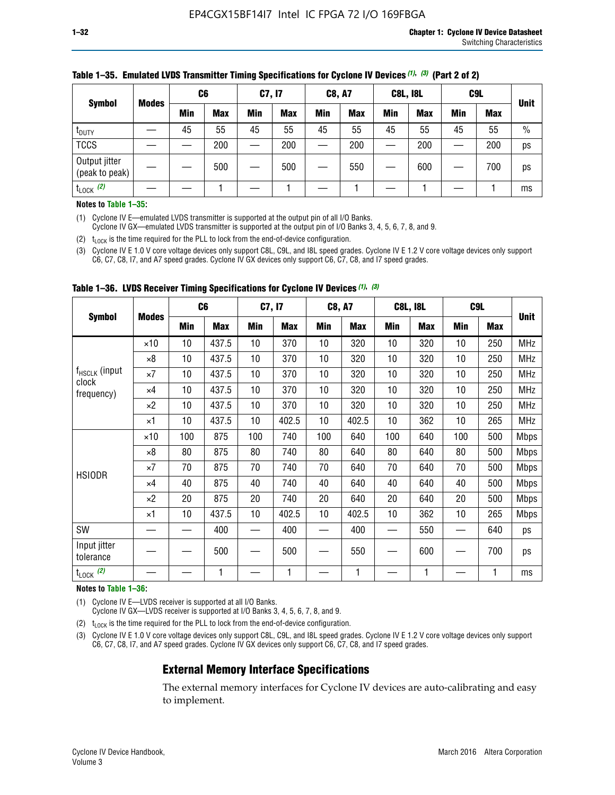|                                 |               | C <sub>6</sub> |     | C7, I7     |            | <b>C8, A7</b> |            | <b>C8L, I8L</b> |            |            | C <sub>9</sub> L |               |             |
|---------------------------------|---------------|----------------|-----|------------|------------|---------------|------------|-----------------|------------|------------|------------------|---------------|-------------|
|                                 | <b>Symbol</b> | <b>Modes</b>   | Min | <b>Max</b> | <b>Min</b> | <b>Max</b>    | <b>Min</b> | <b>Max</b>      | <b>Min</b> | <b>Max</b> | <b>Min</b>       | <b>Max</b>    | <b>Unit</b> |
| t <sub>DUTY</sub>               |               | 45             | 55  | 45         | 55         | 45            | 55         | 45              | 55         | 45         | 55               | $\frac{0}{0}$ |             |
| <b>TCCS</b>                     |               |                | 200 |            | 200        |               | 200        |                 | 200        | —          | 200              | ps            |             |
| Output jitter<br>(peak to peak) |               |                | 500 |            | 500        |               | 550        |                 | 600        | —          | 700              | ps            |             |
| $t_{\text{LOCK}}$ (2)           |               |                |     |            |            |               |            |                 |            |            |                  | ms            |             |

#### **Table 1–35. Emulated LVDS Transmitter Timing Specifications for Cyclone IV Devices** *(1)***,** *(3)* **(Part 2 of 2)**

#### **Notes to Table 1–35:**

(1) Cyclone IV E—emulated LVDS transmitter is supported at the output pin of all I/O Banks.

Cyclone IV GX—emulated LVDS transmitter is supported at the output pin of I/O Banks 3, 4, 5, 6, 7, 8, and 9.

(2)  $t_{\text{LOCK}}$  is the time required for the PLL to lock from the end-of-device configuration.

(3) Cyclone IV E 1.0 V core voltage devices only support C8L, C9L, and I8L speed grades. Cyclone IV E 1.2 V core voltage devices only support C6, C7, C8, I7, and A7 speed grades. Cyclone IV GX devices only support C6, C7, C8, and I7 speed grades.

|                                    |              | C <sub>6</sub> |            | C7, I7     |            | <b>C8, A7</b> |            | <b>C8L, I8L</b> |            | C <sub>9</sub> L |            |             |
|------------------------------------|--------------|----------------|------------|------------|------------|---------------|------------|-----------------|------------|------------------|------------|-------------|
| <b>Symbol</b>                      | <b>Modes</b> | Min            | <b>Max</b> | <b>Min</b> | <b>Max</b> | Min           | <b>Max</b> | Min             | <b>Max</b> | Min              | <b>Max</b> | <b>Unit</b> |
|                                    | $\times$ 10  | 10             | 437.5      | 10         | 370        | 10            | 320        | 10              | 320        | 10               | 250        | <b>MHz</b>  |
|                                    | $\times 8$   | 10             | 437.5      | 10         | 370        | 10            | 320        | 10              | 320        | 10               | 250        | <b>MHz</b>  |
| f <sub>HSCLK</sub> (input<br>clock | $\times 7$   | 10             | 437.5      | 10         | 370        | 10            | 320        | 10              | 320        | 10               | 250        | <b>MHz</b>  |
| frequency)                         | ×4           | 10             | 437.5      | 10         | 370        | 10            | 320        | 10              | 320        | 10               | 250        | <b>MHz</b>  |
|                                    | $\times 2$   | 10             | 437.5      | 10         | 370        | 10            | 320        | 10              | 320        | 10               | 250        | <b>MHz</b>  |
|                                    | ×1           | 10             | 437.5      | 10         | 402.5      | 10            | 402.5      | 10              | 362        | 10               | 265        | <b>MHz</b>  |
|                                    | $\times$ 10  | 100            | 875        | 100        | 740        | 100           | 640        | 100             | 640        | 100              | 500        | <b>Mbps</b> |
|                                    | $\times 8$   | 80             | 875        | 80         | 740        | 80            | 640        | 80              | 640        | 80               | 500        | <b>Mbps</b> |
| <b>HSIODR</b>                      | $\times 7$   | 70             | 875        | 70         | 740        | 70            | 640        | 70              | 640        | 70               | 500        | <b>Mbps</b> |
|                                    | $\times 4$   | 40             | 875        | 40         | 740        | 40            | 640        | 40              | 640        | 40               | 500        | <b>Mbps</b> |
|                                    | $\times 2$   | 20             | 875        | 20         | 740        | 20            | 640        | 20              | 640        | 20               | 500        | <b>Mbps</b> |
|                                    | ×1           | 10             | 437.5      | 10         | 402.5      | 10            | 402.5      | 10              | 362        | 10               | 265        | <b>Mbps</b> |
| SW                                 |              |                | 400        |            | 400        |               | 400        |                 | 550        | —                | 640        | ps          |
| Input jitter<br>tolerance          |              |                | 500        |            | 500        |               | 550        |                 | 600        |                  | 700        | ps          |
| $t_{\text{LOCK}}$ (2)              |              |                | 1          |            | 1          |               | 1          |                 | 1          |                  | 1          | ms          |

**Table 1–36. LVDS Receiver Timing Specifications for Cyclone IV Devices** *(1)***,** *(3)*

#### **Notes to Table 1–36:**

(1) Cyclone IV E—LVDS receiver is supported at all I/O Banks.

Cyclone IV GX—LVDS receiver is supported at I/O Banks 3, 4, 5, 6, 7, 8, and 9.

(2)  $t_{\text{LOCK}}$  is the time required for the PLL to lock from the end-of-device configuration.

(3) Cyclone IV E 1.0 V core voltage devices only support C8L, C9L, and I8L speed grades. Cyclone IV E 1.2 V core voltage devices only support C6, C7, C8, I7, and A7 speed grades. Cyclone IV GX devices only support C6, C7, C8, and I7 speed grades.

### **External Memory Interface Specifications**

The external memory interfaces for Cyclone IV devices are auto-calibrating and easy to implement.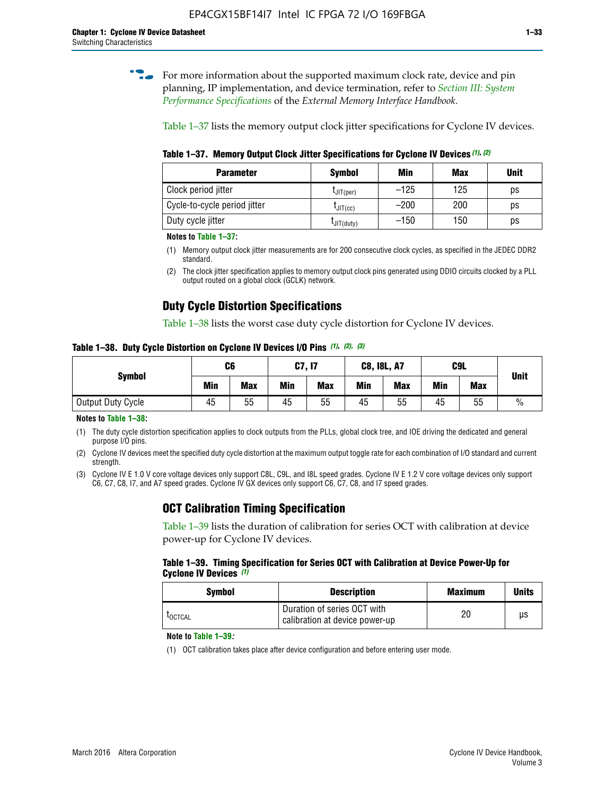**for more information about the supported maximum clock rate, device and pin** planning, IP implementation, and device termination, refer to *[Section III: System](http://www.altera.com/literature/hb/external-memory/emi_intro_specs.pdf)  [Performance Specifications](http://www.altera.com/literature/hb/external-memory/emi_intro_specs.pdf)* of the *External Memory Interface Handbook*.

Table 1–37 lists the memory output clock jitter specifications for Cyclone IV devices.

**Table 1–37. Memory Output Clock Jitter Specifications for Cyclone IV Devices** *(1)***,** *(2)*

| <b>Parameter</b>             | <b>Symbol</b>  | Min    | <b>Max</b> | <b>Unit</b> |
|------------------------------|----------------|--------|------------|-------------|
| Clock period jitter          | $L$ JIT(per)   | $-125$ | 125        | ps          |
| Cycle-to-cycle period jitter | $L$ JIT $(cc)$ | $-200$ | 200        | ps          |
| Duty cycle jitter            | LJIT(duty)     | $-150$ | 150        | рs          |

**Notes to Table 1–37:**

- (1) Memory output clock jitter measurements are for 200 consecutive clock cycles, as specified in the JEDEC DDR2 standard.
- (2) The clock jitter specification applies to memory output clock pins generated using DDIO circuits clocked by a PLL output routed on a global clock (GCLK) network.

### **Duty Cycle Distortion Specifications**

Table 1–38 lists the worst case duty cycle distortion for Cyclone IV devices.

**Table 1–38. Duty Cycle Distortion on Cyclone IV Devices I/O Pins** *(1)***,** *(2), (3)*

| <b>Symbol</b>     | C6  |            | C7, I7     |            | <b>C8, I8L, A7</b> |            | C9L        | <b>Unit</b> |               |
|-------------------|-----|------------|------------|------------|--------------------|------------|------------|-------------|---------------|
|                   | Min | <b>Max</b> | <b>Min</b> | <b>Max</b> | Min                | <b>Max</b> | <b>Min</b> | <b>Max</b>  |               |
| Output Duty Cycle | 45  | 55         | 45         | 55         | 45                 | 55         | 45         | 55          | $\frac{0}{0}$ |

**Notes to Table 1–38:**

(1) The duty cycle distortion specification applies to clock outputs from the PLLs, global clock tree, and IOE driving the dedicated and general purpose I/O pins.

(2) Cyclone IV devices meet the specified duty cycle distortion at the maximum output toggle rate for each combination of I/O standard and current strength.

(3) Cyclone IV E 1.0 V core voltage devices only support C8L, C9L, and I8L speed grades. Cyclone IV E 1.2 V core voltage devices only support C6, C7, C8, I7, and A7 speed grades. Cyclone IV GX devices only support C6, C7, C8, and I7 speed grades.

### **OCT Calibration Timing Specification**

Table 1–39 lists the duration of calibration for series OCT with calibration at device power-up for Cyclone IV devices.

#### **Table 1–39. Timing Specification for Series OCT with Calibration at Device Power-Up for Cyclone IV Devices** *(1)*

| Symbol  | <b>Description</b>                                            | <b>Maximum</b> | <b>Units</b> |
|---------|---------------------------------------------------------------|----------------|--------------|
| LOCTCAL | Duration of series OCT with<br>calibration at device power-up | 20             | μs           |

#### **Note to Table 1–39***:*

(1) OCT calibration takes place after device configuration and before entering user mode.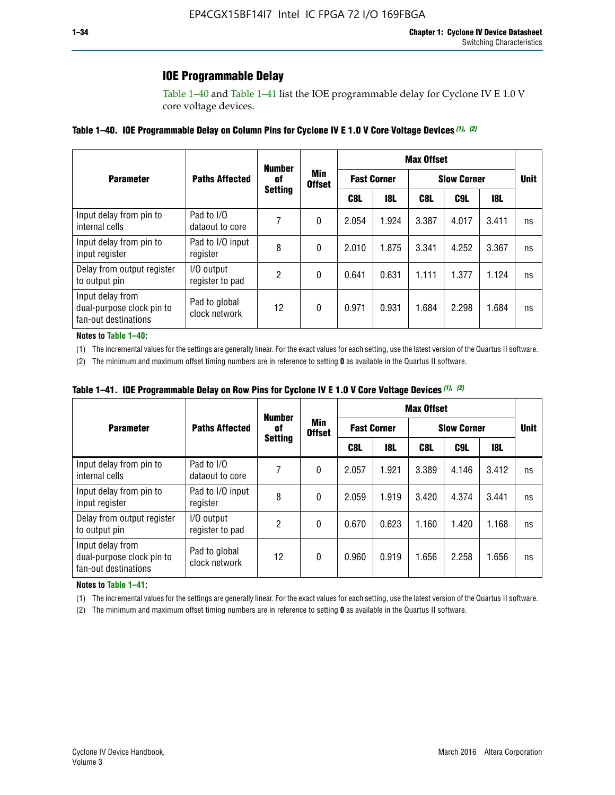### **IOE Programmable Delay**

Table 1–40 and Table 1–41 list the IOE programmable delay for Cyclone IV E 1.0 V core voltage devices.

#### **Table 1–40. IOE Programmable Delay on Column Pins for Cyclone IV E 1.0 V Core Voltage Devices** *(1)***,** *(2)*

|                                                                       |                                | <b>Number</b>  | Min<br><b>Offset</b> | <b>Max Offset</b>  |            |                    |             |       |    |  |
|-----------------------------------------------------------------------|--------------------------------|----------------|----------------------|--------------------|------------|--------------------|-------------|-------|----|--|
| <b>Parameter</b>                                                      | <b>Paths Affected</b>          | 0f             |                      | <b>Fast Corner</b> |            | <b>Slow Corner</b> | <b>Unit</b> |       |    |  |
|                                                                       |                                | <b>Setting</b> |                      | C8L                | <b>18L</b> | C8L                | C9L         | 18L   |    |  |
| Input delay from pin to<br>internal cells                             | Pad to I/O<br>dataout to core  | 7              | 0                    | 2.054              | 1.924      | 3.387              | 4.017       | 3.411 | ns |  |
| Input delay from pin to<br>input register                             | Pad to I/O input<br>register   | 8              | 0                    | 2.010              | 1.875      | 3.341              | 4.252       | 3.367 | ns |  |
| Delay from output register<br>to output pin                           | I/O output<br>register to pad  | 2              | 0                    | 0.641              | 0.631      | 1.111              | 1.377       | 1.124 | ns |  |
| Input delay from<br>dual-purpose clock pin to<br>fan-out destinations | Pad to global<br>clock network | 12             | 0                    | 0.971              | 0.931      | 1.684              | 2.298       | 1.684 | ns |  |

#### **Notes to Table 1–40:**

(1) The incremental values for the settings are generally linear. For the exact values for each setting, use the latest version of the Quartus II software.

(2) The minimum and maximum offset timing numbers are in reference to setting **0** as available in the Quartus II software.

| Table 1–41. IOE Programmable Delay on Row Pins for Cyclone IV E 1.0 V Core Voltage Devices (1), (2) |  |  |
|-----------------------------------------------------------------------------------------------------|--|--|
|-----------------------------------------------------------------------------------------------------|--|--|

|                                                                       |                                | <b>Number</b>  |                      | <b>Max Offset</b> |                    |       |                    |            |             |  |
|-----------------------------------------------------------------------|--------------------------------|----------------|----------------------|-------------------|--------------------|-------|--------------------|------------|-------------|--|
| <b>Parameter</b>                                                      | <b>Paths Affected</b>          | 0f             | Min<br><b>Offset</b> |                   | <b>Fast Corner</b> |       | <b>Slow Corner</b> |            | <b>Unit</b> |  |
|                                                                       |                                | <b>Setting</b> |                      | C8L               | <b>18L</b>         | C8L   | C9L                | <b>18L</b> |             |  |
| Input delay from pin to<br>internal cells                             | Pad to I/O<br>dataout to core  |                | 0                    | 2.057             | 1.921              | 3.389 | 4.146              | 3.412      | ns          |  |
| Input delay from pin to<br>input register                             | Pad to I/O input<br>register   | 8              | 0                    | 2.059             | 1.919              | 3.420 | 4.374              | 3.441      | ns          |  |
| Delay from output register<br>to output pin                           | I/O output<br>register to pad  | 2              | 0                    | 0.670             | 0.623              | 1.160 | 1.420              | 1.168      | ns          |  |
| Input delay from<br>dual-purpose clock pin to<br>fan-out destinations | Pad to global<br>clock network | 12             | 0                    | 0.960             | 0.919              | 1.656 | 2.258              | 1.656      | ns          |  |

#### **Notes to Table 1–41:**

(1) The incremental values for the settings are generally linear. For the exact values for each setting, use the latest version of the Quartus II software.

(2) The minimum and maximum offset timing numbers are in reference to setting **0** as available in the Quartus II software.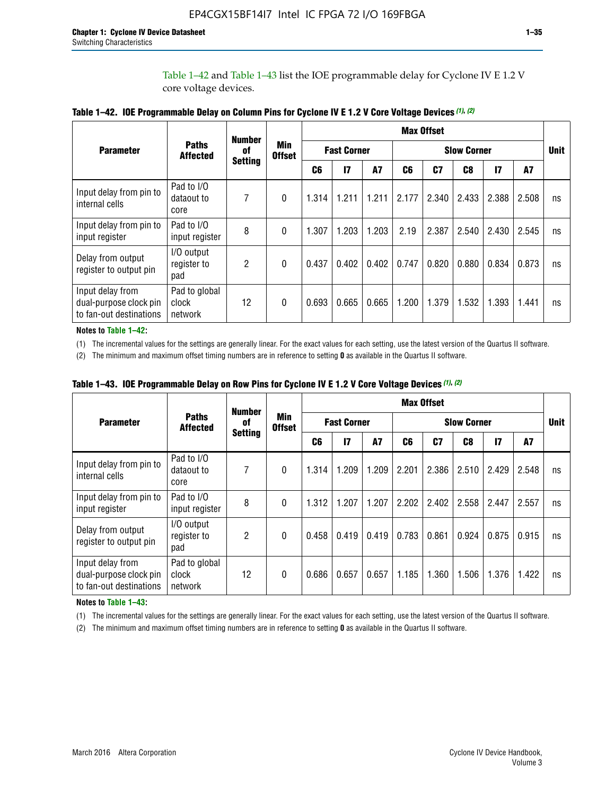Table 1–42 and Table 1–43 list the IOE programmable delay for Cyclone IV E 1.2 V core voltage devices.

|                                                                       |                                   | <b>Number</b>  |                             | <b>Max Offset</b> |                    |           |                    |       |       |               |       |    |
|-----------------------------------------------------------------------|-----------------------------------|----------------|-----------------------------|-------------------|--------------------|-----------|--------------------|-------|-------|---------------|-------|----|
| <b>Parameter</b>                                                      | <b>Paths</b><br><b>Affected</b>   | of             | <b>Min</b><br><b>Offset</b> |                   | <b>Fast Corner</b> |           | <b>Slow Corner</b> |       |       |               |       |    |
|                                                                       |                                   | <b>Setting</b> |                             | C <sub>6</sub>    | $\mathbf{I}$       | <b>A7</b> | C6                 | C7    | C8    | $\mathsf{I}7$ | A7    |    |
| Input delay from pin to<br>internal cells                             | Pad to I/O<br>dataout to<br>core  | 7              | 0                           | 1.314             | 1.211              | 1.211     | 2.177              | 2.340 | 2.433 | 2.388         | 2.508 | ns |
| Input delay from pin to<br>input register                             | Pad to I/O<br>input register      | 8              | $\Omega$                    | 1.307             | 1.203              | 1.203     | 2.19               | 2.387 | 2.540 | 2.430         | 2.545 | ns |
| Delay from output<br>register to output pin                           | I/O output<br>register to<br>pad  | 2              | 0                           | 0.437             | 0.402              | 0.402     | 0.747              | 0.820 | 0.880 | 0.834         | 0.873 | ns |
| Input delay from<br>dual-purpose clock pin<br>to fan-out destinations | Pad to global<br>clock<br>network | 12             | 0                           | 0.693             | 0.665              | 0.665     | 1.200              | 1.379 | 1.532 | 1.393         | 1.441 | ns |

**Table 1–42. IOE Programmable Delay on Column Pins for Cyclone IV E 1.2 V Core Voltage Devices** *(1)***,** *(2)*

**Notes to Table 1–42:**

(1) The incremental values for the settings are generally linear. For the exact values for each setting, use the latest version of the Quartus II software.

(2) The minimum and maximum offset timing numbers are in reference to setting **0** as available in the Quartus II software.

|                                                                       |                                   | <b>Number</b>  |                      | <b>Max Offset</b> |                    |           |                    |                |       |              |       |    |
|-----------------------------------------------------------------------|-----------------------------------|----------------|----------------------|-------------------|--------------------|-----------|--------------------|----------------|-------|--------------|-------|----|
| <b>Parameter</b>                                                      | <b>Paths</b><br><b>Affected</b>   | 0f             | Min<br><b>Offset</b> |                   | <b>Fast Corner</b> |           | <b>Slow Corner</b> |                |       |              |       |    |
|                                                                       |                                   | <b>Setting</b> |                      | C6                | $\overline{17}$    | <b>A7</b> | C6                 | C <sub>7</sub> | C8    | $\mathbf{I}$ | A7    |    |
| Input delay from pin to<br>internal cells                             | Pad to I/O<br>dataout to<br>core  | 7              | 0                    | 1.314             | 1.209              | 1.209     | 2.201              | 2.386          | 2.510 | 2.429        | 2.548 | ns |
| Input delay from pin to<br>input register                             | Pad to I/O<br>input register      | 8              | $\theta$             | 1.312             | 1.207              | 1.207     | 2.202              | 2.402          | 2.558 | 2.447        | 2.557 | ns |
| Delay from output<br>register to output pin                           | I/O output<br>register to<br>pad  | $\overline{2}$ | $\Omega$             | 0.458             | 0.419              | 0.419     | 0.783              | 0.861          | 0.924 | 0.875        | 0.915 | ns |
| Input delay from<br>dual-purpose clock pin<br>to fan-out destinations | Pad to global<br>clock<br>network | 12             | 0                    | 0.686             | 0.657              | 0.657     | 1.185              | 1.360          | 1.506 | 1.376        | 1.422 | ns |

**Table 1–43. IOE Programmable Delay on Row Pins for Cyclone IV E 1.2 V Core Voltage Devices** *(1)***,** *(2)*

#### **Notes to Table 1–43:**

(1) The incremental values for the settings are generally linear. For the exact values for each setting, use the latest version of the Quartus II software.

(2) The minimum and maximum offset timing numbers are in reference to setting **0** as available in the Quartus II software.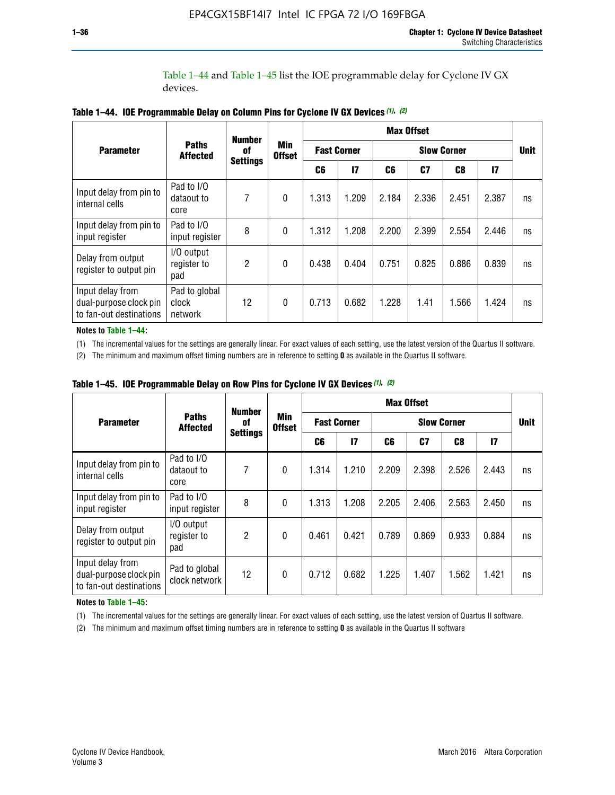Table 1–44 and Table 1–45 list the IOE programmable delay for Cyclone IV GX devices.

|                                                                       |                                   | <b>Number</b>         |                             |       |                    |       | <b>Max Offset</b>  |                |               |    |
|-----------------------------------------------------------------------|-----------------------------------|-----------------------|-----------------------------|-------|--------------------|-------|--------------------|----------------|---------------|----|
| <b>Parameter</b>                                                      | <b>Paths</b><br><b>Affected</b>   | 0f<br><b>Settings</b> | <b>Min</b><br><b>Offset</b> |       | <b>Fast Corner</b> |       | <b>Slow Corner</b> |                |               |    |
|                                                                       |                                   |                       |                             | C6    | $\mathbf{I}$       | C6    | C <sub>7</sub>     | C <sub>8</sub> | $\mathsf{I}7$ |    |
| Input delay from pin to<br>internal cells                             | Pad to I/O<br>dataout to<br>core  | 7                     | $\mathbf{0}$                | 1.313 | 1.209              | 2.184 | 2.336              | 2.451          | 2.387         | ns |
| Input delay from pin to<br>input register                             | Pad to I/O<br>input register      | 8                     | $\Omega$                    | 1.312 | 1.208              | 2.200 | 2.399              | 2.554          | 2.446         | ns |
| Delay from output<br>register to output pin                           | I/O output<br>register to<br>pad  | 2                     | $\mathbf{0}$                | 0.438 | 0.404              | 0.751 | 0.825              | 0.886          | 0.839         | ns |
| Input delay from<br>dual-purpose clock pin<br>to fan-out destinations | Pad to global<br>clock<br>network | 12                    | 0                           | 0.713 | 0.682              | 1.228 | 1.41               | 1.566          | 1.424         | ns |

**Table 1–44. IOE Programmable Delay on Column Pins for Cyclone IV GX Devices** *(1)***,** *(2)*

**Notes to Table 1–44:**

(1) The incremental values for the settings are generally linear. For exact values of each setting, use the latest version of the Quartus II software.

(2) The minimum and maximum offset timing numbers are in reference to setting **0** as available in the Quartus II software.

|                                                                       |                                  | <b>Number</b>   | Min<br><b>Offset</b> | <b>Max Offset</b> |                    |       |             |       |              |    |
|-----------------------------------------------------------------------|----------------------------------|-----------------|----------------------|-------------------|--------------------|-------|-------------|-------|--------------|----|
| <b>Parameter</b>                                                      | <b>Paths</b><br><b>Affected</b>  | 0f              |                      |                   | <b>Fast Corner</b> |       | <b>Unit</b> |       |              |    |
|                                                                       |                                  | <b>Settings</b> |                      | C6                | 17                 | C6    | C7          | C8    | $\mathbf{I}$ |    |
| Input delay from pin to<br>internal cells                             | Pad to I/O<br>dataout to<br>core | 7               | $\mathbf{0}$         | 1.314             | 1.210              | 2.209 | 2.398       | 2.526 | 2.443        | ns |
| Input delay from pin to<br>input register                             | Pad to I/O<br>input register     | 8               | $\mathbf{0}$         | 1.313             | 1.208              | 2.205 | 2.406       | 2.563 | 2.450        | ns |
| Delay from output<br>register to output pin                           | I/O output<br>register to<br>pad | $\overline{2}$  | $\mathbf{0}$         | 0.461             | 0.421              | 0.789 | 0.869       | 0.933 | 0.884        | ns |
| Input delay from<br>dual-purpose clock pin<br>to fan-out destinations | Pad to global<br>clock network   | 12              | 0                    | 0.712             | 0.682              | 1.225 | 1.407       | 1.562 | 1.421        | ns |

**Table 1–45. IOE Programmable Delay on Row Pins for Cyclone IV GX Devices** *(1)***,** *(2)*

#### **Notes to Table 1–45:**

(1) The incremental values for the settings are generally linear. For exact values of each setting, use the latest version of Quartus II software.

(2) The minimum and maximum offset timing numbers are in reference to setting **0** as available in the Quartus II software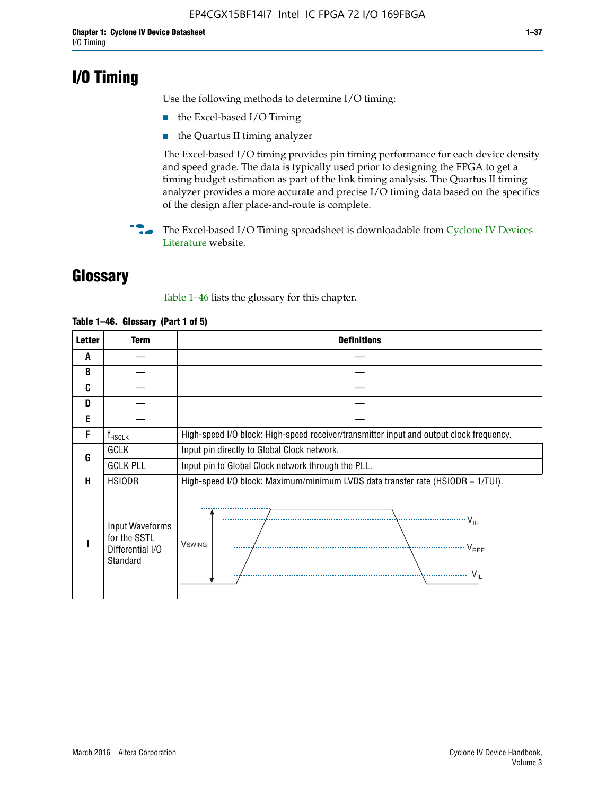# **I/O Timing**

Use the following methods to determine I/O timing:

- the Excel-based I/O Timing
- the Quartus II timing analyzer

The Excel-based I/O timing provides pin timing performance for each device density and speed grade. The data is typically used prior to designing the FPGA to get a timing budget estimation as part of the link timing analysis. The Quartus II timing analyzer provides a more accurate and precise I/O timing data based on the specifics of the design after place-and-route is complete.

**For The Excel-based I/O Timing spreadsheet is downloadable from Cyclone IV Devices** [Literature](http://www.altera.com/literature/lit-cyclone-iv.jsp) website.

# **Glossary**

Table 1–46 lists the glossary for this chapter.

| <b>Letter</b> | <b>Term</b>                                                     | <b>Definitions</b>                                                                                                                               |  |  |  |  |  |  |
|---------------|-----------------------------------------------------------------|--------------------------------------------------------------------------------------------------------------------------------------------------|--|--|--|--|--|--|
| A             |                                                                 |                                                                                                                                                  |  |  |  |  |  |  |
| B             |                                                                 |                                                                                                                                                  |  |  |  |  |  |  |
| C             |                                                                 |                                                                                                                                                  |  |  |  |  |  |  |
| D             |                                                                 |                                                                                                                                                  |  |  |  |  |  |  |
| E             |                                                                 |                                                                                                                                                  |  |  |  |  |  |  |
| F             | $f_{\sf HSCLK}$                                                 | High-speed I/O block: High-speed receiver/transmitter input and output clock frequency.                                                          |  |  |  |  |  |  |
| G             | <b>GCLK</b>                                                     | Input pin directly to Global Clock network.                                                                                                      |  |  |  |  |  |  |
|               | <b>GCLK PLL</b>                                                 | Input pin to Global Clock network through the PLL.                                                                                               |  |  |  |  |  |  |
| н             | <b>HSIODR</b>                                                   | High-speed I/O block: Maximum/minimum LVDS data transfer rate (HSIODR = 1/TUI).                                                                  |  |  |  |  |  |  |
|               | Input Waveforms<br>for the SSTL<br>Differential I/O<br>Standard | $\frac{1}{\sqrt{1+\frac{1}{2}}}\left\{ \frac{1}{\sqrt{1+\frac{1}{2}}}\right\}$<br><b>V</b> swing<br>$\cdots$ $V_{REF}$<br>\<br>$\sim V_{\rm IL}$ |  |  |  |  |  |  |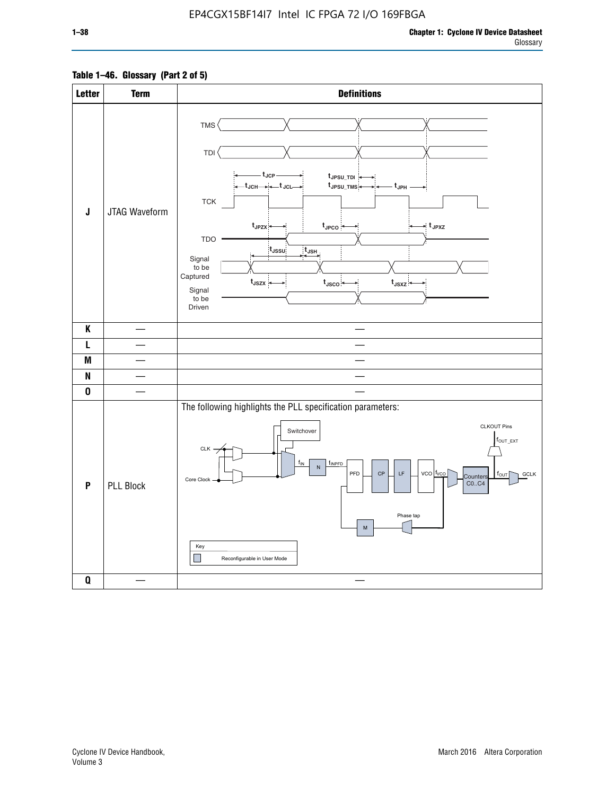### **Table 1–46. Glossary (Part 2 of 5)**

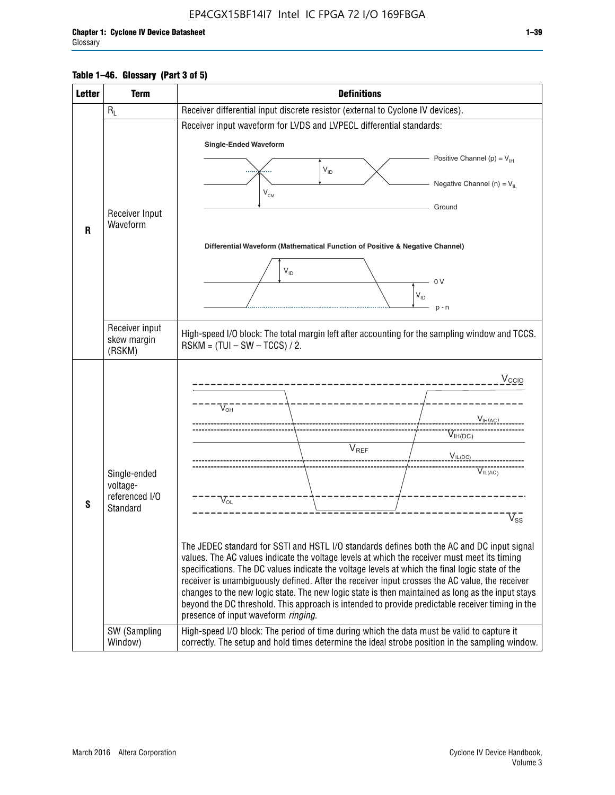### **Table 1–46. Glossary (Part 3 of 5)**

| <b>Letter</b> | <b>Term</b>                | <b>Definitions</b>                                                                                                                                                                                |  |  |  |  |  |  |  |
|---------------|----------------------------|---------------------------------------------------------------------------------------------------------------------------------------------------------------------------------------------------|--|--|--|--|--|--|--|
|               | $R_L$                      | Receiver differential input discrete resistor (external to Cyclone IV devices).                                                                                                                   |  |  |  |  |  |  |  |
|               |                            | Receiver input waveform for LVDS and LVPECL differential standards:                                                                                                                               |  |  |  |  |  |  |  |
|               |                            | <b>Single-Ended Waveform</b>                                                                                                                                                                      |  |  |  |  |  |  |  |
|               |                            | Positive Channel (p) = $V_{\text{H}}$                                                                                                                                                             |  |  |  |  |  |  |  |
|               |                            | $\mathsf{V}_{\mathsf{ID}}$                                                                                                                                                                        |  |  |  |  |  |  |  |
|               |                            | Negative Channel (n) = $V_{\parallel}$<br>$V_{CM}$                                                                                                                                                |  |  |  |  |  |  |  |
|               | Receiver Input             | Ground                                                                                                                                                                                            |  |  |  |  |  |  |  |
| R             | Waveform                   |                                                                                                                                                                                                   |  |  |  |  |  |  |  |
|               |                            | Differential Waveform (Mathematical Function of Positive & Negative Channel)                                                                                                                      |  |  |  |  |  |  |  |
|               |                            |                                                                                                                                                                                                   |  |  |  |  |  |  |  |
|               |                            | $V_{ID}$                                                                                                                                                                                          |  |  |  |  |  |  |  |
|               |                            | 0V<br>$V_{ID}$                                                                                                                                                                                    |  |  |  |  |  |  |  |
|               |                            | $p - n$                                                                                                                                                                                           |  |  |  |  |  |  |  |
|               | Receiver input             |                                                                                                                                                                                                   |  |  |  |  |  |  |  |
|               | skew margin                | High-speed I/O block: The total margin left after accounting for the sampling window and TCCS.<br>$RSKM = (TUI - SW - TCCS) / 2.$                                                                 |  |  |  |  |  |  |  |
|               | (RSKM)                     |                                                                                                                                                                                                   |  |  |  |  |  |  |  |
|               |                            | $V_{CCIO}$                                                                                                                                                                                        |  |  |  |  |  |  |  |
|               |                            |                                                                                                                                                                                                   |  |  |  |  |  |  |  |
|               |                            | $V_{\text{\tiny OH}}^-$                                                                                                                                                                           |  |  |  |  |  |  |  |
|               |                            | $V_{H(AC)}$                                                                                                                                                                                       |  |  |  |  |  |  |  |
|               |                            | $V_{IH(DC)}$<br>V <sub>REF</sub>                                                                                                                                                                  |  |  |  |  |  |  |  |
|               |                            | $V_{\text{IL(DC)}}$                                                                                                                                                                               |  |  |  |  |  |  |  |
|               | Single-ended               | VIL(AC)                                                                                                                                                                                           |  |  |  |  |  |  |  |
|               | voltage-<br>referenced I/O |                                                                                                                                                                                                   |  |  |  |  |  |  |  |
| S             | Standard                   | $V_{\text{OL}}$                                                                                                                                                                                   |  |  |  |  |  |  |  |
|               |                            | $\rm V_{ss}^-$                                                                                                                                                                                    |  |  |  |  |  |  |  |
|               |                            | The JEDEC standard for SSTI and HSTL I/O standards defines both the AC and DC input signal                                                                                                        |  |  |  |  |  |  |  |
|               |                            | values. The AC values indicate the voltage levels at which the receiver must meet its timing                                                                                                      |  |  |  |  |  |  |  |
|               |                            | specifications. The DC values indicate the voltage levels at which the final logic state of the<br>receiver is unambiguously defined. After the receiver input crosses the AC value, the receiver |  |  |  |  |  |  |  |
|               |                            | changes to the new logic state. The new logic state is then maintained as long as the input stays                                                                                                 |  |  |  |  |  |  |  |
|               |                            | beyond the DC threshold. This approach is intended to provide predictable receiver timing in the                                                                                                  |  |  |  |  |  |  |  |
|               | SW (Sampling               | presence of input waveform ringing.<br>High-speed I/O block: The period of time during which the data must be valid to capture it                                                                 |  |  |  |  |  |  |  |
|               | Window)                    | correctly. The setup and hold times determine the ideal strobe position in the sampling window.                                                                                                   |  |  |  |  |  |  |  |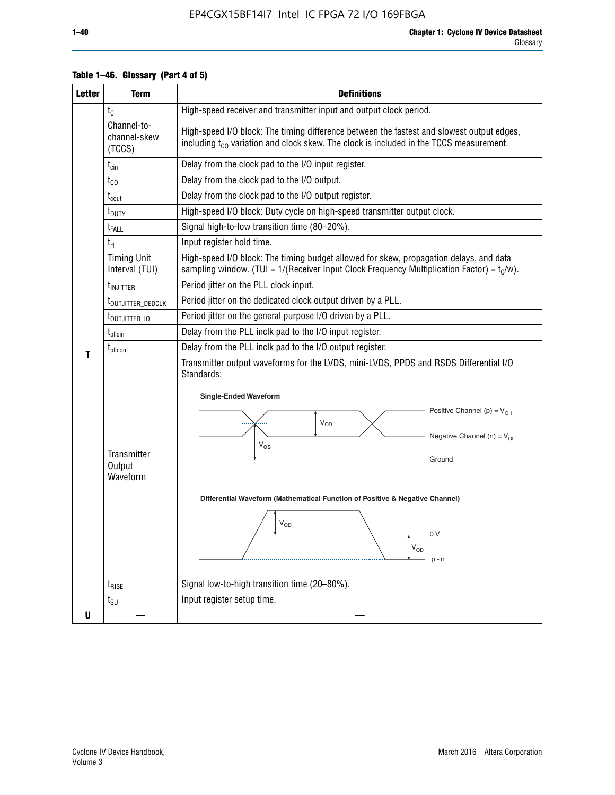| <b>Letter</b> | <b>Term</b>                                                                      | <b>Definitions</b>                                                                                                                                                                                                                                                                                                                                                                |  |  |  |  |  |
|---------------|----------------------------------------------------------------------------------|-----------------------------------------------------------------------------------------------------------------------------------------------------------------------------------------------------------------------------------------------------------------------------------------------------------------------------------------------------------------------------------|--|--|--|--|--|
|               | $t_{C}$                                                                          | High-speed receiver and transmitter input and output clock period.                                                                                                                                                                                                                                                                                                                |  |  |  |  |  |
|               | Channel-to-<br>channel-skew<br>(TCCS)                                            | High-speed I/O block: The timing difference between the fastest and slowest output edges,<br>including $t_{C0}$ variation and clock skew. The clock is included in the TCCS measurement.                                                                                                                                                                                          |  |  |  |  |  |
|               | $t_{\text{cin}}$                                                                 | Delay from the clock pad to the I/O input register.                                                                                                                                                                                                                                                                                                                               |  |  |  |  |  |
|               | $t_{CO}$                                                                         | Delay from the clock pad to the I/O output.                                                                                                                                                                                                                                                                                                                                       |  |  |  |  |  |
|               | $t_{\text{cout}}$                                                                | Delay from the clock pad to the I/O output register.                                                                                                                                                                                                                                                                                                                              |  |  |  |  |  |
|               | t <sub>DUTY</sub>                                                                | High-speed I/O block: Duty cycle on high-speed transmitter output clock.                                                                                                                                                                                                                                                                                                          |  |  |  |  |  |
|               | t <sub>FALL</sub>                                                                | Signal high-to-low transition time (80-20%).                                                                                                                                                                                                                                                                                                                                      |  |  |  |  |  |
|               | $t_H$                                                                            | Input register hold time.                                                                                                                                                                                                                                                                                                                                                         |  |  |  |  |  |
|               | <b>Timing Unit</b><br>Interval (TUI)                                             | High-speed I/O block: The timing budget allowed for skew, propagation delays, and data<br>sampling window. (TUI = $1/($ Receiver Input Clock Frequency Multiplication Factor) = $tC/w$ ).                                                                                                                                                                                         |  |  |  |  |  |
|               | <b>t</b> <sub>INJITTER</sub>                                                     | Period jitter on the PLL clock input.                                                                                                                                                                                                                                                                                                                                             |  |  |  |  |  |
|               | t <sub>outjitter_dedclk</sub>                                                    | Period jitter on the dedicated clock output driven by a PLL.                                                                                                                                                                                                                                                                                                                      |  |  |  |  |  |
|               | t <sub>outjitter_io</sub>                                                        | Period jitter on the general purpose I/O driven by a PLL.                                                                                                                                                                                                                                                                                                                         |  |  |  |  |  |
|               | $t_{\sf plicin}$                                                                 | Delay from the PLL inclk pad to the I/O input register.                                                                                                                                                                                                                                                                                                                           |  |  |  |  |  |
|               | Delay from the PLL inclk pad to the I/O output register.<br>$t_{\text{pll}$ cout |                                                                                                                                                                                                                                                                                                                                                                                   |  |  |  |  |  |
| T             | Transmitter<br>Output<br>Waveform                                                | Transmitter output waveforms for the LVDS, mini-LVDS, PPDS and RSDS Differential I/O<br>Standards:<br><b>Single-Ended Waveform</b><br>Positive Channel (p) = $V_{OH}$<br>VOD<br>Negative Channel (n) = $V_{OL}$<br>$V_{OS}$<br>Ground<br>Differential Waveform (Mathematical Function of Positive & Negative Channel)<br>$V_{OD}$<br>n V<br>$\mathsf{V}_{\mathsf{OD}}$<br>$p - n$ |  |  |  |  |  |
|               | $t_{\text{RISE}}$                                                                | Signal low-to-high transition time (20-80%).                                                                                                                                                                                                                                                                                                                                      |  |  |  |  |  |
|               | $t_{\scriptstyle\text{SU}}$                                                      | Input register setup time.                                                                                                                                                                                                                                                                                                                                                        |  |  |  |  |  |
| U             |                                                                                  |                                                                                                                                                                                                                                                                                                                                                                                   |  |  |  |  |  |

### **Table 1–46. Glossary (Part 4 of 5)**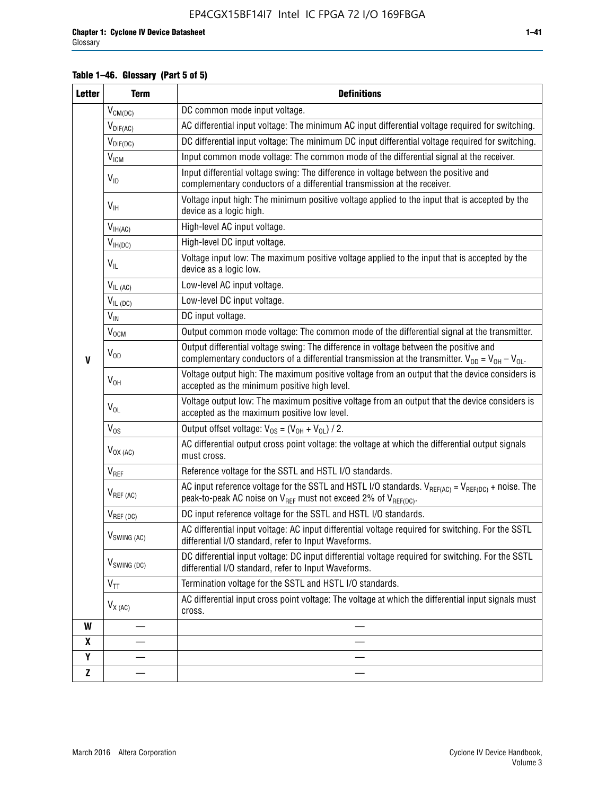### **Table 1–46. Glossary (Part 5 of 5)**

| <b>Letter</b> | <b>Term</b>             | <b>Definitions</b>                                                                                                                                                                                |
|---------------|-------------------------|---------------------------------------------------------------------------------------------------------------------------------------------------------------------------------------------------|
|               | $V_{CM(DC)}$            | DC common mode input voltage.                                                                                                                                                                     |
|               | $V_{DIF(AC)}$           | AC differential input voltage: The minimum AC input differential voltage required for switching.                                                                                                  |
|               | $V_{DIF(DC)}$           | DC differential input voltage: The minimum DC input differential voltage required for switching.                                                                                                  |
|               | V <sub>ICM</sub>        | Input common mode voltage: The common mode of the differential signal at the receiver.                                                                                                            |
|               | $V_{ID}$                | Input differential voltage swing: The difference in voltage between the positive and<br>complementary conductors of a differential transmission at the receiver.                                  |
|               | $V_{\text{IH}}$         | Voltage input high: The minimum positive voltage applied to the input that is accepted by the<br>device as a logic high.                                                                          |
|               | $V_{IH(AC)}$            | High-level AC input voltage.                                                                                                                                                                      |
|               | $V_{IH(DC)}$            | High-level DC input voltage.                                                                                                                                                                      |
|               | $V_{IL}$                | Voltage input low: The maximum positive voltage applied to the input that is accepted by the<br>device as a logic low.                                                                            |
|               | $V_{IL(AC)}$            | Low-level AC input voltage.                                                                                                                                                                       |
|               | $V_{IL(DC)}$            | Low-level DC input voltage.                                                                                                                                                                       |
|               | $V_{\text{IN}}$         | DC input voltage.                                                                                                                                                                                 |
|               | $V_{OCM}$               | Output common mode voltage: The common mode of the differential signal at the transmitter.                                                                                                        |
| $\mathbf{V}$  | $V_{OD}$                | Output differential voltage swing: The difference in voltage between the positive and<br>complementary conductors of a differential transmission at the transmitter. $V_{OD} = V_{OH} - V_{OL}$ . |
|               | $V_{OH}$                | Voltage output high: The maximum positive voltage from an output that the device considers is<br>accepted as the minimum positive high level.                                                     |
|               | $V_{OL}$                | Voltage output low: The maximum positive voltage from an output that the device considers is<br>accepted as the maximum positive low level.                                                       |
|               | $V_{OS}$                | Output offset voltage: $V_{OS} = (V_{OH} + V_{OL}) / 2$ .                                                                                                                                         |
|               | $V_{OX (AC)}$           | AC differential output cross point voltage: the voltage at which the differential output signals<br>must cross.                                                                                   |
|               | V <sub>REF</sub>        | Reference voltage for the SSTL and HSTL I/O standards.                                                                                                                                            |
|               | $V_{REF\,(AC)}$         | AC input reference voltage for the SSTL and HSTL I/O standards. $V_{REF(AC)} = V_{REF(DC)} +$ noise. The<br>peak-to-peak AC noise on $V_{REF}$ must not exceed 2% of $V_{REF(DC)}$ .              |
|               | $V_{REF(DC)}$           | DC input reference voltage for the SSTL and HSTL I/O standards.                                                                                                                                   |
|               | $V_{\text{SWING (AC)}}$ | AC differential input voltage: AC input differential voltage required for switching. For the SSTL<br>differential I/O standard, refer to Input Waveforms.                                         |
|               | $V_{SWING (DC)}$        | DC differential input voltage: DC input differential voltage required for switching. For the SSTL<br>differential I/O standard, refer to Input Waveforms.                                         |
|               | $V_{TT}$                | Termination voltage for the SSTL and HSTL I/O standards.                                                                                                                                          |
|               | $V_{X(AC)}$             | AC differential input cross point voltage: The voltage at which the differential input signals must<br>cross.                                                                                     |
| W             |                         |                                                                                                                                                                                                   |
| X             |                         |                                                                                                                                                                                                   |
| Υ             |                         |                                                                                                                                                                                                   |
| Z             |                         |                                                                                                                                                                                                   |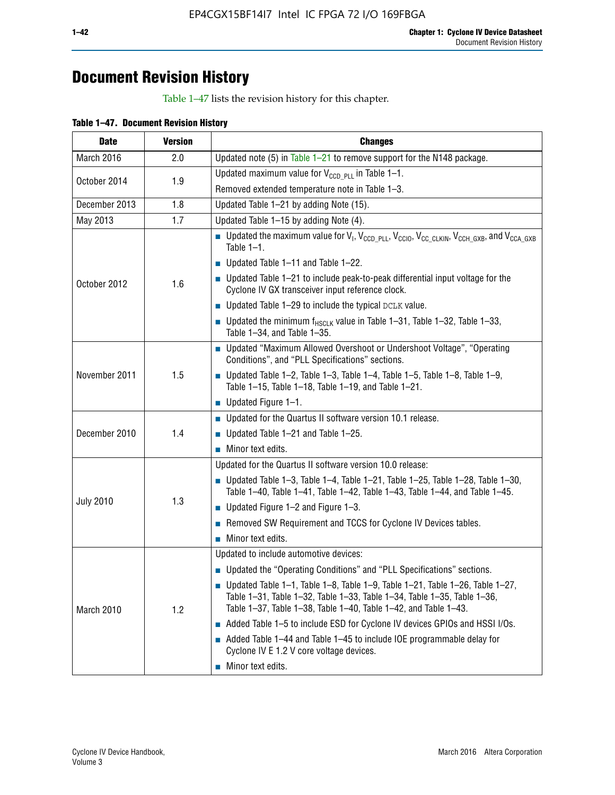# **Document Revision History**

Table 1–47 lists the revision history for this chapter.

| <b>Date</b>         | <b>Version</b> | <b>Changes</b>                                                                                                                                                                                                                            |  |  |  |  |
|---------------------|----------------|-------------------------------------------------------------------------------------------------------------------------------------------------------------------------------------------------------------------------------------------|--|--|--|--|
| March 2016          | 2.0            | Updated note (5) in Table $1-21$ to remove support for the N148 package.                                                                                                                                                                  |  |  |  |  |
|                     |                | Updated maximum value for $V_{CCD, PL}$ in Table 1-1.                                                                                                                                                                                     |  |  |  |  |
| October 2014<br>1.9 |                | Removed extended temperature note in Table 1-3.                                                                                                                                                                                           |  |  |  |  |
| December 2013       | 1.8            | Updated Table 1-21 by adding Note (15).                                                                                                                                                                                                   |  |  |  |  |
| May 2013            | 1.7            | Updated Table 1-15 by adding Note (4).                                                                                                                                                                                                    |  |  |  |  |
|                     |                | Dpdated the maximum value for $V_1$ , $V_{CCD\_PLL}$ , $V_{CC10}$ , $V_{CC\_CLKIN}$ , $V_{CCH\_GXB}$ , and $V_{CCA\_GXB}$<br>Table $1-1$ .                                                                                                |  |  |  |  |
|                     |                | $\blacksquare$ Updated Table 1-11 and Table 1-22.                                                                                                                                                                                         |  |  |  |  |
| October 2012        | 1.6            | $\blacksquare$ Updated Table 1-21 to include peak-to-peak differential input voltage for the<br>Cyclone IV GX transceiver input reference clock.                                                                                          |  |  |  |  |
|                     |                | $\blacksquare$ Updated Table 1-29 to include the typical DCLK value.                                                                                                                                                                      |  |  |  |  |
|                     |                | <b>Updated the minimum f<sub>HSCLK</sub></b> value in Table 1-31, Table 1-32, Table 1-33,<br>Table 1-34, and Table 1-35.                                                                                                                  |  |  |  |  |
|                     | 1.5            | • Updated "Maximum Allowed Overshoot or Undershoot Voltage", "Operating<br>Conditions", and "PLL Specifications" sections.                                                                                                                |  |  |  |  |
| November 2011       |                | Updated Table 1-2, Table 1-3, Table 1-4, Table 1-5, Table 1-8, Table 1-9,<br>Table 1-15, Table 1-18, Table 1-19, and Table 1-21.                                                                                                          |  |  |  |  |
|                     |                | ■ Updated Figure $1-1$ .                                                                                                                                                                                                                  |  |  |  |  |
|                     |                | • Updated for the Quartus II software version 10.1 release.                                                                                                                                                                               |  |  |  |  |
| December 2010       | 1.4            | $\blacksquare$ Updated Table 1-21 and Table 1-25.                                                                                                                                                                                         |  |  |  |  |
|                     |                | $\blacksquare$ Minor text edits.                                                                                                                                                                                                          |  |  |  |  |
|                     |                | Updated for the Quartus II software version 10.0 release:                                                                                                                                                                                 |  |  |  |  |
|                     |                | Updated Table 1-3, Table 1-4, Table 1-21, Table 1-25, Table 1-28, Table 1-30,<br>Table 1-40, Table 1-41, Table 1-42, Table 1-43, Table 1-44, and Table 1-45.                                                                              |  |  |  |  |
| <b>July 2010</b>    | 1.3            | ■ Updated Figure $1-2$ and Figure $1-3$ .                                                                                                                                                                                                 |  |  |  |  |
|                     |                | Removed SW Requirement and TCCS for Cyclone IV Devices tables.                                                                                                                                                                            |  |  |  |  |
|                     |                | $\blacksquare$ Minor text edits.                                                                                                                                                                                                          |  |  |  |  |
|                     |                | Updated to include automotive devices:                                                                                                                                                                                                    |  |  |  |  |
|                     |                | • Updated the "Operating Conditions" and "PLL Specifications" sections.                                                                                                                                                                   |  |  |  |  |
| March 2010          | 1.2            | $\blacksquare$ Updated Table 1-1, Table 1-8, Table 1-9, Table 1-21, Table 1-26, Table 1-27,<br>Table 1-31, Table 1-32, Table 1-33, Table 1-34, Table 1-35, Table 1-36,<br>Table 1-37, Table 1-38, Table 1-40, Table 1-42, and Table 1-43. |  |  |  |  |
|                     |                | Added Table 1-5 to include ESD for Cyclone IV devices GPIOs and HSSI I/Os.                                                                                                                                                                |  |  |  |  |
|                     |                | Added Table 1-44 and Table 1-45 to include IOE programmable delay for<br>Cyclone IV E 1.2 V core voltage devices.                                                                                                                         |  |  |  |  |
|                     |                | Minor text edits.                                                                                                                                                                                                                         |  |  |  |  |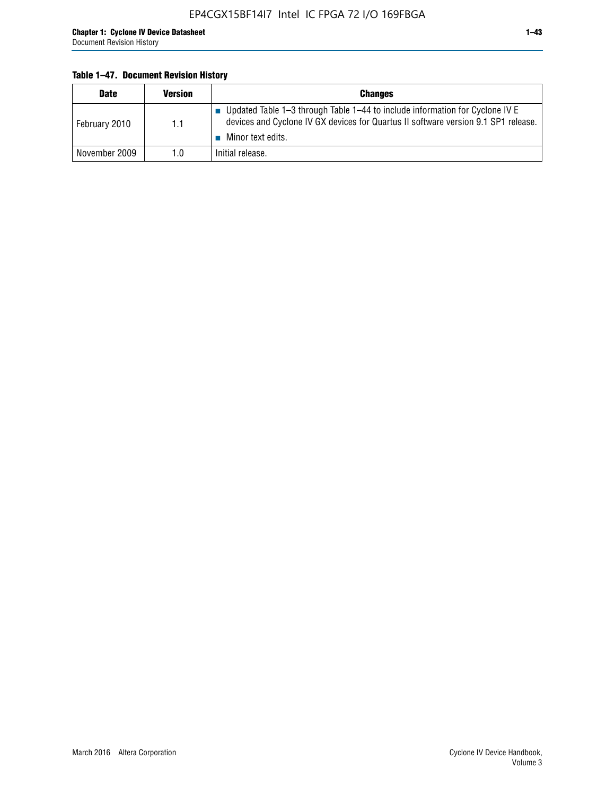### **Table 1–47. Document Revision History**

| <b>Date</b>   | <b>Version</b> | <b>Changes</b>                                                                                                                                                                          |
|---------------|----------------|-----------------------------------------------------------------------------------------------------------------------------------------------------------------------------------------|
| February 2010 | 1.1            | Updated Table 1-3 through Table 1-44 to include information for Cyclone IV E<br>devices and Cyclone IV GX devices for Quartus II software version 9.1 SP1 release.<br>Minor text edits. |
| November 2009 | 1.0            | Initial release.                                                                                                                                                                        |